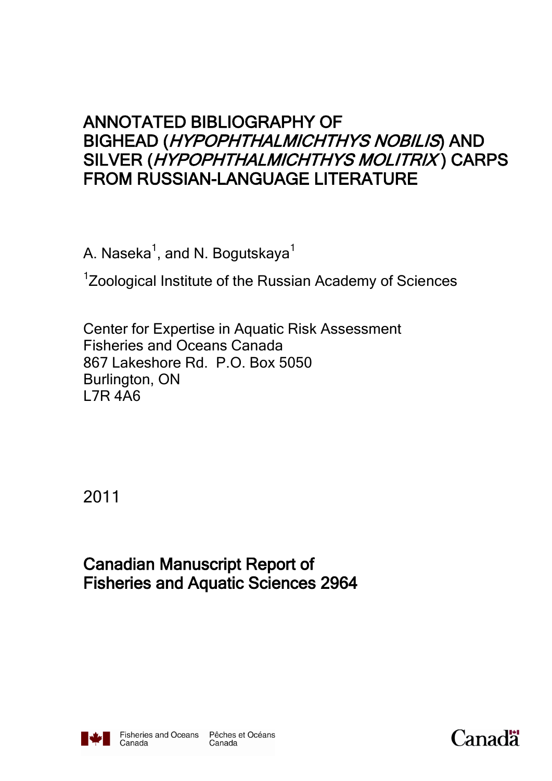# ANNOTATED BIBLIOGRAPHY OF BIGHEAD (HYPOPHTHALMICHTHYS NOBILIS) AND SILVER (HYPOPHTHALMICHTHYS MOLITRIX) CARPS FROM RUSSIAN-LANGUAGE LITERATURE

A. Naseka $^{\rm 1}$ , and N. Bogutskaya $^{\rm 1}$ 

<sup>1</sup>Zoological Institute of the Russian Academy of Sciences

Center for Expertise in Aquatic Risk Assessment Fisheries and Oceans Canada 867 Lakeshore Rd. P.O. Box 5050 Burlington, ON L7R 4A6

2011

Canadian Manuscript Report of Fisheries and Aquatic Sciences 2964



Canada

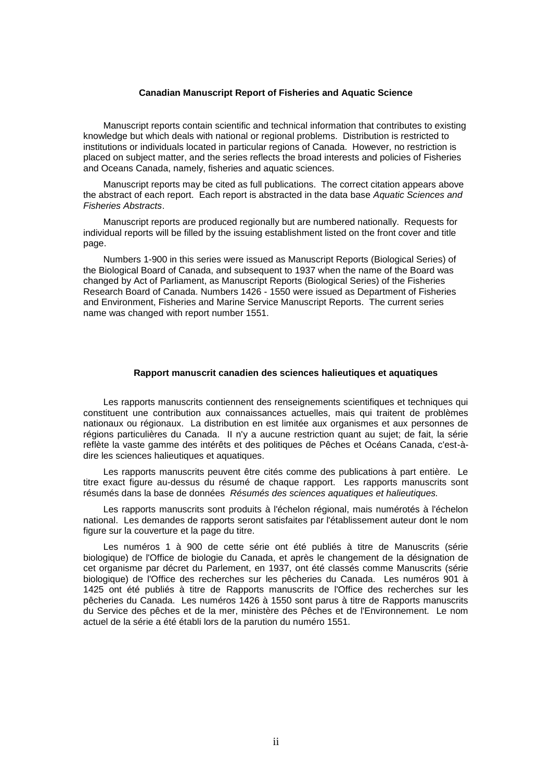#### **Canadian Manuscript Report of Fisheries and Aquatic Science**

Manuscript reports contain scientific and technical information that contributes to existing knowledge but which deals with national or regional problems. Distribution is restricted to institutions or individuals located in particular regions of Canada. However, no restriction is placed on subject matter, and the series reflects the broad interests and policies of Fisheries and Oceans Canada, namely, fisheries and aquatic sciences.

Manuscript reports may be cited as full publications. The correct citation appears above the abstract of each report. Each report is abstracted in the data base *Aquatic Sciences and Fisheries Abstracts*.

Manuscript reports are produced regionally but are numbered nationally. Requests for individual reports will be filled by the issuing establishment listed on the front cover and title page.

Numbers 1-900 in this series were issued as Manuscript Reports (Biological Series) of the Biological Board of Canada, and subsequent to 1937 when the name of the Board was changed by Act of Parliament, as Manuscript Reports (Biological Series) of the Fisheries Research Board of Canada. Numbers 1426 - 1550 were issued as Department of Fisheries and Environment, Fisheries and Marine Service Manuscript Reports. The current series name was changed with report number 1551.

#### **Rapport manuscrit canadien des sciences halieutiques et aquatiques**

Les rapports manuscrits contiennent des renseignements scientifiques et techniques qui constituent une contribution aux connaissances actuelles, mais qui traitent de problèmes nationaux ou régionaux. La distribution en est limitée aux organismes et aux personnes de régions particulières du Canada. II n'y a aucune restriction quant au sujet; de fait, la série reflète la vaste gamme des intérêts et des politiques de Pêches et Océans Canada, c'est-àdire les sciences halieutiques et aquatiques.

Les rapports manuscrits peuvent être cités comme des publications à part entière. Le titre exact figure au-dessus du résumé de chaque rapport. Les rapports manuscrits sont résumés dans la base de données *Résumés des sciences aquatiques et halieutiques.*

Les rapports manuscrits sont produits à l'échelon régional, mais numérotés à l'échelon national. Les demandes de rapports seront satisfaites par l'établissement auteur dont le nom figure sur la couverture et la page du titre.

Les numéros 1 à 900 de cette série ont été publiés à titre de Manuscrits (série biologique) de l'Office de biologie du Canada, et après le changement de la désignation de cet organisme par décret du Parlement, en 1937, ont été classés comme Manuscrits (série biologique) de l'Office des recherches sur les pêcheries du Canada. Les numéros 901 à 1425 ont été publiés à titre de Rapports manuscrits de l'Office des recherches sur les pêcheries du Canada. Les numéros 1426 à 1550 sont parus à titre de Rapports manuscrits du Service des pêches et de la mer, ministère des Pêches et de l'Environnement. Le nom actuel de la série a été établi lors de la parution du numéro 1551.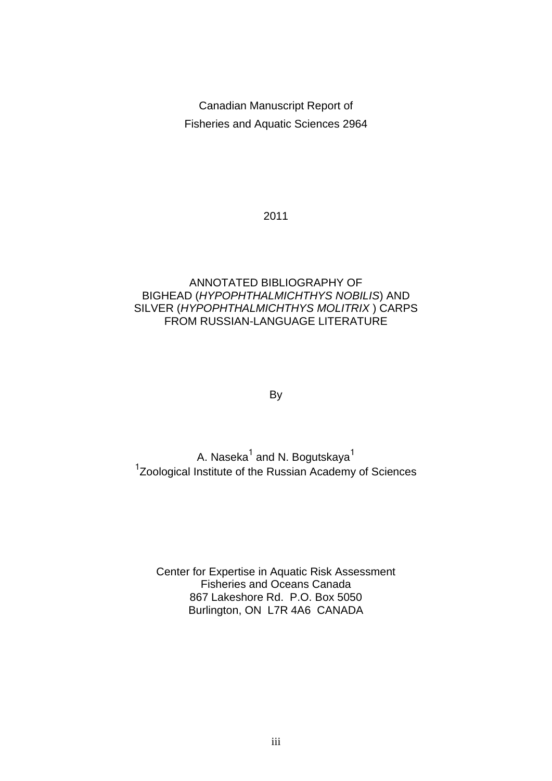Canadian Manuscript Report of Fisheries and Aquatic Sciences 2964

2011

# ANNOTATED BIBLIOGRAPHY OF BIGHEAD (*HYPOPHTHALMICHTHYS NOBILIS*) AND SILVER (*HYPOPHTHALMICHTHYS MOLITRIX* ) CARPS FROM RUSSIAN-LANGUAGE LITERATURE

By

A. Naseka $^{\rm 1}$  and N. Bogutskaya $^{\rm 1}$ <sup>1</sup>Zoological Institute of the Russian Academy of Sciences

Center for Expertise in Aquatic Risk Assessment Fisheries and Oceans Canada 867 Lakeshore Rd. P.O. Box 5050 Burlington, ON L7R 4A6 CANADA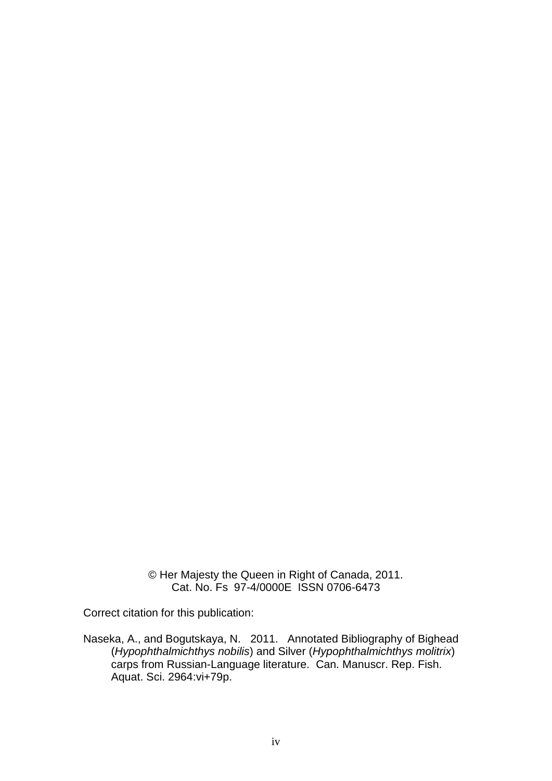© Her Majesty the Queen in Right of Canada, 2011. Cat. No. Fs 97-4/0000E ISSN 0706-6473

Correct citation for this publication:

Naseka, A., and Bogutskaya, N. 2011. Annotated Bibliography of Bighead (*Hypophthalmichthys nobilis*) and Silver (*Hypophthalmichthys molitrix*) carps from Russian-Language literature. Can. Manuscr. Rep. Fish. Aquat. Sci. 2964:vi+79p.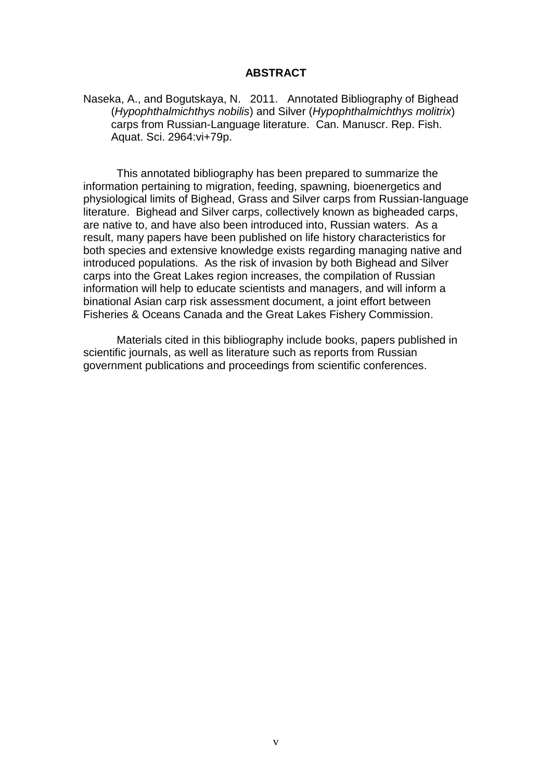#### **ABSTRACT**

Naseka, A., and Bogutskaya, N. 2011. Annotated Bibliography of Bighead (*Hypophthalmichthys nobilis*) and Silver (*Hypophthalmichthys molitrix*) carps from Russian-Language literature. Can. Manuscr. Rep. Fish. Aquat. Sci. 2964:vi+79p.

This annotated bibliography has been prepared to summarize the information pertaining to migration, feeding, spawning, bioenergetics and physiological limits of Bighead, Grass and Silver carps from Russian-language literature. Bighead and Silver carps, collectively known as bigheaded carps, are native to, and have also been introduced into, Russian waters. As a result, many papers have been published on life history characteristics for both species and extensive knowledge exists regarding managing native and introduced populations. As the risk of invasion by both Bighead and Silver carps into the Great Lakes region increases, the compilation of Russian information will help to educate scientists and managers, and will inform a binational Asian carp risk assessment document, a joint effort between Fisheries & Oceans Canada and the Great Lakes Fishery Commission.

Materials cited in this bibliography include books, papers published in scientific journals, as well as literature such as reports from Russian government publications and proceedings from scientific conferences.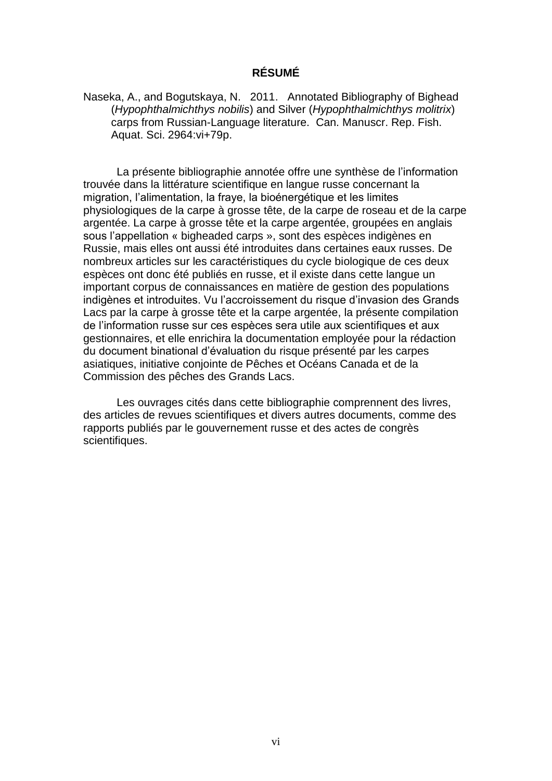## **RÉSUMÉ**

Naseka, A., and Bogutskaya, N. 2011. Annotated Bibliography of Bighead (*Hypophthalmichthys nobilis*) and Silver (*Hypophthalmichthys molitrix*) carps from Russian-Language literature. Can. Manuscr. Rep. Fish. Aquat. Sci. 2964:vi+79p.

La présente bibliographie annotée offre une synthèse de l'information trouvée dans la littérature scientifique en langue russe concernant la migration, l'alimentation, la fraye, la bioénergétique et les limites physiologiques de la carpe à grosse tête, de la carpe de roseau et de la carpe argentée. La carpe à grosse tête et la carpe argentée, groupées en anglais sous l'appellation « bigheaded carps », sont des espèces indigènes en Russie, mais elles ont aussi été introduites dans certaines eaux russes. De nombreux articles sur les caractéristiques du cycle biologique de ces deux espèces ont donc été publiés en russe, et il existe dans cette langue un important corpus de connaissances en matière de gestion des populations indigènes et introduites. Vu l'accroissement du risque d'invasion des Grands Lacs par la carpe à grosse tête et la carpe argentée, la présente compilation de l'information russe sur ces espèces sera utile aux scientifiques et aux gestionnaires, et elle enrichira la documentation employée pour la rédaction du document binational d'évaluation du risque présenté par les carpes asiatiques, initiative conjointe de Pêches et Océans Canada et de la Commission des pêches des Grands Lacs.

Les ouvrages cités dans cette bibliographie comprennent des livres, des articles de revues scientifiques et divers autres documents, comme des rapports publiés par le gouvernement russe et des actes de congrès scientifiques.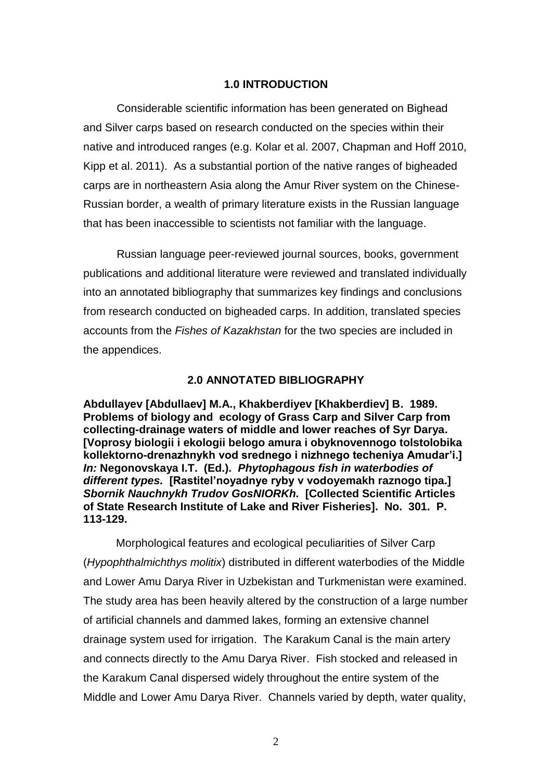#### **1.0 INTRODUCTION**

Considerable scientific information has been generated on Bighead and Silver carps based on research conducted on the species within their native and introduced ranges (e.g. Kolar et al. 2007, Chapman and Hoff 2010, Kipp et al. 2011). As a substantial portion of the native ranges of bigheaded carps are in northeastern Asia along the Amur River system on the Chinese-Russian border, a wealth of primary literature exists in the Russian language that has been inaccessible to scientists not familiar with the language.

Russian language peer-reviewed journal sources, books, government publications and additional literature were reviewed and translated individually into an annotated bibliography that summarizes key findings and conclusions from research conducted on bigheaded carps. In addition, translated species accounts from the *Fishes of Kazakhstan* for the two species are included in the appendices.

#### **2.0 ANNOTATED BIBLIOGRAPHY**

**Abdullayev [Abdullaev] M.A., Khakberdiyev [Khakberdiev] B. 1989. Problems of biology and ecology of Grass Carp and Silver Carp from collecting-drainage waters of middle and lower reaches of Syr Darya. [Voprosy biologii i ekologii belogo amura i obyknovennogo tolstolobika kollektorno-drenazhnykh vod srednego i nizhnego techeniya Amudar'i.]**  *In:* **Negonovskaya I.T. (Ed.).** *Phytophagous fish in waterbodies of different types.* **[Rastitel'noyadnye ryby v vodoyemakh raznogo tipa.]**  *Sbornik Nauchnykh Trudov GosNIORKh.* **[Collected Scientific Articles of State Research Institute of Lake and River Fisheries]. No. 301. P. 113-129.** 

Morphological features and ecological peculiarities of Silver Carp (*Hypophthalmichthys molitix*) distributed in different waterbodies of the Middle and Lower Amu Darya River in Uzbekistan and Turkmenistan were examined. The study area has been heavily altered by the construction of a large number of artificial channels and dammed lakes, forming an extensive channel drainage system used for irrigation. The Karakum Canal is the main artery and connects directly to the Amu Darya River. Fish stocked and released in the Karakum Canal dispersed widely throughout the entire system of the Middle and Lower Amu Darya River. Channels varied by depth, water quality,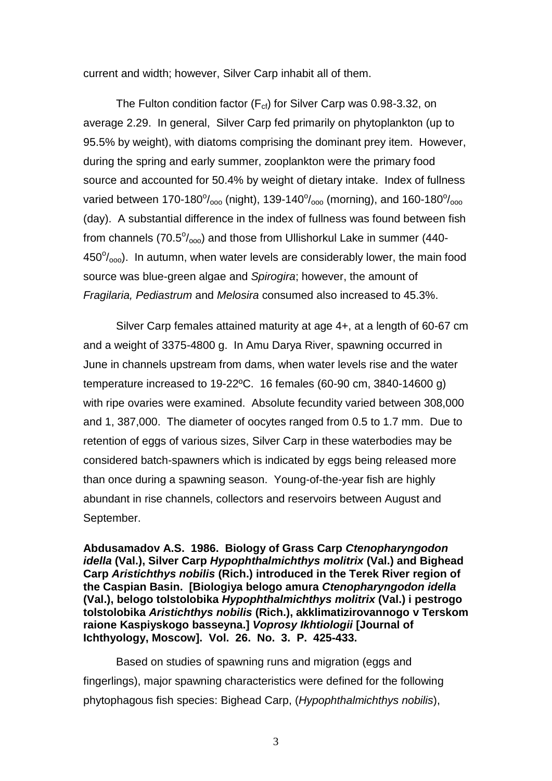current and width; however, Silver Carp inhabit all of them.

The Fulton condition factor ( $F_{cf}$ ) for Silver Carp was 0.98-3.32, on average 2.29. In general, Silver Carp fed primarily on phytoplankton (up to 95.5% by weight), with diatoms comprising the dominant prey item. However, during the spring and early summer, zooplankton were the primary food source and accounted for 50.4% by weight of dietary intake. Index of fullness varied between 170-180 $\%$ <sub>000</sub> (night), 139-140 $\%$ <sub>000</sub> (morning), and 160-180 $\%$ <sub>000</sub> (day). A substantial difference in the index of fullness was found between fish from channels (70.5 $\%$ <sub>000</sub>) and those from Ullishorkul Lake in summer (440- $450^{\circ}/_{\text{ooo}}$ ). In autumn, when water levels are considerably lower, the main food source was blue-green algae and *Spirogira*; however, the amount of *Fragilaria, Pediastrum* and *Melosira* consumed also increased to 45.3%.

Silver Carp females attained maturity at age 4+, at a length of 60-67 cm and a weight of 3375-4800 g. In Amu Darya River, spawning occurred in June in channels upstream from dams, when water levels rise and the water temperature increased to 19-22ºC. 16 females (60-90 cm, 3840-14600 g) with ripe ovaries were examined. Absolute fecundity varied between 308,000 and 1, 387,000. The diameter of oocytes ranged from 0.5 to 1.7 mm. Due to retention of eggs of various sizes, Silver Carp in these waterbodies may be considered batch-spawners which is indicated by eggs being released more than once during a spawning season. Young-of-the-year fish are highly abundant in rise channels, collectors and reservoirs between August and September.

**Abdusamadov A.S. 1986. Biology of Grass Carp** *Ctenopharyngodon idella* **(Val.), Silver Carp** *Hypophthalmichthys molitrix* **(Val.) and Bighead Carp** *Aristichthys nobilis* **(Rich.) introduced in the Terek River region of the Caspian Basin. [Biologiya belogo amura** *Ctenopharyngodon idella* **(Val.), belogo tolstolobika** *Hypophthalmichthys molitrix* **(Val.) i pestrogo tolstolobika** *Aristichthys nobilis* **(Rich.), akklimatizirovannogo v Terskom raione Kaspiyskogo basseyna.]** *Voprosy Ikhtiologii* **[Journal of Ichthyology, Moscow]. Vol. 26. No. 3. P. 425-433.** 

Based on studies of spawning runs and migration (eggs and fingerlings), major spawning characteristics were defined for the following phytophagous fish species: Bighead Carp, (*Hypophthalmichthys nobilis*),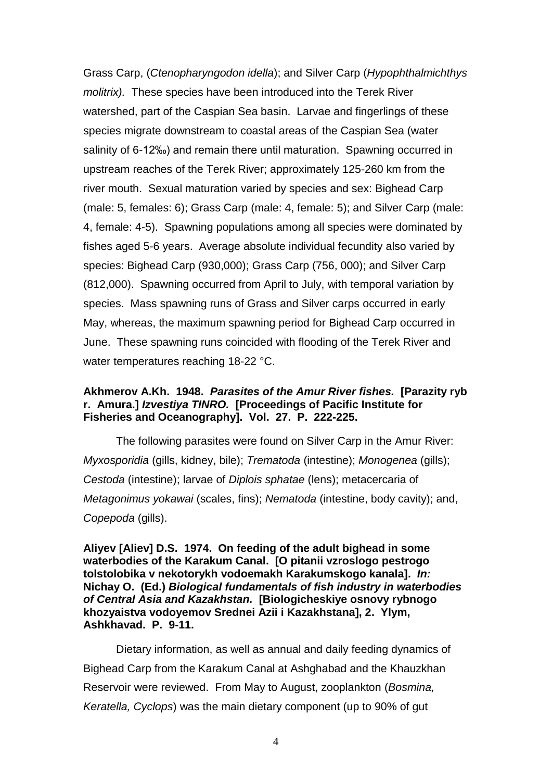Grass Carp, (*Ctenopharyngodon idella*); and Silver Carp (*Hypophthalmichthys molitrix).* These species have been introduced into the Terek River watershed, part of the Caspian Sea basin. Larvae and fingerlings of these species migrate downstream to coastal areas of the Caspian Sea (water salinity of 6-12‰) and remain there until maturation. Spawning occurred in upstream reaches of the Terek River; approximately 125-260 km from the river mouth. Sexual maturation varied by species and sex: Bighead Carp (male: 5, females: 6); Grass Carp (male: 4, female: 5); and Silver Carp (male: 4, female: 4-5). Spawning populations among all species were dominated by fishes aged 5-6 years. Average absolute individual fecundity also varied by species: Bighead Carp (930,000); Grass Carp (756, 000); and Silver Carp (812,000). Spawning occurred from April to July, with temporal variation by species. Mass spawning runs of Grass and Silver carps occurred in early May, whereas, the maximum spawning period for Bighead Carp occurred in June. These spawning runs coincided with flooding of the Terek River and water temperatures reaching 18-22 °C.

#### **Akhmerov A.Kh. 1948.** *Parasites of the Amur River fishes.* **[Parazity ryb r. Amura.]** *Izvestiya TINRO.* **[Proceedings of Pacific Institute for Fisheries and Oceanography]. Vol. 27. P. 222-225.**

The following parasites were found on Silver Carp in the Amur River: *Myxosporidia* (gills, kidney, bile); *Trematoda* (intestine); *Monogenea* (gills); *Cestoda* (intestine); larvae of *Diplois sphatae* (lens); metacercaria of *Metagonimus yokawai* (scales, fins); *Nematoda* (intestine, body cavity); and, *Copepoda* (gills).

**Aliyev [Aliev] D.S. 1974. On feeding of the adult bighead in some waterbodies of the Karakum Canal. [O pitanii vzroslogo pestrogo tolstolobika v nekotorykh vodoemakh Karakumskogo kanala].** *In:* **Nichay O. (Ed.)** *Biological fundamentals of fish industry in waterbodies of Central Asia and Kazakhstan.* **[Biologicheskiye osnovy rybnogo khozyaistva vodoyemov Srednei Azii i Kazakhstana], 2. Ylym, Ashkhavad. P. 9-11.** 

Dietary information, as well as annual and daily feeding dynamics of Bighead Carp from the Karakum Canal at Ashghabad and the Khauzkhan Reservoir were reviewed. From May to August, zooplankton (*Bosmina, Keratella, Cyclops*) was the main dietary component (up to 90% of gut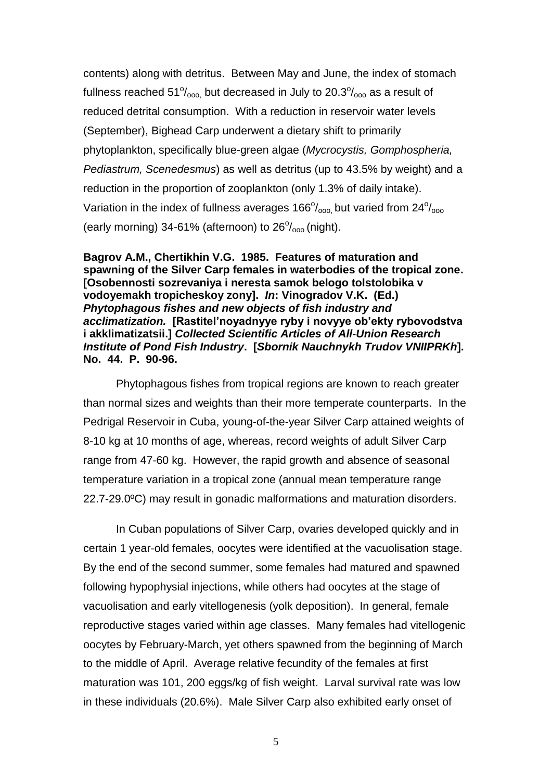contents) along with detritus. Between May and June, the index of stomach fullness reached 51 $\%$ <sub>000</sub>, but decreased in July to 20.3 $\%$ <sub>000</sub> as a result of reduced detrital consumption. With a reduction in reservoir water levels (September), Bighead Carp underwent a dietary shift to primarily phytoplankton, specifically blue-green algae (*Mycrocystis, Gomphospheria, Pediastrum, Scenedesmus*) as well as detritus (up to 43.5% by weight) and a reduction in the proportion of zooplankton (only 1.3% of daily intake). Variation in the index of fullness averages  $166^{\circ}/_{\text{000}}$  but varied from  $24^{\circ}/_{\text{000}}$ (early morning) 34-61% (afternoon) to  $26^{\circ}/_{\text{oo}}$  (night).

**Bagrov A.M., Chertikhin V.G. 1985. Features of maturation and spawning of the Silver Carp females in waterbodies of the tropical zone. [Osobennosti sozrevaniya i neresta samok belogo tolstolobika v vodoyemakh tropicheskoy zony].** *In***: Vinogradov V.K. (Ed.)**  *Phytophagous fishes and new objects of fish industry and acclimatization.* **[Rastitel'noyadnyye ryby i novyye ob'ekty rybovodstva i akklimatizatsii.]** *Collected Scientific Articles of All-Union Research Institute of Pond Fish Industry***. [***Sbornik Nauchnykh Trudov VNIIPRKh***]. No. 44. P. 90-96.** 

Phytophagous fishes from tropical regions are known to reach greater than normal sizes and weights than their more temperate counterparts. In the Pedrigal Reservoir in Cuba, young-of-the-year Silver Carp attained weights of 8-10 kg at 10 months of age, whereas, record weights of adult Silver Carp range from 47-60 kg. However, the rapid growth and absence of seasonal temperature variation in a tropical zone (annual mean temperature range 22.7-29.0ºC) may result in gonadic malformations and maturation disorders.

In Cuban populations of Silver Carp, ovaries developed quickly and in certain 1 year-old females, oocytes were identified at the vacuolisation stage. By the end of the second summer, some females had matured and spawned following hypophysial injections, while others had oocytes at the stage of vacuolisation and early vitellogenesis (yolk deposition). In general, female reproductive stages varied within age classes. Many females had vitellogenic oocytes by February-March, yet others spawned from the beginning of March to the middle of April. Average relative fecundity of the females at first maturation was 101, 200 eggs/kg of fish weight. Larval survival rate was low in these individuals (20.6%). Male Silver Carp also exhibited early onset of

5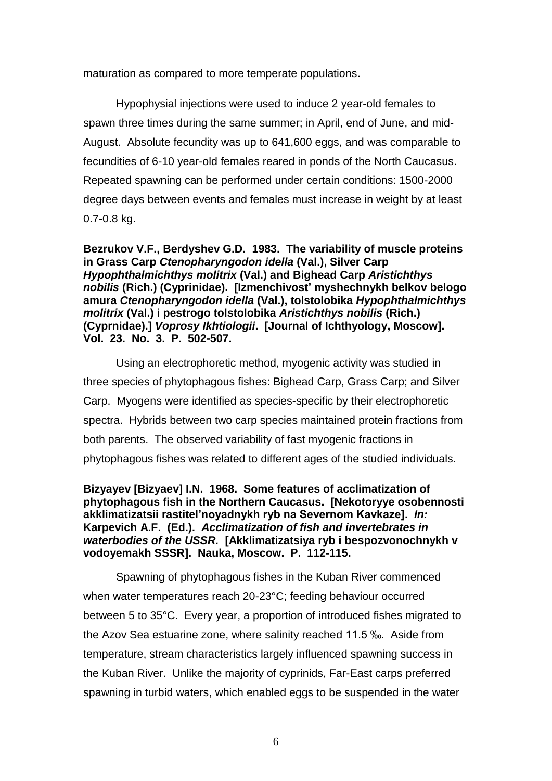maturation as compared to more temperate populations.

Hypophysial injections were used to induce 2 year-old females to spawn three times during the same summer; in April, end of June, and mid-August. Absolute fecundity was up to 641,600 eggs, and was comparable to fecundities of 6-10 year-old females reared in ponds of the North Caucasus. Repeated spawning can be performed under certain conditions: 1500-2000 degree days between events and females must increase in weight by at least 0.7-0.8 kg.

**Bezrukov V.F., Berdyshev G.D. 1983. The variability of muscle proteins in Grass Carp** *Ctenopharyngodon idella* **(Val.), Silver Carp** *Hypophthalmichthys molitrix* **(Val.) and Bighead Carp** *Aristichthys nobilis* **(Rich.) (Cyprinidae). [Izmenchivost' myshechnykh belkov belogo amura** *Ctenopharyngodon idella* **(Val.), tolstolobika** *Hypophthalmichthys molitrix* **(Val.) i pestrogo tolstolobika** *Aristichthys nobilis* **(Rich.) (Cyprnidae).]** *Voprosy Ikhtiologii***. [Journal of Ichthyology, Moscow]. Vol. 23. No. 3. P. 502-507.** 

Using an electrophoretic method, myogenic activity was studied in three species of phytophagous fishes: Bighead Carp, Grass Carp; and Silver Carp. Myogens were identified as species-specific by their electrophoretic spectra. Hybrids between two carp species maintained protein fractions from both parents. The observed variability of fast myogenic fractions in phytophagous fishes was related to different ages of the studied individuals.

# **Bizyayev [Bizyaev] I.N. 1968. Some features of acclimatization of phytophagous fish in the Northern Caucasus. [Nekotoryye osobennosti akklimatizatsii rastitel'noyadnykh ryb na Severnom Kavkaze].** *In:* **Karpevich A.F. (Ed.).** *Acclimatization of fish and invertebrates in waterbodies of the USSR.* **[Akklimatizatsiya ryb i bespozvonochnykh v vodoyemakh SSSR]. Nauka, Moscow. P. 112-115.**

Spawning of phytophagous fishes in the Kuban River commenced when water temperatures reach 20-23°C; feeding behaviour occurred between 5 to 35°C. Every year, a proportion of introduced fishes migrated to the Azov Sea estuarine zone, where salinity reached 11.5 ‰. Aside from temperature, stream characteristics largely influenced spawning success in the Kuban River. Unlike the majority of cyprinids, Far-East carps preferred spawning in turbid waters, which enabled eggs to be suspended in the water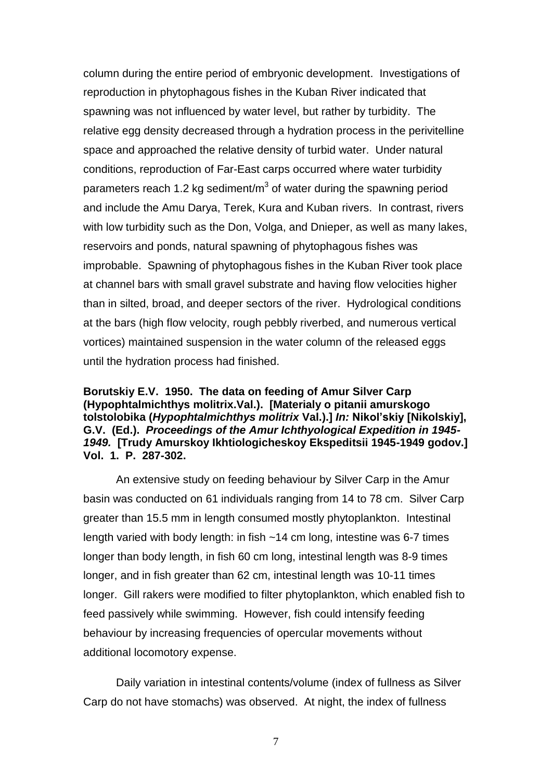column during the entire period of embryonic development. Investigations of reproduction in phytophagous fishes in the Kuban River indicated that spawning was not influenced by water level, but rather by turbidity. The relative egg density decreased through a hydration process in the perivitelline space and approached the relative density of turbid water. Under natural conditions, reproduction of Far-East carps occurred where water turbidity parameters reach 1.2 kg sediment/m<sup>3</sup> of water during the spawning period and include the Amu Darya, Terek, Kura and Kuban rivers. In contrast, rivers with low turbidity such as the Don, Volga, and Dnieper, as well as many lakes, reservoirs and ponds, natural spawning of phytophagous fishes was improbable. Spawning of phytophagous fishes in the Kuban River took place at channel bars with small gravel substrate and having flow velocities higher than in silted, broad, and deeper sectors of the river. Hydrological conditions at the bars (high flow velocity, rough pebbly riverbed, and numerous vertical vortices) maintained suspension in the water column of the released eggs until the hydration process had finished.

**Borutskiy E.V. 1950. The data on feeding of Amur Silver Carp (Hypophtalmichthys molitrix.Val.). [Materialy o pitanii amurskogo tolstolobika (***Hypophtalmichthys molitrix* **Val.).]** *In:* **Nikol'skiy [Nikolskiy], G.V. (Ed.).** *Proceedings of the Amur Ichthyological Expedition in 1945- 1949.* **[Trudy Amurskoy Ikhtiologicheskoy Ekspeditsii 1945-1949 godov.] Vol. 1. P. 287-302.** 

An extensive study on feeding behaviour by Silver Carp in the Amur basin was conducted on 61 individuals ranging from 14 to 78 cm. Silver Carp greater than 15.5 mm in length consumed mostly phytoplankton. Intestinal length varied with body length: in fish ~14 cm long, intestine was 6-7 times longer than body length, in fish 60 cm long, intestinal length was 8-9 times longer, and in fish greater than 62 cm, intestinal length was 10-11 times longer. Gill rakers were modified to filter phytoplankton, which enabled fish to feed passively while swimming. However, fish could intensify feeding behaviour by increasing frequencies of opercular movements without additional locomotory expense.

Daily variation in intestinal contents/volume (index of fullness as Silver Carp do not have stomachs) was observed. At night, the index of fullness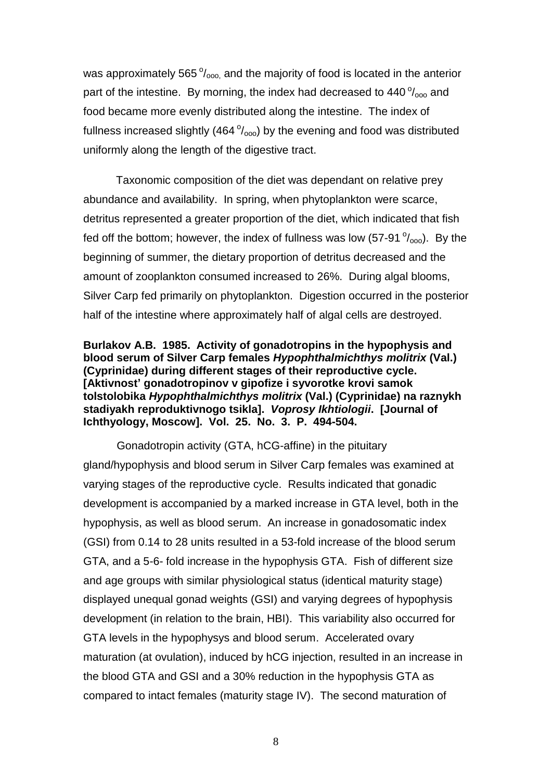was approximately 565 $\frac{0}{0000}$ , and the majority of food is located in the anterior part of the intestine. By morning, the index had decreased to  $440\degree/_{\text{oo}}$  and food became more evenly distributed along the intestine. The index of fullness increased slightly (464 $\frac{0}{000}$ ) by the evening and food was distributed uniformly along the length of the digestive tract.

Taxonomic composition of the diet was dependant on relative prey abundance and availability. In spring, when phytoplankton were scarce, detritus represented a greater proportion of the diet, which indicated that fish fed off the bottom; however, the index of fullness was low (57-91 $\degree$ /<sub>000</sub>). By the beginning of summer, the dietary proportion of detritus decreased and the amount of zooplankton consumed increased to 26%. During algal blooms, Silver Carp fed primarily on phytoplankton. Digestion occurred in the posterior half of the intestine where approximately half of algal cells are destroyed.

### **Burlakov A.B. 1985. Activity of gonadotropins in the hypophysis and blood serum of Silver Carp females** *Hypophthalmichthys molitrix* **(Val.) (Cyprinidae) during different stages of their reproductive cycle. [Aktivnost' gonadotropinov v gipofize i syvorotke krovi samok tolstolobika** *Hypophthalmichthys molitrix* **(Val.) (Cyprinidae) na raznykh stadiyakh reproduktivnogo tsikla].** *Voprosy Ikhtiologii***. [Journal of Ichthyology, Moscow]. Vol. 25. No. 3. P. 494-504.**

Gonadotropin activity (GTA, hCG-affine) in the pituitary gland/hypophysis and blood serum in Silver Carp females was examined at varying stages of the reproductive cycle. Results indicated that gonadic development is accompanied by a marked increase in GTA level, both in the hypophysis, as well as blood serum. An increase in gonadosomatic index (GSI) from 0.14 to 28 units resulted in a 53-fold increase of the blood serum GTA, and a 5-6- fold increase in the hypophysis GTA. Fish of different size and age groups with similar physiological status (identical maturity stage) displayed unequal gonad weights (GSI) and varying degrees of hypophysis development (in relation to the brain, HBI). This variability also occurred for GTA levels in the hypophysys and blood serum. Accelerated ovary maturation (at ovulation), induced by hCG injection, resulted in an increase in the blood GTA and GSI and a 30% reduction in the hypophysis GTA as compared to intact females (maturity stage IV). The second maturation of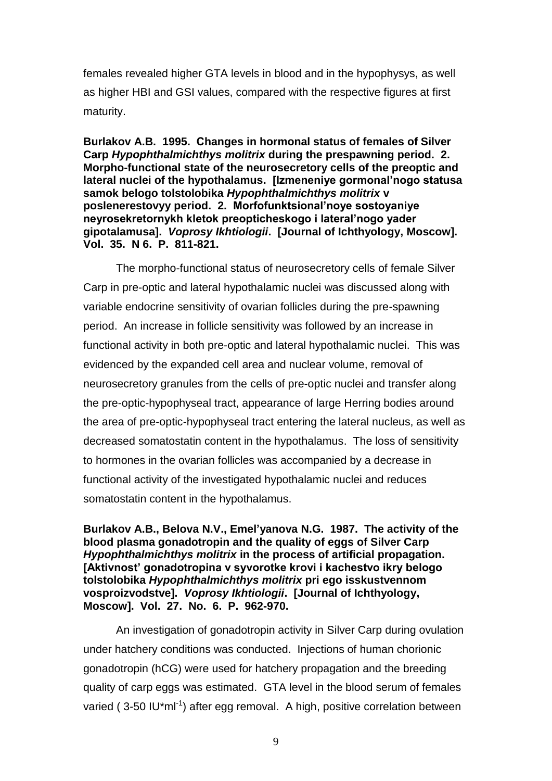females revealed higher GTA levels in blood and in the hypophysys, as well as higher HBI and GSI values, compared with the respective figures at first maturity.

**Burlakov A.B. 1995. Сhanges in hormonal status of females of Silver Carp** *Hypophthalmichthys molitrix* **during the prespawning period. 2. Morpho-functional state of the neurosecretory cells of the preoptic and lateral nuclei of the hypothalamus. [Izmeneniye gormonal'nogo statusa samok belogo tolstolobika** *Hypophthalmichthys molitrix* **v poslenerestovyy period. 2. Morfofunktsional'noye sostoyaniye neyrosekretornykh kletok preopticheskogo i lateral'nogo yader gipotalamusa].** *Voprosy Ikhtiologii***. [Journal of Ichthyology, Moscow]. Vol. 35. N 6. P. 811-821.** 

The morpho-functional status of neurosecretory cells of female Silver Carp in pre-optic and lateral hypothalamic nuclei was discussed along with variable endocrine sensitivity of ovarian follicles during the pre-spawning period. An increase in follicle sensitivity was followed by an increase in functional activity in both pre-optic and lateral hypothalamic nuclei. This was evidenced by the expanded cell area and nuclear volume, removal of neurosecretory granules from the cells of pre-optic nuclei and transfer along the pre-optic-hypophyseal tract, appearance of large Herring bodies around the area of pre-optic-hypophyseal tract entering the lateral nucleus, as well as decreased somatostatin content in the hypothalamus. The loss of sensitivity to hormones in the ovarian follicles was accompanied by a decrease in functional activity of the investigated hypothalamic nuclei and reduces somatostatin content in the hypothalamus.

**Burlakov A.B., Belova N.V., Emel'yanova N.G. 1987. The activity of the blood plasma gonadotropin and the quality of eggs of Silver Carp**  *Hypophthalmichthys molitrix* **in the process of artificial propagation. [Aktivnost' gonadotropina v syvorotke krovi i kachestvo ikry belogo tolstolobika** *Hypophthalmichthys molitrix* **pri ego isskustvennom vosproizvodstve].** *Voprosy Ikhtiologii***. [Journal of Ichthyology, Moscow]. Vol. 27. No. 6. P. 962-970.** 

An investigation of gonadotropin activity in Silver Carp during ovulation under hatchery conditions was conducted. Injections of human chorionic gonadotropin (hCG) were used for hatchery propagation and the breeding quality of carp eggs was estimated. GTA level in the blood serum of females varied (3-50 IU\*ml<sup>-1</sup>) after egg removal. A high, positive correlation between

9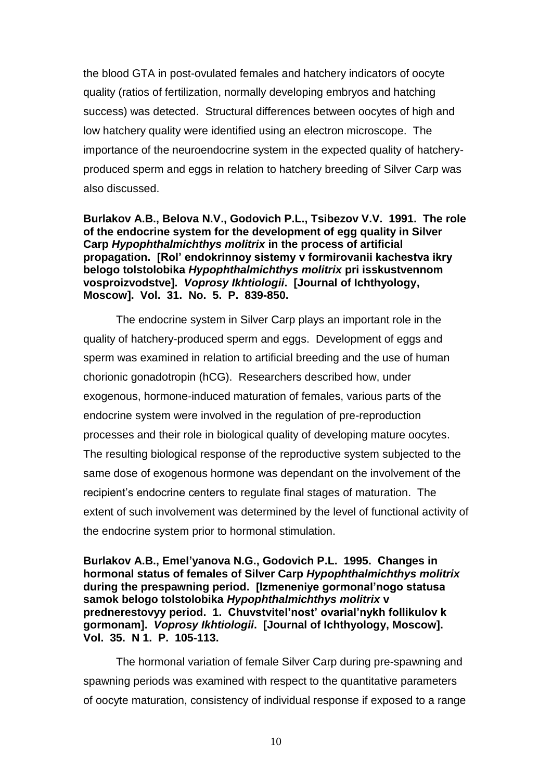the blood GTA in post-ovulated females and hatchery indicators of oocyte quality (ratios of fertilization, normally developing embryos and hatching success) was detected. Structural differences between oocytes of high and low hatchery quality were identified using an electron microscope. The importance of the neuroendocrine system in the expected quality of hatcheryproduced sperm and eggs in relation to hatchery breeding of Silver Carp was also discussed.

**Burlakov A.B., Belova N.V., Godovich P.L., Tsibezov V.V. 1991. The role of the endocrine system for the development of egg quality in Silver Carp** *Hypophthalmichthys molitrix* **in the process of artificial propagation. [Rol' endokrinnoy sistemy v formirovanii kachestva ikry belogo tolstolobika** *Hypophthalmichthys molitrix* **pri isskustvennom vosproizvodstve].** *Voprosy Ikhtiologii***. [Journal of Ichthyology, Moscow]. Vol. 31. No. 5. P. 839-850.** 

The endocrine system in Silver Carp plays an important role in the quality of hatchery-produced sperm and eggs. Development of eggs and sperm was examined in relation to artificial breeding and the use of human chorionic gonadotropin (hCG). Researchers described how, under exogenous, hormone-induced maturation of females, various parts of the endocrine system were involved in the regulation of pre-reproduction processes and their role in biological quality of developing mature oocytes. The resulting biological response of the reproductive system subjected to the same dose of exogenous hormone was dependant on the involvement of the recipient's endocrine centers to regulate final stages of maturation. The extent of such involvement was determined by the level of functional activity of the endocrine system prior to hormonal stimulation.

**Burlakov A.B., Emel'yanova N.G., Godovich P.L. 1995. Сhanges in hormonal status of females of Silver Carp** *Hypophthalmichthys molitrix* **during the prespawning period. [Izmeneniye gormonal'nogo statusa samok belogo tolstolobika** *Hypophthalmichthys molitrix* **v prednerestovyy period. 1. Chuvstvitel'nost' ovarial'nykh follikulov k gormonam].** *Voprosy Ikhtiologii***. [Journal of Ichthyology, Moscow]. Vol. 35. N 1. P. 105-113.** 

The hormonal variation of female Silver Carp during pre-spawning and spawning periods was examined with respect to the quantitative parameters of oocyte maturation, consistency of individual response if exposed to a range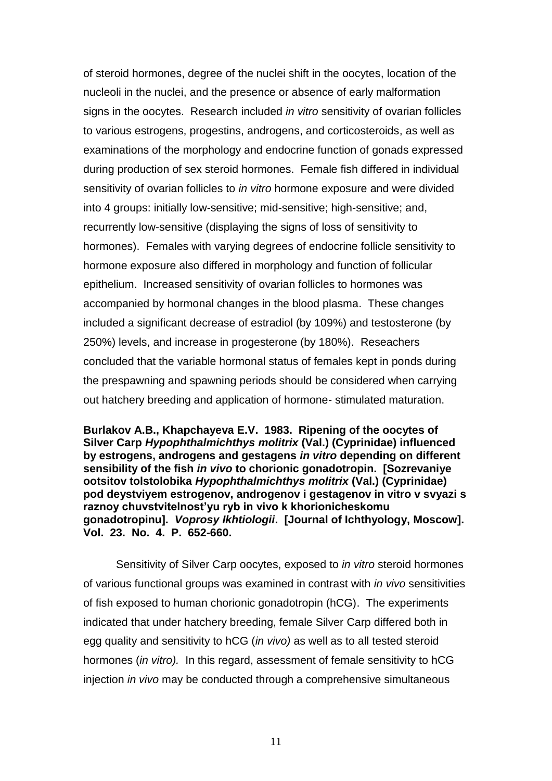of steroid hormones, degree of the nuclei shift in the oocytes, location of the nucleoli in the nuclei, and the presence or absence of early malformation signs in the oocytes. Research included *in vitro* sensitivity of ovarian follicles to various estrogens, progestins, androgens, and corticosteroids, as well as examinations of the morphology and endocrine function of gonads expressed during production of sex steroid hormones. Female fish differed in individual sensitivity of ovarian follicles to *in vitro* hormone exposure and were divided into 4 groups: initially low-sensitive; mid-sensitive; high-sensitive; and, recurrently low-sensitive (displaying the signs of loss of sensitivity to hormones). Females with varying degrees of endocrine follicle sensitivity to hormone exposure also differed in morphology and function of follicular epithelium. Increased sensitivity of ovarian follicles to hormones was accompanied by hormonal changes in the blood plasma. These changes included a significant decrease of estradiol (by 109%) and testosterone (by 250%) levels, and increase in progesterone (by 180%). Reseachers concluded that the variable hormonal status of females kept in ponds during the prespawning and spawning periods should be considered when carrying out hatchery breeding and application of hormone- stimulated maturation.

**Burlakov A.B., Khapchayeva E.V. 1983. Ripening of the oocytes of Silver Carp** *Hypophthalmichthys molitrix* **(Val.) (Cyprinidae) influenced by estrogens, androgens and gestagens** *in vitro* **depending on different sensibility of the fish** *in vivo* **to chorionic gonadotropin. [Sozrevaniye ootsitov tolstolobika** *Hypophthalmichthys molitrix* **(Val.) (Cyprinidae) pod deystviyem estrogenov, androgenov i gestagenov in vitro v svyazi s raznoy chuvstvitelnost'yu ryb in vivo k khorionicheskomu gonadotropinu].** *Voprosy Ikhtiologii***. [Journal of Ichthyology, Moscow]. Vol. 23. No. 4. P. 652-660.** 

Sensitivity of Silver Carp oocytes, exposed to *in vitro* steroid hormones of various functional groups was examined in contrast with *in vivo* sensitivities of fish exposed to human chorionic gonadotropin (hCG). The experiments indicated that under hatchery breeding, female Silver Carp differed both in egg quality and sensitivity to hCG (*in vivo)* as well as to all tested steroid hormones (*in vitro).* In this regard, assessment of female sensitivity to hCG injection *in vivo* may be conducted through a comprehensive simultaneous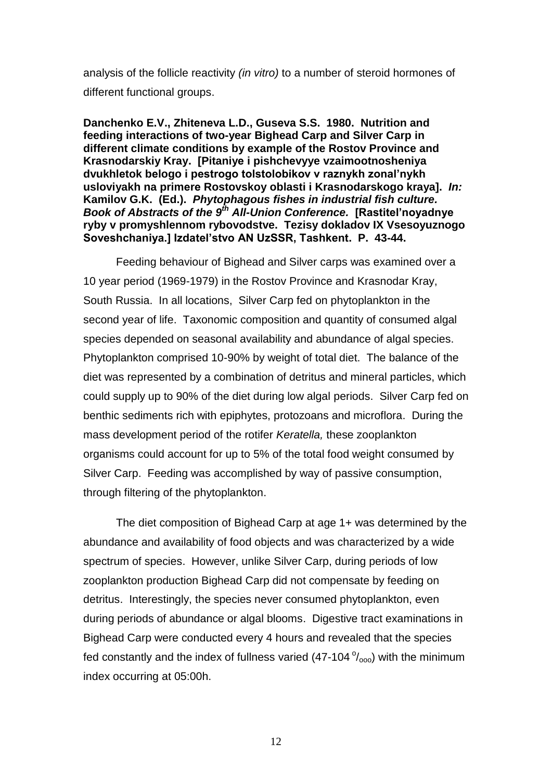analysis of the follicle reactivity *(in vitro)* to a number of steroid hormones of different functional groups.

**Danchеnko E.V., Zhitеnеva L.D., Gusеva S.S. 1980. Nutrition and feeding interactions of two-year Bighead Carp and Silver Carp in different climate conditions by example of the Rostov Province and Krasnodarskiy Kray. [Pitaniyе i pishchеvyye vzaimootnoshеniya dvukhlеtok bеlogo i pеstrogo tolstolobikov v raznykh zonal'nykh usloviyakh na primеrе Rostovskoy oblasti i Krasnodarskogo kraya].** *In:* **Kamilov G.K. (Ed.).** *Phytophagous fishes in industrial fish culture. Book of Abstracts of the 9th All-Union Conference.* **[Rastitel'noyadnye ryby v promyshlennom rybovodstve. Tezisy dokladov IX Vsesoyuznogo Soveshchaniya.] Izdatel'stvo AN UzSSR, Tashkent. P. 43-44.** 

Feeding behaviour of Bighead and Silver carps was examined over a 10 year period (1969-1979) in the Rostov Province and Krasnodar Kray, South Russia. In all locations, Silver Carp fed on phytoplankton in the second year of life. Taxonomic composition and quantity of consumed algal species depended on seasonal availability and abundance of algal species. Phytoplankton comprised 10-90% by weight of total diet. The balance of the diet was represented by a combination of detritus and mineral particles, which could supply up to 90% of the diet during low algal periods. Silver Carp fed on benthic sediments rich with epiphytes, protozoans and microflora. During the mass development period of the rotifer *Keratella,* these zooplankton organisms could account for up to 5% of the total food weight consumed by Silver Carp. Feeding was accomplished by way of passive consumption, through filtering of the phytoplankton.

The diet composition of Bighead Carp at age 1+ was determined by the abundance and availability of food objects and was characterized by a wide spectrum of species. However, unlike Silver Carp, during periods of low zooplankton production Bighead Carp did not compensate by feeding on detritus. Interestingly, the species never consumed phytoplankton, even during periods of abundance or algal blooms. Digestive tract examinations in Bighead Carp were conducted every 4 hours and revealed that the species fed constantly and the index of fullness varied  $(47-104 \degree/_{\text{000}})$  with the minimum index occurring at 05:00h.

12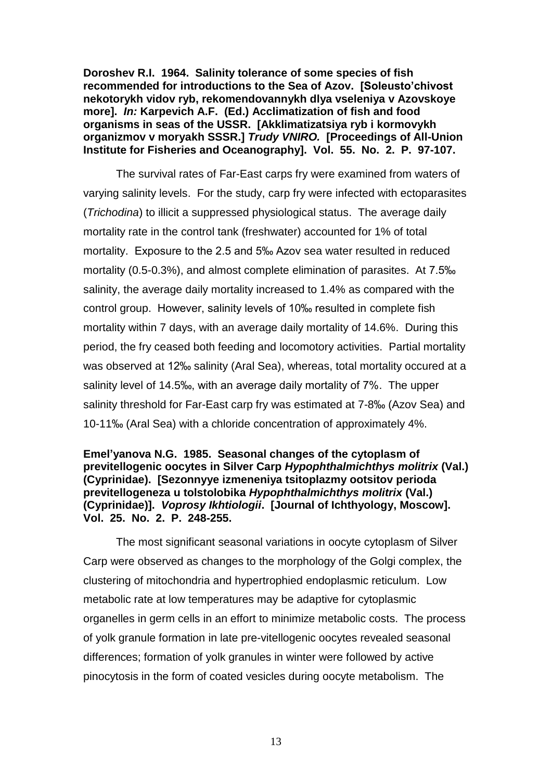**Doroshev R.I. 1964. Salinity tolerance of some species of fish recommended for introductions to the Sea of Azov. [Soleusto'chivost nekotorykh vidov ryb, rekomendovannykh dlya vseleniya v Azovskoye more].** *In:* **Karpevich A.F. (Ed.) Acclimatization of fish and food organisms in seas of the USSR. [Akklimatizatsiya ryb i kormovykh organizmov v moryakh SSSR.]** *Trudy VNIRO.* **[Proceedings of All-Union Institute for Fisheries and Oceanography]. Vol. 55. No. 2. P. 97-107.** 

The survival rates of Far-East carps fry were examined from waters of varying salinity levels. For the study, carp fry were infected with ectoparasites (*Trichodina*) to illicit a suppressed physiological status. The average daily mortality rate in the control tank (freshwater) accounted for 1% of total mortality. Exposure to the 2.5 and 5‰ Azov sea water resulted in reduced mortality (0.5-0.3%), and almost complete elimination of parasites. At 7.5‰ salinity, the average daily mortality increased to 1.4% as compared with the control group. However, salinity levels of 10‰ resulted in complete fish mortality within 7 days, with an average daily mortality of 14.6%. During this period, the fry ceased both feeding and locomotory activities. Partial mortality was observed at 12‰ salinity (Aral Sea), whereas, total mortality occured at a salinity level of 14.5‰, with an average daily mortality of 7%. The upper salinity threshold for Far-East carp fry was estimated at 7-8‰ (Azov Sea) and 10-11‰ (Aral Sea) with a chloride concentration of approximately 4%.

#### **Emel'yanova N.G. 1985. Seasonal changes of the cytoplasm of previtellogenic oocytes in Silver Carp** *Hypophthalmichthys molitrix* **(Val.) (Cyprinidae). [Sezonnyye izmeneniya tsitoplazmy ootsitov perioda previtellogeneza u tolstolobika** *Hypophthalmichthys molitrix* **(Val.) (Cyprinidae)].** *Voprosy Ikhtiologii***. [Journal of Ichthyology, Moscow]. Vol. 25. No. 2. P. 248-255.**

The most significant seasonal variations in oocyte cytoplasm of Silver Carp were observed as changes to the morphology of the Golgi complex, the clustering of mitochondria and hypertrophied endoplasmic reticulum. Low metabolic rate at low temperatures may be adaptive for cytoplasmic organelles in germ cells in an effort to minimize metabolic costs. The process of yolk granule formation in late pre-vitellogenic oocytes revealed seasonal differences; formation of yolk granules in winter were followed by active pinocytosis in the form of coated vesicles during oocyte metabolism. The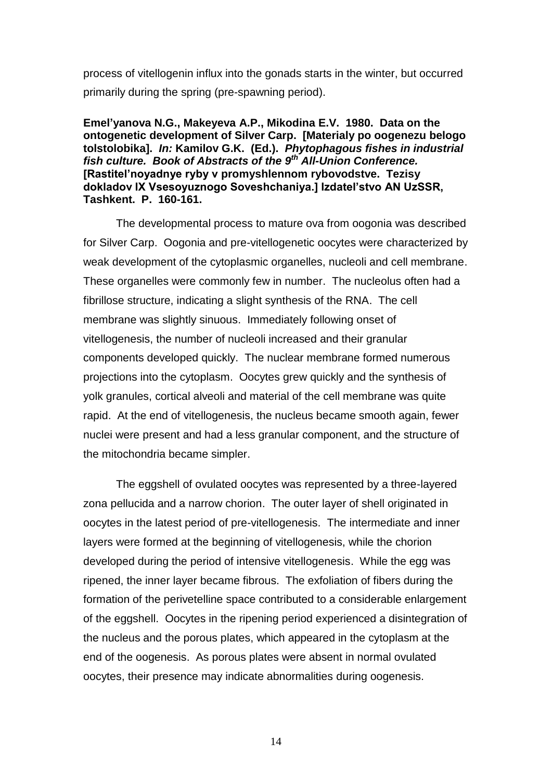process of vitellogenin influx into the gonads starts in the winter, but occurred primarily during the spring (pre-spawning period).

**Emel'yanova N.G., Makeyeva A.P., Mikodina E.V. 1980. Data on the ontogenetic development of Silver Carp. [Materialy po oogenezu belogo tolstolobika].** *In:* **Kamilov G.K. (Ed.).** *Phytophagous fishes in industrial fish culture. Book of Abstracts of the 9th All-Union Conference.*  **[Rastitel'noyadnye ryby v promyshlennom rybovodstve. Tezisy dokladov IX Vsesoyuznogo Soveshchaniya.] Izdatel'stvo AN UzSSR, Tashkent. P. 160-161.** 

The developmental process to mature ova from oogonia was described for Silver Carp. Oogonia and pre-vitellogenetic oocytes were characterized by weak development of the cytoplasmic organelles, nucleoli and cell membrane. These organelles were commonly few in number. The nucleolus often had a fibrillose structure, indicating a slight synthesis of the RNA. The cell membrane was slightly sinuous. Immediately following onset of vitellogenesis, the number of nucleoli increased and their granular components developed quickly. The nuclear membrane formed numerous projections into the cytoplasm. Oocytes grew quickly and the synthesis of yolk granules, cortical alveoli and material of the cell membrane was quite rapid. At the end of vitellogenesis, the nucleus became smooth again, fewer nuclei were present and had a less granular component, and the structure of the mitochondria became simpler.

The eggshell of ovulated oocytes was represented by a three-layered zona pellucida and a narrow chorion. The outer layer of shell originated in oocytes in the latest period of pre-vitellogenesis. The intermediate and inner layers were formed at the beginning of vitellogenesis, while the chorion developed during the period of intensive vitellogenesis. While the egg was ripened, the inner layer became fibrous. The exfoliation of fibers during the formation of the perivetelline space contributed to a considerable enlargement of the eggshell. Oocytes in the ripening period experienced a disintegration of the nucleus and the porous plates, which appeared in the cytoplasm at the end of the oogenesis. As porous plates were absent in normal ovulated oocytes, their presence may indicate abnormalities during oogenesis.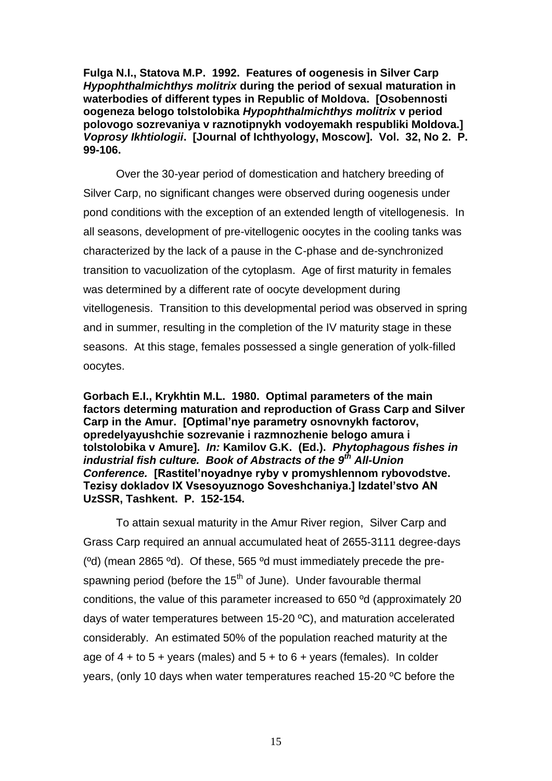**Fulga N.I., Statova M.P. 1992. Features of oogenesis in Silver Carp**  *Hypophthalmichthys molitrix* **during the period of sexual maturation in waterbodies of different types in Republic of Moldova. [Osobennosti oogeneza belogo tolstolobika** *Hypophthalmichthys molitrix* **v period polovogo sozrevaniya v raznotipnykh vodoyemakh respubliki Moldova.]**  *Voprosy Ikhtiologii***. [Journal of Ichthyology, Moscow]. Vol. 32, No 2. P. 99-106.** 

Over the 30-year period of domestication and hatchery breeding of Silver Carp, no significant changes were observed during oogenesis under pond conditions with the exception of an extended length of vitellogenesis. In all seasons, development of pre-vitellogenic oocytes in the cooling tanks was characterized by the lack of a pause in the C-phase and de-synchronized transition to vacuolization of the cytoplasm. Age of first maturity in females was determined by a different rate of oocyte development during vitellogenesis. Transition to this developmental period was observed in spring and in summer, resulting in the completion of the IV maturity stage in these seasons. At this stage, females possessed a single generation of yolk-filled oocytes.

**Gorbach E.I., Krykhtin M.L. 1980. Optimal parameters of the main factors determing maturation and reproduction of Grass Carp and Silver Carp in the Amur. [Optimal'nye parametry osnovnykh factorov, opredelyayushchie sozrevanie i razmnozhenie belogo amura i tolstolobika v Amure].** *In:* **Kamilov G.K. (Ed.).** *Phytophagous fishes in industrial fish culture. Book of Abstracts of the 9th All-Union Conference.* **[Rastitel'noyadnye ryby v promyshlennom rybovodstve. Tezisy dokladov IX Vsesoyuznogo Soveshchaniya.] Izdatel'stvo AN UzSSR, Tashkent. P. 152-154.** 

To attain sexual maturity in the Amur River region, Silver Carp and Grass Carp required an annual accumulated heat of 2655-3111 degree-days (ºd) (mean 2865 ºd). Of these, 565 ºd must immediately precede the prespawning period (before the  $15<sup>th</sup>$  of June). Under favourable thermal conditions, the value of this parameter increased to 650 ºd (approximately 20 days of water temperatures between 15-20 ºC), and maturation accelerated considerably. An estimated 50% of the population reached maturity at the age of  $4 +$  to  $5 +$  years (males) and  $5 +$  to  $6 +$  years (females). In colder years, (only 10 days when water temperatures reached 15-20 ºC before the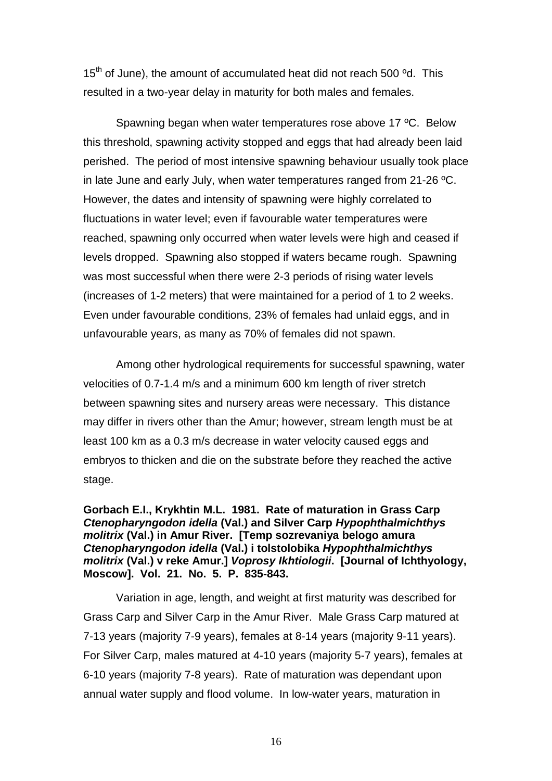$15<sup>th</sup>$  of June), the amount of accumulated heat did not reach 500  $^{\circ}$ d. This resulted in a two-year delay in maturity for both males and females.

Spawning began when water temperatures rose above 17 ºC. Below this threshold, spawning activity stopped and eggs that had already been laid perished. The period of most intensive spawning behaviour usually took place in late June and early July, when water temperatures ranged from 21-26 ºC. However, the dates and intensity of spawning were highly correlated to fluctuations in water level; even if favourable water temperatures were reached, spawning only occurred when water levels were high and ceased if levels dropped. Spawning also stopped if waters became rough. Spawning was most successful when there were 2-3 periods of rising water levels (increases of 1-2 meters) that were maintained for a period of 1 to 2 weeks. Even under favourable conditions, 23% of females had unlaid eggs, and in unfavourable years, as many as 70% of females did not spawn.

Among other hydrological requirements for successful spawning, water velocities of 0.7-1.4 m/s and a minimum 600 km length of river stretch between spawning sites and nursery areas were necessary. This distance may differ in rivers other than the Amur; however, stream length must be at least 100 km as a 0.3 m/s decrease in water velocity caused eggs and embryos to thicken and die on the substrate before they reached the active stage.

**Gorbach E.I., Krykhtin M.L. 1981. Rate of maturation in Grass Carp** *Ctenopharyngodon idella* **(Val.) and Silver Carp** *Hypophthalmichthys molitrix* **(Val.) in Amur River. [Temp sozrevaniya belogo amura** *Ctenopharyngodon idella* **(Val.) i tolstolobika** *Hypophthalmichthys molitrix* **(Val.) v reke Amur.]** *Voprosy Ikhtiologii***. [Journal of Ichthyology, Moscow]. Vol. 21. No. 5. P. 835-843.** 

Variation in age, length, and weight at first maturity was described for Grass Carp and Silver Carp in the Amur River. Male Grass Carp matured at 7-13 years (majority 7-9 years), females at 8-14 years (majority 9-11 years). For Silver Carp, males matured at 4-10 years (majority 5-7 years), females at 6-10 years (majority 7-8 years). Rate of maturation was dependant upon annual water supply and flood volume. In low-water years, maturation in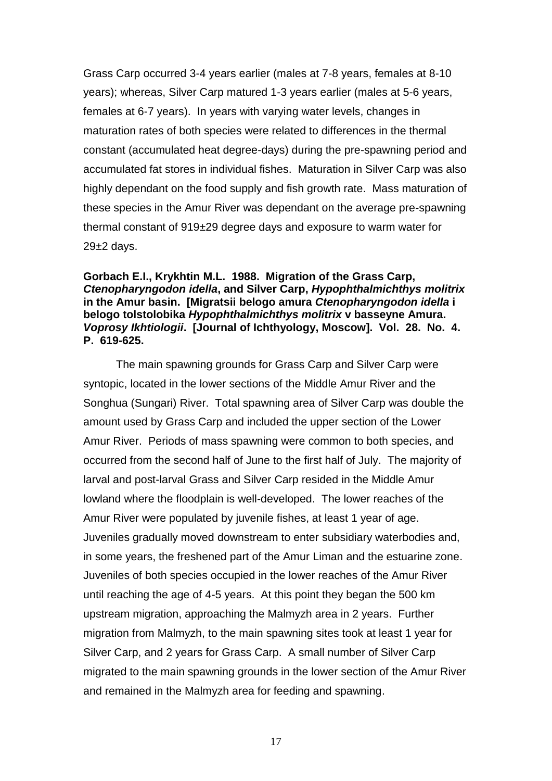Grass Carp occurred 3-4 years earlier (males at 7-8 years, females at 8-10 years); whereas, Silver Carp matured 1-3 years earlier (males at 5-6 years, females at 6-7 years). In years with varying water levels, changes in maturation rates of both species were related to differences in the thermal constant (accumulated heat degree-days) during the pre-spawning period and accumulated fat stores in individual fishes. Maturation in Silver Carp was also highly dependant on the food supply and fish growth rate. Mass maturation of these species in the Amur River was dependant on the average pre-spawning thermal constant of 919±29 degree days and exposure to warm water for  $29±2$  days.

#### **Gorbach E.I., Krykhtin M.L. 1988. Migration of the Grass Carp,**  *Ctenopharyngodon idella***, and Silver Carp,** *Hypophthalmichthys molitrix* **in the Amur basin. [Migratsii belogo amura** *Ctenopharyngodon idella* **i belogo tolstolobika** *Hypophthalmichthys molitrix* **v basseyne Amura.**  *Voprosy Ikhtiologii***. [Journal of Ichthyology, Moscow]. Vol. 28. No. 4. P. 619-625.**

The main spawning grounds for Grass Carp and Silver Carp were syntopic, located in the lower sections of the Middle Amur River and the Songhua (Sungari) River. Total spawning area of Silver Carp was double the amount used by Grass Carp and included the upper section of the Lower Amur River. Periods of mass spawning were common to both species, and occurred from the second half of June to the first half of July. The majority of larval and post-larval Grass and Silver Carp resided in the Middle Amur lowland where the floodplain is well-developed. The lower reaches of the Amur River were populated by juvenile fishes, at least 1 year of age. Juveniles gradually moved downstream to enter subsidiary waterbodies and, in some years, the freshened part of the Amur Liman and the estuarine zone. Juveniles of both species occupied in the lower reaches of the Amur River until reaching the age of 4-5 years. At this point they began the 500 km upstream migration, approaching the Malmyzh area in 2 years. Further migration from Malmyzh, to the main spawning sites took at least 1 year for Silver Carp, and 2 years for Grass Carp. A small number of Silver Carp migrated to the main spawning grounds in the lower section of the Amur River and remained in the Malmyzh area for feeding and spawning.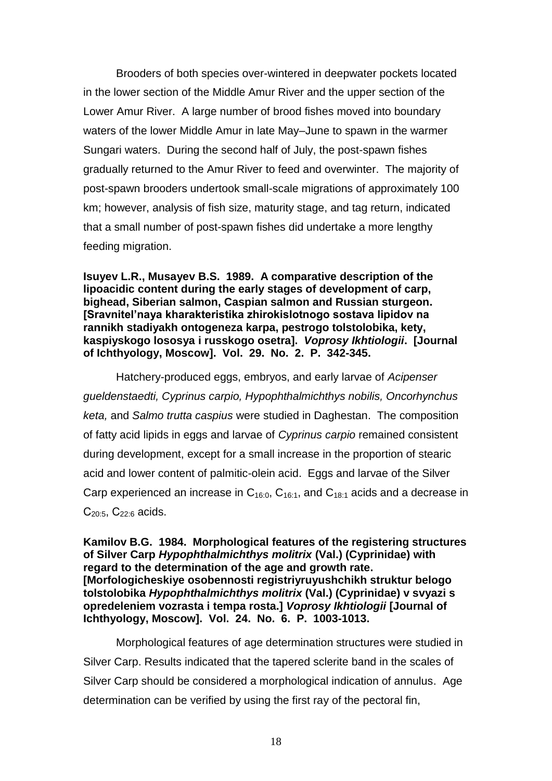Brooders of both species over-wintered in deepwater pockets located in the lower section of the Middle Amur River and the upper section of the Lower Amur River. A large number of brood fishes moved into boundary waters of the lower Middle Amur in late May–June to spawn in the warmer Sungari waters. During the second half of July, the post-spawn fishes gradually returned to the Amur River to feed and overwinter. The majority of post-spawn brooders undertook small-scale migrations of approximately 100 km; however, analysis of fish size, maturity stage, and tag return, indicated that a small number of post-spawn fishes did undertake a more lengthy feeding migration.

**Isuyev L.R., Musayev B.S. 1989. A comparative description of the lipoacidic content during the early stages of development of carp, bighead, Siberian salmon, Caspian salmon and Russian sturgeon. [Sravnitel'naya kharakteristika zhirokislotnogo sostava lipidov na rannikh stadiyakh ontogeneza karpa, pestrogo tolstolobika, kety, kaspiyskogo lososya i russkogo osetra].** *Voprosy Ikhtiologii***. [Journal of Ichthyology, Moscow]. Vol. 29. No. 2. P. 342-345.** 

Hatchery-produced eggs, embryos, and early larvae of *Acipenser gueldenstaedti, Cyprinus carpio, Hypophthalmichthys nobilis, Oncorhynchus keta,* and *Salmo trutta caspius* were studied in Daghestan. The composition of fatty acid lipids in eggs and larvae of *Cyprinus carpio* remained consistent during development, except for a small increase in the proportion of stearic acid and lower content of palmitic-olein acid. Eggs and larvae of the Silver Carp experienced an increase in  $C_{16:0}$ ,  $C_{16:1}$ , and  $C_{18:1}$  acids and a decrease in  $C_{20.5}$ ,  $C_{22.6}$  acids.

**Kamilov B.G. 1984. Morphological features of the registering structures of Silver Carp** *Hypophthalmichthys molitrix* **(Val.) (Cyprinidae) with regard to the determination of the age and growth rate. [Morfologicheskiye osobennosti registriyruyushchikh struktur belogo tolstolobika** *Hypophthalmichthys molitrix* **(Val.) (Cyprinidae) v svyazi s opredeleniem vozrasta i tempa rosta.]** *Voprosy Ikhtiologii* **[Journal of Ichthyology, Moscow]. Vol. 24. No. 6. P. 1003-1013.** 

Morphological features of age determination structures were studied in Silver Carp. Results indicated that the tapered sclerite band in the scales of Silver Carp should be considered a morphological indication of annulus. Age determination can be verified by using the first ray of the pectoral fin,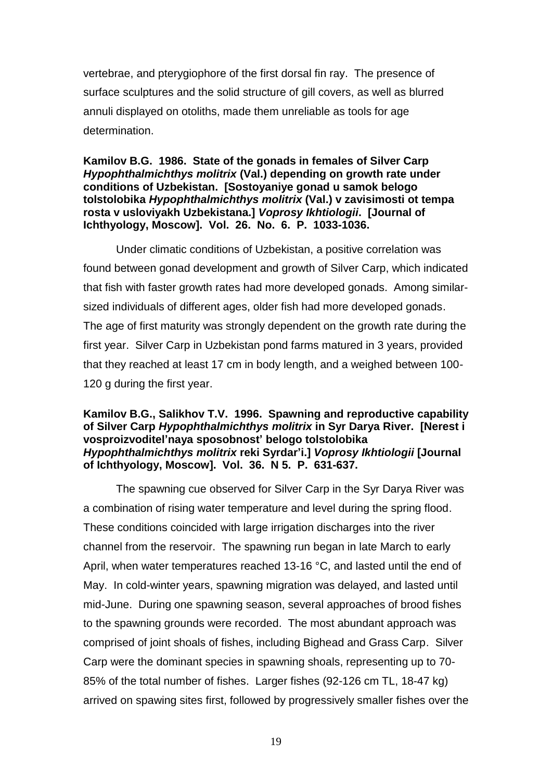vertebrae, and pterygiophore of the first dorsal fin ray. The presence of surface sculptures and the solid structure of gill covers, as well as blurred annuli displayed on otoliths, made them unreliable as tools for age determination.

#### **Kamilov B.G. 1986. State of the gonads in females of Silver Carp**  *Hypophthalmichthys molitrix* **(Val.) depending on growth rate under conditions of Uzbekistan. [Sostoyaniye gonad u samok belogo tolstolobika** *Hypophthalmichthys molitrix* **(Val.) v zavisimosti ot tempa rosta v usloviyakh Uzbekistana.]** *Voprosy Ikhtiologii***. [Journal of Ichthyology, Moscow]. Vol. 26. No. 6. P. 1033-1036.**

Under climatic conditions of Uzbekistan, a positive correlation was found between gonad development and growth of Silver Carp, which indicated that fish with faster growth rates had more developed gonads. Among similarsized individuals of different ages, older fish had more developed gonads. The age of first maturity was strongly dependent on the growth rate during the first year. Silver Carp in Uzbekistan pond farms matured in 3 years, provided that they reached at least 17 cm in body length, and a weighed between 100- 120 g during the first year.

#### **Kamilov B.G., Salikhov T.V. 1996. Spawning and reproductive capability of Silver Carp** *Hypophthalmichthys molitrix* **in Syr Darya River. [Nerest i vosproizvoditel'naya sposobnost' belogo tolstolobika** *Hypophthalmichthys molitrix* **reki Syrdar'i.]** *Voprosy Ikhtiologii* **[Journal of Ichthyology, Moscow]. Vol. 36. N 5. P. 631-637.**

The spawning cue observed for Silver Carp in the Syr Darya River was a combination of rising water temperature and level during the spring flood. These conditions coincided with large irrigation discharges into the river channel from the reservoir. The spawning run began in late March to early April, when water temperatures reached 13-16 °C, and lasted until the end of May. In cold-winter years, spawning migration was delayed, and lasted until mid-June. During one spawning season, several approaches of brood fishes to the spawning grounds were recorded. The most abundant approach was comprised of joint shoals of fishes, including Bighead and Grass Carp. Silver Carp were the dominant species in spawning shoals, representing up to 70- 85% of the total number of fishes. Larger fishes (92-126 cm TL, 18-47 kg) arrived on spawing sites first, followed by progressively smaller fishes over the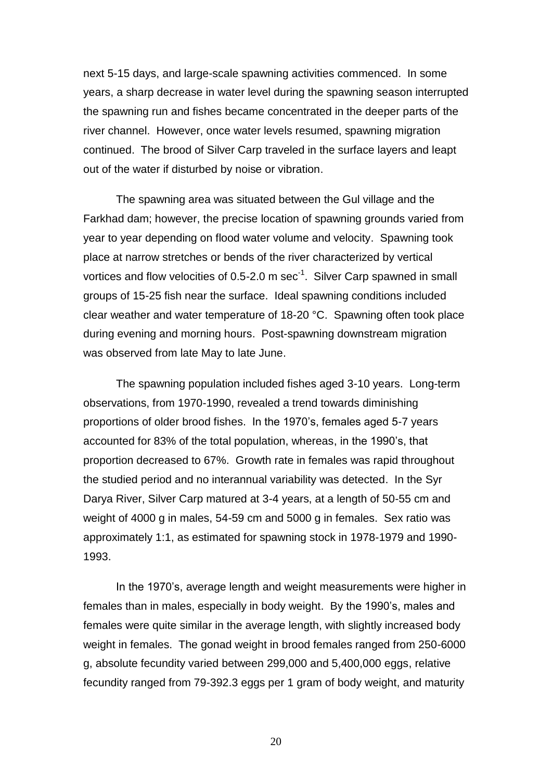next 5-15 days, and large-scale spawning activities commenced. In some years, a sharp decrease in water level during the spawning season interrupted the spawning run and fishes became concentrated in the deeper parts of the river channel. However, once water levels resumed, spawning migration continued. The brood of Silver Carp traveled in the surface layers and leapt out of the water if disturbed by noise or vibration.

The spawning area was situated between the Gul village and the Farkhad dam; however, the precise location of spawning grounds varied from year to year depending on flood water volume and velocity. Spawning took place at narrow stretches or bends of the river characterized by vertical vortices and flow velocities of 0.5-2.0 m sec<sup>-1</sup>. Silver Carp spawned in small groups of 15-25 fish near the surface. Ideal spawning conditions included clear weather and water temperature of 18-20 °C. Spawning often took place during evening and morning hours. Post-spawning downstream migration was observed from late May to late June.

The spawning population included fishes aged 3-10 years. Long-term observations, from 1970-1990, revealed a trend towards diminishing proportions of older brood fishes. In the 1970's, females aged 5-7 years accounted for 83% of the total population, whereas, in the 1990's, that proportion decreased to 67%. Growth rate in females was rapid throughout the studied period and no interannual variability was detected. In the Syr Darya River, Silver Carp matured at 3-4 years, at a length of 50-55 cm and weight of 4000 g in males, 54-59 cm and 5000 g in females. Sex ratio was approximately 1:1, as estimated for spawning stock in 1978-1979 and 1990- 1993.

In the 1970's, average length and weight measurements were higher in females than in males, especially in body weight. By the 1990's, males and females were quite similar in the average length, with slightly increased body weight in females. The gonad weight in brood females ranged from 250-6000 g, absolute fecundity varied between 299,000 and 5,400,000 eggs, relative fecundity ranged from 79-392.3 eggs per 1 gram of body weight, and maturity

20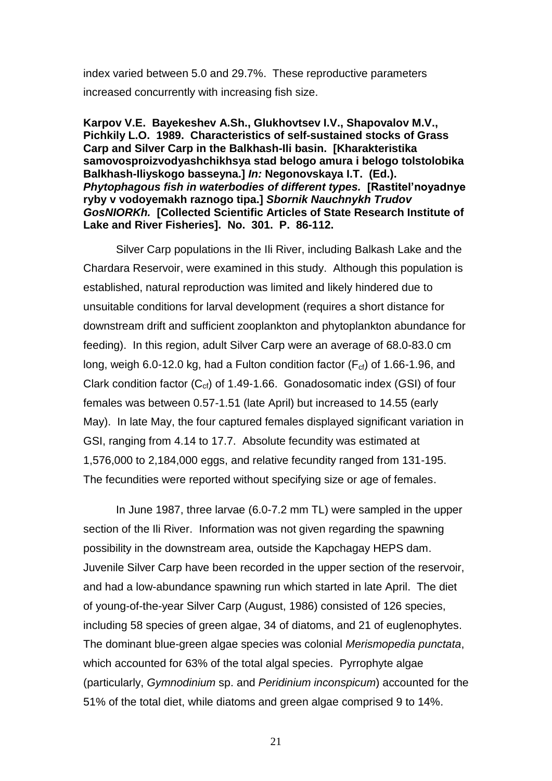index varied between 5.0 and 29.7%. These reproductive parameters increased concurrently with increasing fish size.

**Karpov V.E. Bayekeshev A.Sh., Glukhovtsev I.V., Shapovalov M.V., Pichkily L.O. 1989. Characteristics of self-sustained stocks of Grass Carp and Silver Carp in the Balkhash-Ili basin. [Kharakteristika samovosproizvodyashchikhsya stad belogo amura i belogo tolstolobika Balkhash-Iliyskogo basseyna.]** *In:* **Negonovskaya I.T. (Ed.).**  *Phytophagous fish in waterbodies of different types.* **[Rastitel'noyadnye ryby v vodoyemakh raznogo tipa.]** *Sbornik Nauchnykh Trudov GosNIORKh.* **[Collected Scientific Articles of State Research Institute of Lake and River Fisheries]. No. 301. P. 86-112.** 

Silver Carp populations in the Ili River, including Balkash Lake and the Chardara Reservoir, were examined in this study. Although this population is established, natural reproduction was limited and likely hindered due to unsuitable conditions for larval development (requires a short distance for downstream drift and sufficient zooplankton and phytoplankton abundance for feeding). In this region, adult Silver Carp were an average of 68.0-83.0 cm long, weigh 6.0-12.0 kg, had a Fulton condition factor ( $F_{cf}$ ) of 1.66-1.96, and Clark condition factor  $(C_{cf})$  of 1.49-1.66. Gonadosomatic index (GSI) of four females was between 0.57-1.51 (late April) but increased to 14.55 (early May). In late May, the four captured females displayed significant variation in GSI, ranging from 4.14 to 17.7. Absolute fecundity was estimated at 1,576,000 to 2,184,000 eggs, and relative fecundity ranged from 131-195. The fecundities were reported without specifying size or age of females.

In June 1987, three larvae (6.0-7.2 mm TL) were sampled in the upper section of the Ili River. Information was not given regarding the spawning possibility in the downstream area, outside the Kapchagay HEPS dam. Juvenile Silver Carp have been recorded in the upper section of the reservoir, and had a low-abundance spawning run which started in late April. The diet of young-of-the-year Silver Carp (August, 1986) consisted of 126 species, including 58 species of green algae, 34 of diatoms, and 21 of euglenophytes. The dominant blue-green algae species was colonial *Merismopedia punctata*, which accounted for 63% of the total algal species. Pyrrophyte algae (particularly, *Gymnodinium* sp. and *Peridinium inconspicum*) accounted for the 51% of the total diet, while diatoms and green algae comprised 9 to 14%.

21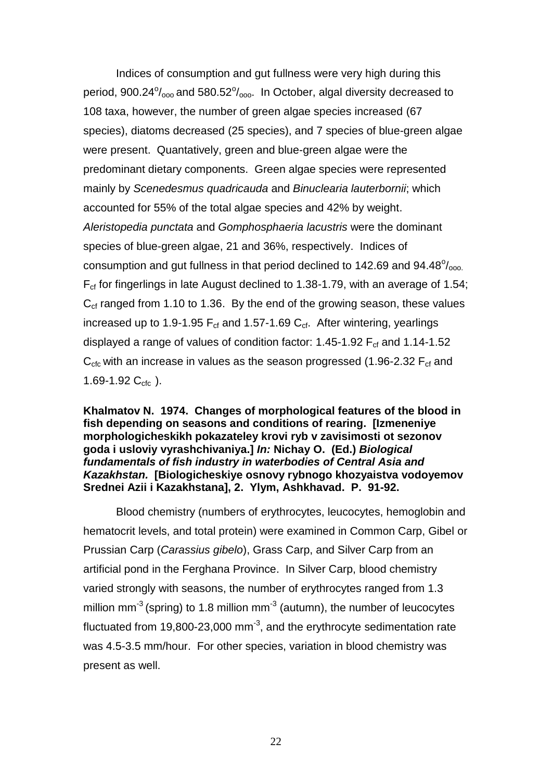Indices of consumption and gut fullness were very high during this period,  $900.24^{\circ}/_{\text{oo}}$  and  $580.52^{\circ}/_{\text{oo}}$ . In October, algal diversity decreased to 108 taxa, however, the number of green algae species increased (67 species), diatoms decreased (25 species), and 7 species of blue-green algae were present. Quantatively, green and blue-green algae were the predominant dietary components. Green algae species were represented mainly by *Scenedesmus quadricauda* and *Binuclearia lauterbornii*; which accounted for 55% of the total algae species and 42% by weight. *Aleristopedia punctata* and *Gomphosphaeria lacustris* were the dominant species of blue-green algae, 21 and 36%, respectively. Indices of consumption and gut fullness in that period declined to 142.69 and  $94.48^{\circ}/_{\text{ooo.}}$ F<sub>cf</sub> for fingerlings in late August declined to 1.38-1.79, with an average of 1.54;  $C_{\rm cf}$  ranged from 1.10 to 1.36. By the end of the growing season, these values increased up to 1.9-1.95  $F_{cf}$  and 1.57-1.69  $C_{cf}$ . After wintering, yearlings displayed a range of values of condition factor: 1.45-1.92  $F_{cf}$  and 1.14-1.52  $C_{\rm cfc}$  with an increase in values as the season progressed (1.96-2.32  $F_{\rm cf}$  and 1.69-1.92  $C_{\text{cfc}}$ ).

**Khalmatov N. 1974. Changes of morphological features of the blood in fish depending on seasons and conditions of rearing. [Izmeneniye morphologicheskikh pokazateley krovi ryb v zavisimosti ot sezonov goda i usloviy vyrashchivaniya.]** *In:* **Nichay O. (Ed.)** *Biological fundamentals of fish industry in waterbodies of Central Asia and Kazakhstan.* **[Biologicheskiye osnovy rybnogo khozyaistva vodoyemov Srednei Azii i Kazakhstana], 2. Ylym, Ashkhavad. P. 91-92.** 

Blood chemistry (numbers of erythrocytes, leucocytes, hemoglobin and hematocrit levels, and total protein) were examined in Common Carp, Gibel or Prussian Carp (*Carassius gibelo*), Grass Carp, and Silver Carp from an artificial pond in the Ferghana Province. In Silver Carp, blood chemistry varied strongly with seasons, the number of erythrocytes ranged from 1.3 million mm<sup>-3</sup> (spring) to 1.8 million mm<sup>-3</sup> (autumn), the number of leucocytes fluctuated from 19,800-23,000 mm<sup>-3</sup>, and the erythrocyte sedimentation rate was 4.5-3.5 mm/hour. For other species, variation in blood chemistry was present as well.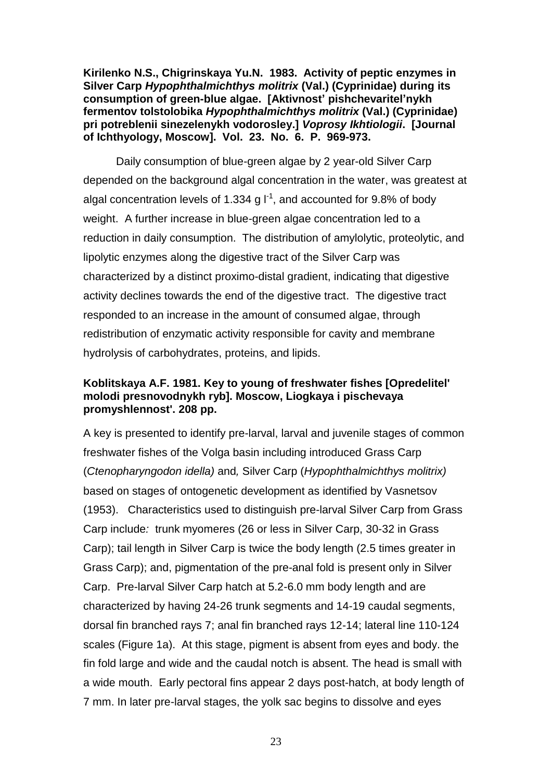**Kirilenko N.S., Chigrinskaya Yu.N. 1983. Activity of peptic enzymes in Silver Carp** *Hypophthalmichthys molitrix* **(Val.) (Cyprinidae) during its consumption of green-blue algae. [Aktivnost' pishchevaritel'nykh fermentov tolstolobika** *Hypophthalmichthys molitrix* **(Val.) (Cyprinidae) pri potreblenii sinezelenykh vodorosley.]** *Voprosy Ikhtiologii***. [Journal of Ichthyology, Moscow]. Vol. 23. No. 6. P. 969-973.** 

Daily consumption of blue-green algae by 2 year-old Silver Carp depended on the background algal concentration in the water, was greatest at algal concentration levels of 1.334 g  $I^{-1}$ , and accounted for 9.8% of body weight. A further increase in blue-green algae concentration led to a reduction in daily consumption. The distribution of amylolytic, proteolytic, and lipolytic enzymes along the digestive tract of the Silver Carp was characterized by a distinct proximo-distal gradient, indicating that digestive activity declines towards the end of the digestive tract. The digestive tract responded to an increase in the amount of consumed algae, through redistribution of enzymatic activity responsible for cavity and membrane hydrolysis of carbohydrates, proteins, and lipids.

# **Koblitskaya A.F. 1981. Key to young of freshwater fishes [Opredelitel' molodi presnovodnykh ryb]. Moscow, Liogkaya i pischevaya promyshlennost'. 208 pp.**

A key is presented to identify pre-larval, larval and juvenile stages of common freshwater fishes of the Volga basin including introduced Grass Carp (*Ctenopharyngodon idella)* and*,* Silver Carp (*Hypophthalmichthys molitrix)* based on stages of ontogenetic development as identified by Vasnetsov (1953). Characteristics used to distinguish pre-larval Silver Carp from Grass Carp include*:* trunk myomeres (26 or less in Silver Carp, 30-32 in Grass Carp); tail length in Silver Carp is twice the body length (2.5 times greater in Grass Carp); and, pigmentation of the pre-anal fold is present only in Silver Carp. Pre-larval Silver Carp hatch at 5.2-6.0 mm body length and are characterized by having 24-26 trunk segments and 14-19 caudal segments, dorsal fin branched rays 7; anal fin branched rays 12-14; lateral line 110-124 scales (Figure 1a). At this stage, pigment is absent from eyes and body. the fin fold large and wide and the caudal notch is absent. The head is small with a wide mouth. Early pectoral fins appear 2 days post-hatch, at body length of 7 mm. In later pre-larval stages, the yolk sac begins to dissolve and eyes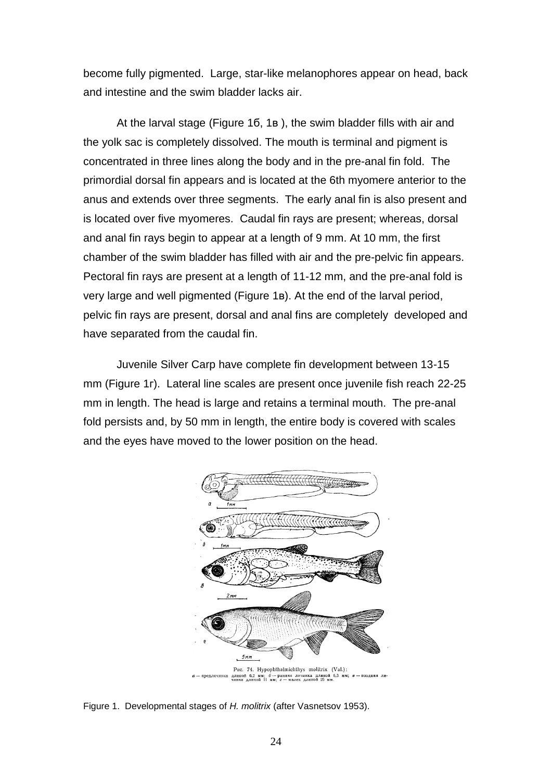become fully pigmented. Large, star-like melanophores appear on head, back and intestine and the swim bladder lacks air.

At the larval stage (Figure 1б, 1в ), the swim bladder fills with air and the yolk sac is completely dissolved. The mouth is terminal and pigment is concentrated in three lines along the body and in the pre-anal fin fold. The primordial dorsal fin appears and is located at the 6th myomere anterior to the anus and extends over three segments. The early anal fin is also present and is located over five myomeres. Caudal fin rays are present; whereas, dorsal and anal fin rays begin to appear at a length of 9 mm. At 10 mm, the first chamber of the swim bladder has filled with air and the pre-pelvic fin appears. Pectoral fin rays are present at a length of 11-12 mm, and the pre-anal fold is very large and well pigmented (Figure 1в). At the end of the larval period, pelvic fin rays are present, dorsal and anal fins are completely developed and have separated from the caudal fin.

Juvenile Silver Carp have complete fin development between 13-15 mm (Figure 1r). Lateral line scales are present once juvenile fish reach 22-25 mm in length. The head is large and retains a terminal mouth. The pre-anal fold persists and, by 50 mm in length, the entire body is covered with scales and the eyes have moved to the lower position on the head.



Figure 1. Developmental stages of *H. molitrix* (after Vasnetsov 1953).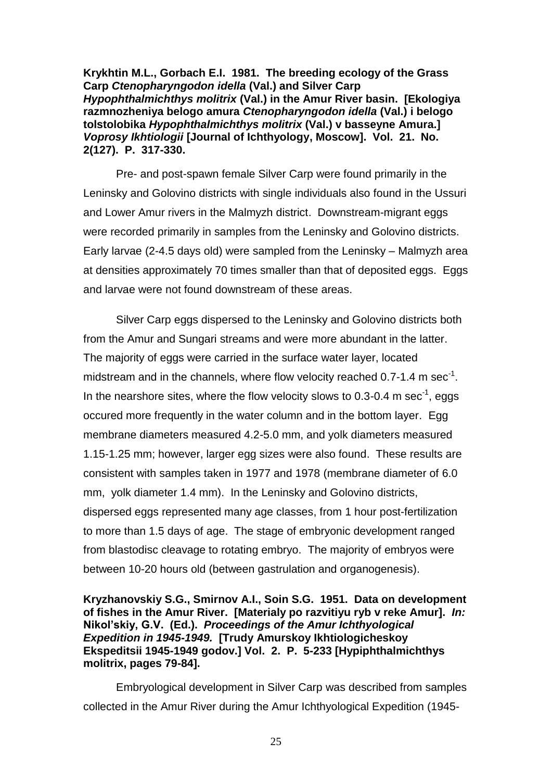**Krykhtin M.L., Gorbach E.I. 1981. The breeding ecology of the Grass Carp** *Ctenopharyngodon idella* **(Val.) and Silver Carp**  *Hypophthalmichthys molitrix* **(Val.) in the Amur River basin. [Ekologiya razmnozheniya belogo amura** *Ctenopharyngodon idella* **(Val.) i belogo tolstolobika** *Hypophthalmichthys molitrix* **(Val.) v basseyne Amura.]**  *Voprosy Ikhtiologii* **[Journal of Ichthyology, Moscow]. Vol. 21. No. 2(127). P. 317-330.** 

Pre- and post-spawn female Silver Carp were found primarily in the Leninsky and Golovino districts with single individuals also found in the Ussuri and Lower Amur rivers in the Malmyzh district. Downstream-migrant eggs were recorded primarily in samples from the Leninsky and Golovino districts. Early larvae (2-4.5 days old) were sampled from the Leninsky – Malmyzh area at densities approximately 70 times smaller than that of deposited eggs. Eggs and larvae were not found downstream of these areas.

Silver Carp eggs dispersed to the Leninsky and Golovino districts both from the Amur and Sungari streams and were more abundant in the latter. The majority of eggs were carried in the surface water layer, located midstream and in the channels, where flow velocity reached 0.7-1.4 m sec<sup>-1</sup>. In the nearshore sites, where the flow velocity slows to 0.3-0.4 m sec<sup>-1</sup>, eggs occured more frequently in the water column and in the bottom layer. Egg membrane diameters measured 4.2-5.0 mm, and yolk diameters measured 1.15-1.25 mm; however, larger egg sizes were also found. These results are consistent with samples taken in 1977 and 1978 (membrane diameter of 6.0 mm, yolk diameter 1.4 mm). In the Leninsky and Golovino districts, dispersed eggs represented many age classes, from 1 hour post-fertilization to more than 1.5 days of age. The stage of embryonic development ranged from blastodisc cleavage to rotating embryo. The majority of embryos were between 10-20 hours old (between gastrulation and organogenesis).

#### **Kryzhanovskiy S.G., Smirnov A.I., Soin S.G. 1951. Data on development of fishes in the Amur River. [Materialy po razvitiyu ryb v reke Amur].** *In:* **Nikol'skiy, G.V. (Ed.).** *Proceedings of the Amur Ichthyological Expedition in 1945-1949.* **[Trudy Amurskoy Ikhtiologicheskoy Ekspeditsii 1945-1949 godov.] Vol. 2. P. 5-233 [Hypiphthalmichthys molitrix, pages 79-84].**

Embryological development in Silver Carp was described from samples collected in the Amur River during the Amur Ichthyological Expedition (1945-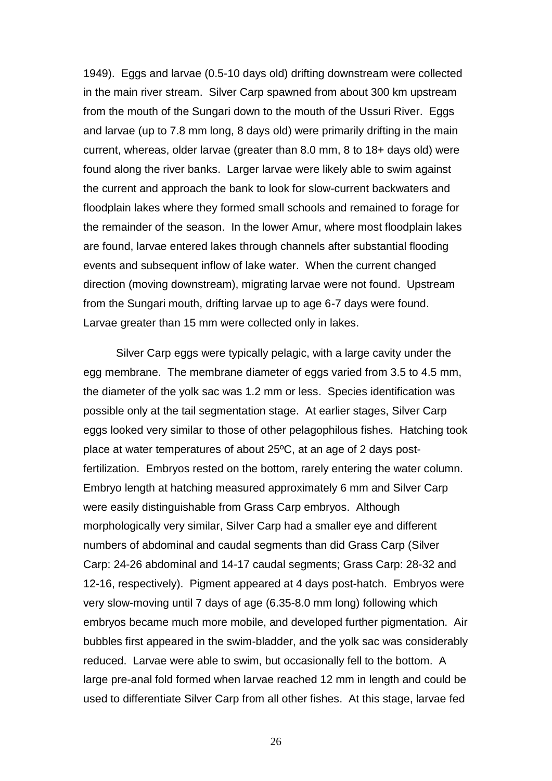1949). Eggs and larvae (0.5-10 days old) drifting downstream were collected in the main river stream. Silver Carp spawned from about 300 km upstream from the mouth of the Sungari down to the mouth of the Ussuri River. Eggs and larvae (up to 7.8 mm long, 8 days old) were primarily drifting in the main current, whereas, older larvae (greater than 8.0 mm, 8 to 18+ days old) were found along the river banks. Larger larvae were likely able to swim against the current and approach the bank to look for slow-current backwaters and floodplain lakes where they formed small schools and remained to forage for the remainder of the season. In the lower Amur, where most floodplain lakes are found, larvae entered lakes through channels after substantial flooding events and subsequent inflow of lake water. When the current changed direction (moving downstream), migrating larvae were not found. Upstream from the Sungari mouth, drifting larvae up to age 6-7 days were found. Larvae greater than 15 mm were collected only in lakes.

Silver Carp eggs were typically pelagic, with a large cavity under the egg membrane. The membrane diameter of eggs varied from 3.5 to 4.5 mm, the diameter of the yolk sac was 1.2 mm or less. Species identification was possible only at the tail segmentation stage. At earlier stages, Silver Carp eggs looked very similar to those of other pelagophilous fishes. Hatching took place at water temperatures of about 25ºC, at an age of 2 days postfertilization. Embryos rested on the bottom, rarely entering the water column. Embryo length at hatching measured approximately 6 mm and Silver Carp were easily distinguishable from Grass Carp embryos. Although morphologically very similar, Silver Carp had a smaller eye and different numbers of abdominal and caudal segments than did Grass Carp (Silver Carp: 24-26 abdominal and 14-17 caudal segments; Grass Carp: 28-32 and 12-16, respectively). Pigment appeared at 4 days post-hatch. Embryos were very slow-moving until 7 days of age (6.35-8.0 mm long) following which embryos became much more mobile, and developed further pigmentation. Air bubbles first appeared in the swim-bladder, and the yolk sac was considerably reduced. Larvae were able to swim, but occasionally fell to the bottom. A large pre-anal fold formed when larvae reached 12 mm in length and could be used to differentiate Silver Carp from all other fishes. At this stage, larvae fed

26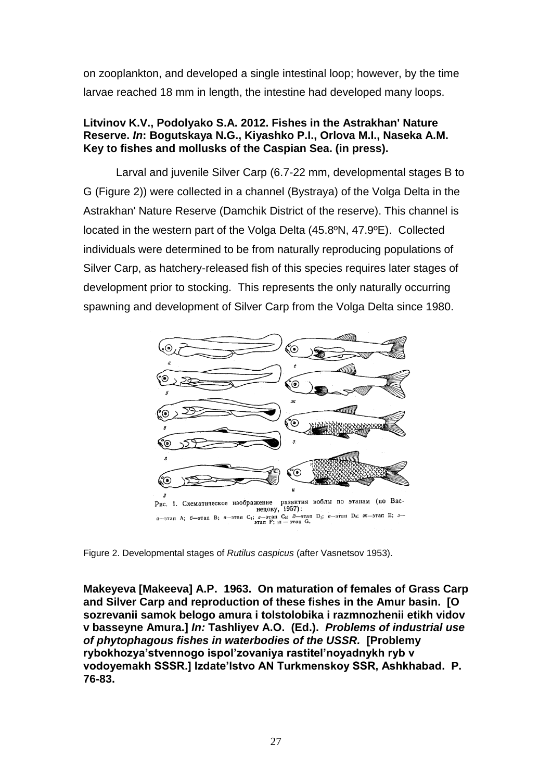on zooplankton, and developed a single intestinal loop; however, by the time larvae reached 18 mm in length, the intestine had developed many loops.

# **Litvinov K.V., Podolyako S.A. 2012. Fishes in the Astrakhan' Nature Reserve.** *In***: Bogutskaya N.G., Kiyashko P.I., Orlova M.I., Naseka A.M. Key to fishes and mollusks of the Caspian Sea. (in press).**

Larval and juvenile Silver Carp (6.7-22 mm, developmental stages B to G (Figure 2)) were collected in a channel (Bystraya) of the Volga Delta in the Astrakhan' Nature Reserve (Damchik District of the reserve). This channel is located in the western part of the Volga Delta (45.8ºN, 47.9ºE). Collected individuals were determined to be from naturally reproducing populations of Silver Carp, as hatchery-released fish of this species requires later stages of development prior to stocking. This represents the only naturally occurring spawning and development of Silver Carp from the Volga Delta since 1980.



Figure 2. Developmental stages of *Rutilus caspicus* (after Vasnetsov 1953).

**Makeyeva [Makeeva] A.P. 1963. On maturation of females of Grass Carp and Silver Carp and reproduction of these fishes in the Amur basin. [O sozrevanii samok belogo amura i tolstolobika i razmnozhenii etikh vidov v basseyne Amura.]** *In:* **Tashliyev A.O. (Ed.).** *Problems of industrial use of phytophagous fishes in waterbodies of the USSR.* **[Problemy rybokhozya'stvennogo ispol'zovaniya rastitel'noyadnykh ryb v vodoyemakh SSSR.] Izdate'lstvo AN Turkmenskoy SSR, Ashkhabad. P. 76-83.**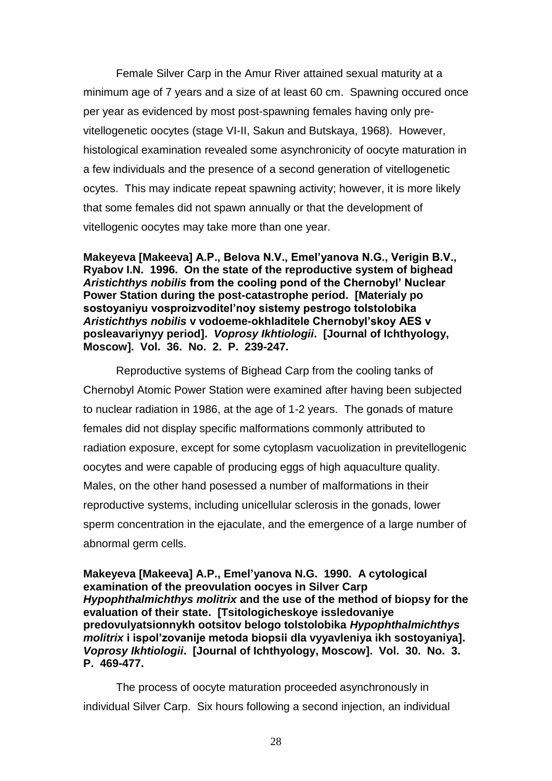Female Silver Carp in the Amur River attained sexual maturity at a minimum age of 7 years and a size of at least 60 cm. Spawning occured once per year as evidenced by most post-spawning females having only previtellogenetic oocytes (stage VI-II, Sakun and Butskaya, 1968). However, histological examination revealed some asynchronicity of oocyte maturation in a few individuals and the presence of a second generation of vitellogenetic ocytes. This may indicate repeat spawning activity; however, it is more likely that some females did not spawn annually or that the development of vitellogenic oocytes may take more than one year.

**Makeyeva [Makeeva] A.P., Belova N.V., Emel'yanova N.G., Verigin B.V., Ryabov I.N. 1996. On the state of the reproductive system of bighead**  *Aristichthys nobilis* **from the cooling pond of the Chernobyl' Nuclear Power Station during the post-catastrophe period. [Materialy po sostoyaniyu vosproizvoditel'noy sistemy pestrogo tolstolobika**  *Aristichthys nobilis* **v vodoeme-okhladitele Chernobyl'skoy AES v posleavariynyy period].** *Voprosy Ikhtiologii***. [Journal of Ichthyology, Moscow]. Vol. 36. No. 2. P. 239-247.** 

Reproductive systems of Bighead Carp from the cooling tanks of Chernobyl Atomic Power Station were examined after having been subjected to nuclear radiation in 1986, at the age of 1-2 years. The gonads of mature females did not display specific malformations commonly attributed to radiation exposure, except for some cytoplasm vacuolization in previtellogenic oocytes and were capable of producing eggs of high aquaculture quality. Males, on the other hand posessed a number of malformations in their reproductive systems, including unicellular sclerosis in the gonads, lower sperm concentration in the ejaculate, and the emergence of a large number of abnormal germ cells.

**Makeyeva [Makeeva] A.P., Emel'yanova N.G. 1990. A cytological examination of the preovulation oocyes in Silver Carp**  *Hypophthalmichthys molitrix* **and the use of the method of biopsy for the evaluation of their state. [Tsitologicheskoye issledovaniye predovulyatsionnykh ootsitov belogo tolstolobika** *Hypophthalmichthys molitrix* **i ispol'zovanije metoda biopsii dla vyyavleniya ikh sostoyaniya].**  *Voprosy Ikhtiologii***. [Journal of Ichthyology, Moscow]. Vol. 30. No. 3. P. 469-477.**

The process of oocyte maturation proceeded asynchronously in individual Silver Carp. Six hours following a second injection, an individual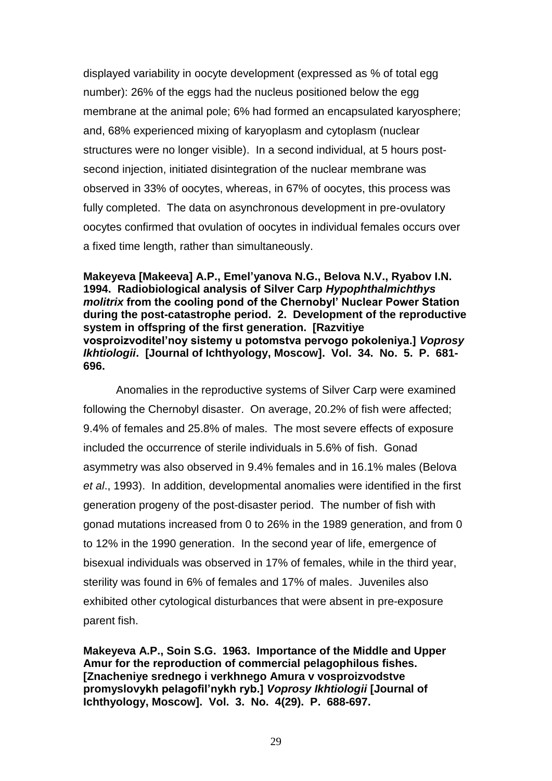displayed variability in oocyte development (expressed as % of total egg number): 26% of the eggs had the nucleus positioned below the egg membrane at the animal pole; 6% had formed an encapsulated karyosphere; and, 68% experienced mixing of karyoplasm and cytoplasm (nuclear structures were no longer visible). In a second individual, at 5 hours postsecond injection, initiated disintegration of the nuclear membrane was observed in 33% of oocytes, whereas, in 67% of oocytes, this process was fully completed. The data on asynchronous development in pre-ovulatory oocytes confirmed that ovulation of oocytes in individual females occurs over a fixed time length, rather than simultaneously.

**Makeyeva [Makeeva] A.P., Emel'yanova N.G., Belova N.V., Ryabov I.N. 1994. Radiobiological analysis of Silver Carp** *Hypophthalmichthys molitrix* **from the cooling pond of the Chernobyl' Nuclear Power Station during the post-catastrophe period. 2. Development of the reproductive system in offspring of the first generation. [Razvitiye vosproizvoditel'noy sistemy u potomstva pervogo pokoleniya.]** *Voprosy Ikhtiologii***. [Journal of Ichthyology, Moscow]. Vol. 34. No. 5. P. 681- 696.** 

Anomalies in the reproductive systems of Silver Carp were examined following the Chernobyl disaster. On average, 20.2% of fish were affected; 9.4% of females and 25.8% of males. The most severe effects of exposure included the occurrence of sterile individuals in 5.6% of fish. Gonad asymmetry was also observed in 9.4% females and in 16.1% males (Belova *et al*., 1993). In addition, developmental anomalies were identified in the first generation progeny of the post-disaster period. The number of fish with gonad mutations increased from 0 to 26% in the 1989 generation, and from 0 to 12% in the 1990 generation. In the second year of life, emergence of bisexual individuals was observed in 17% of females, while in the third year, sterility was found in 6% of females and 17% of males. Juveniles also exhibited other cytological disturbances that were absent in pre-exposure parent fish.

**Makeyeva A.P., Soin S.G. 1963. Importance of the Middle and Upper Amur for the reproduction of commercial pelagophilous fishes. [Znacheniye srednego i verkhnego Amura v vosproizvodstve promyslovykh pelagofil'nykh ryb.]** *Voprosy Ikhtiologii* **[Journal of Ichthyology, Moscow]. Vol. 3. No. 4(29). P. 688-697.**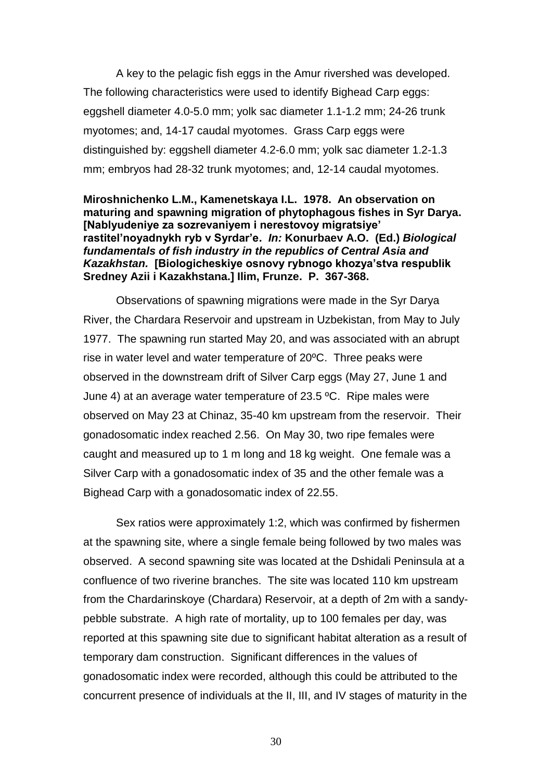A key to the pelagic fish eggs in the Amur rivershed was developed. The following characteristics were used to identify Bighead Carp eggs: eggshell diameter 4.0-5.0 mm; yolk sac diameter 1.1-1.2 mm; 24-26 trunk myotomes; and, 14-17 caudal myotomes. Grass Carp eggs were distinguished by: eggshell diameter 4.2-6.0 mm; yolk sac diameter 1.2-1.3 mm; embryos had 28-32 trunk myotomes; and, 12-14 caudal myotomes.

#### **Miroshnichenko L.M., Kamenetskaya I.L. 1978. An observation on maturing and spawning migration of phytophagous fishes in Syr Darya. [Nablyudeniye za sozrevaniyem i nerestovoy migratsiye' rastitel'noyadnykh ryb v Syrdar'e.** *In:* **Konurbaev A.O. (Ed.)** *Biological fundamentals of fish industry in the republics of Central Asia and Kazakhstan.* **[Biologicheskiye osnovy rybnogo khozya'stva respublik Sredney Azii i Kazakhstana.] Ilim, Frunze. P. 367-368.**

Observations of spawning migrations were made in the Syr Darya River, the Chardara Reservoir and upstream in Uzbekistan, from May to July 1977. The spawning run started May 20, and was associated with an abrupt rise in water level and water temperature of 20ºC. Three peaks were observed in the downstream drift of Silver Carp eggs (May 27, June 1 and June 4) at an average water temperature of 23.5 ºC. Ripe males were observed on May 23 at Chinaz, 35-40 km upstream from the reservoir. Their gonadosomatic index reached 2.56. On May 30, two ripe females were caught and measured up to 1 m long and 18 kg weight. One female was a Silver Carp with a gonadosomatic index of 35 and the other female was a Bighead Carp with a gonadosomatic index of 22.55.

Sex ratios were approximately 1:2, which was confirmed by fishermen at the spawning site, where a single female being followed by two males was observed. A second spawning site was located at the Dshidali Peninsula at a confluence of two riverine branches. The site was located 110 km upstream from the Chardarinskoye (Chardara) Reservoir, at a depth of 2m with a sandypebble substrate. A high rate of mortality, up to 100 females per day, was reported at this spawning site due to significant habitat alteration as a result of temporary dam construction. Significant differences in the values of gonadosomatic index were recorded, although this could be attributed to the concurrent presence of individuals at the II, III, and IV stages of maturity in the

30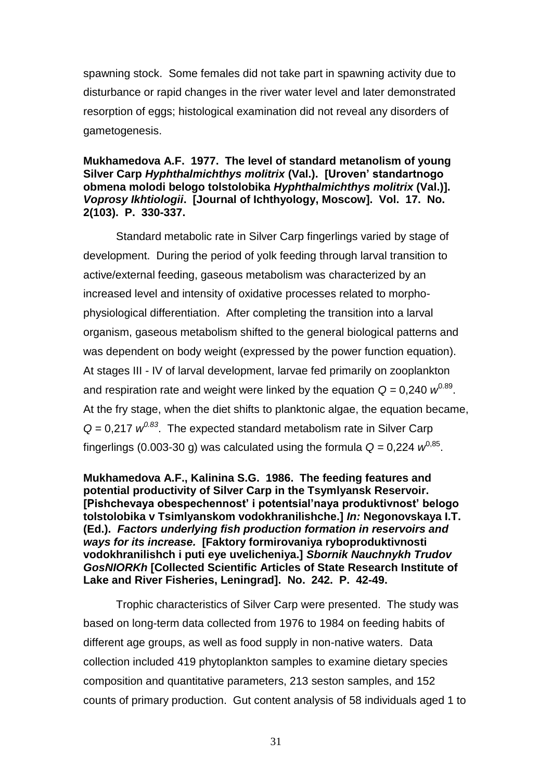spawning stock. Some females did not take part in spawning activity due to disturbance or rapid changes in the river water level and later demonstrated resorption of eggs; histological examination did not reveal any disorders of gametogenesis.

## **Mukhamedova A.F. 1977. The level of standard metanolism of young Silver Carp** *Hyphthalmichthys molitrix* **(Val.). [Uroven' standartnogo obmena molodi belogo tolstolobika** *Hyphthalmichthys molitrix* **(Val.)].**  *Voprosy Ikhtiologii***. [Journal of Ichthyology, Moscow]. Vol. 17. No. 2(103). P. 330-337.**

Standard metabolic rate in Silver Carp fingerlings varied by stage of development. During the period of yolk feeding through larval transition to active/external feeding, gaseous metabolism was characterized by an increased level and intensity of oxidative processes related to morphophysiological differentiation. After completing the transition into a larval organism, gaseous metabolism shifted to the general biological patterns and was dependent on body weight (expressed by the power function equation). At stages III - IV of larval development, larvae fed primarily on zooplankton and respiration rate and weight were linked by the equation  $Q = 0,240 \, \text{w}^{0.89}$ . At the fry stage, when the diet shifts to planktonic algae, the equation became,  $Q = 0.217$   $w^{0.83}$ . The expected standard metabolism rate in Silver Carp fingerlings (0.003-30 g) was calculated using the formula  $Q = 0,224$   $w^{0,85}$ .

**Mukhamedova A.F., Kalinina S.G. 1986. The feeding features and potential productivity of Silver Carp in the Tsymlyansk Reservoir. [Pishchevaya obespechennost' i potentsial'naya produktivnost' belogo tolstolobika v Tsimlyanskom vodokhranilishche.]** *In:* **Negonovskaya I.T. (Ed.).** *Factors underlying fish production formation in reservoirs and ways for its increase.* **[Faktory formirovaniya ryboproduktivnosti vodokhranilishch i puti eye uvelicheniya.]** *Sbornik Nauchnykh Trudov GosNIORKh* **[Collected Scientific Articles of State Research Institute of Lake and River Fisheries, Leningrad]. No. 242. P. 42-49.** 

Trophic characteristics of Silver Carp were presented. The study was based on long-term data collected from 1976 to 1984 on feeding habits of different age groups, as well as food supply in non-native waters. Data collection included 419 phytoplankton samples to examine dietary species composition and quantitative parameters, 213 seston samples, and 152 counts of primary production. Gut content analysis of 58 individuals aged 1 to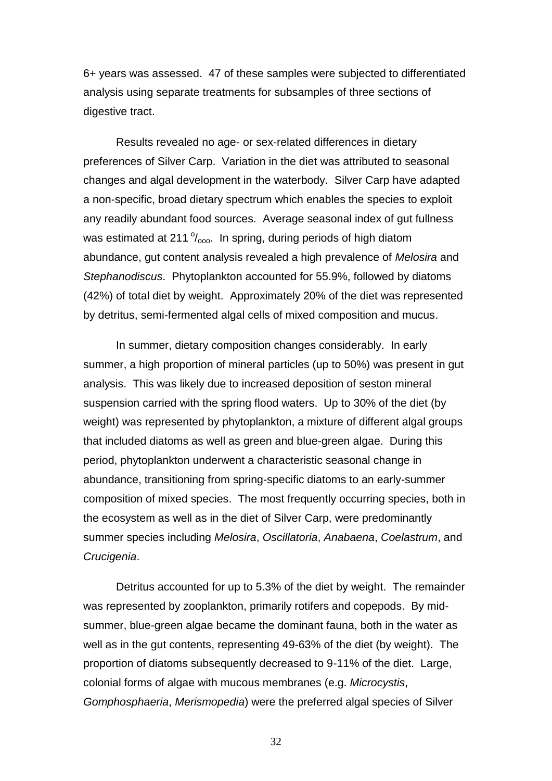6+ years was assessed. 47 of these samples were subjected to differentiated analysis using separate treatments for subsamples of three sections of digestive tract.

Results revealed no age- or sex-related differences in dietary preferences of Silver Carp. Variation in the diet was attributed to seasonal changes and algal development in the waterbody. Silver Carp have adapted a non-specific, broad dietary spectrum which enables the species to exploit any readily abundant food sources. Average seasonal index of gut fullness was estimated at 211  $\frac{9}{000}$ . In spring, during periods of high diatom abundance, gut content analysis revealed a high prevalence of *Melosira* and *Stephanodiscus*. Phytoplankton accounted for 55.9%, followed by diatoms (42%) of total diet by weight. Approximately 20% of the diet was represented by detritus, semi-fermented algal cells of mixed composition and mucus.

In summer, dietary composition changes considerably. In early summer, a high proportion of mineral particles (up to 50%) was present in gut analysis. This was likely due to increased deposition of seston mineral suspension carried with the spring flood waters. Up to 30% of the diet (by weight) was represented by phytoplankton, a mixture of different algal groups that included diatoms as well as green and blue-green algae. During this period, phytoplankton underwent a characteristic seasonal change in abundance, transitioning from spring-specific diatoms to an early-summer composition of mixed species. The most frequently occurring species, both in the ecosystem as well as in the diet of Silver Carp, were predominantly summer species including *Melosira*, *Oscillatoria*, *Anabaena*, *Coelastrum*, and *Crucigenia*.

Detritus accounted for up to 5.3% of the diet by weight. The remainder was represented by zooplankton, primarily rotifers and copepods. By midsummer, blue-green algae became the dominant fauna, both in the water as well as in the gut contents, representing 49-63% of the diet (by weight). The proportion of diatoms subsequently decreased to 9-11% of the diet. Large, colonial forms of algae with mucous membranes (e.g. *Microcystis*, *Gomphosphaeria*, *Merismopedia*) were the preferred algal species of Silver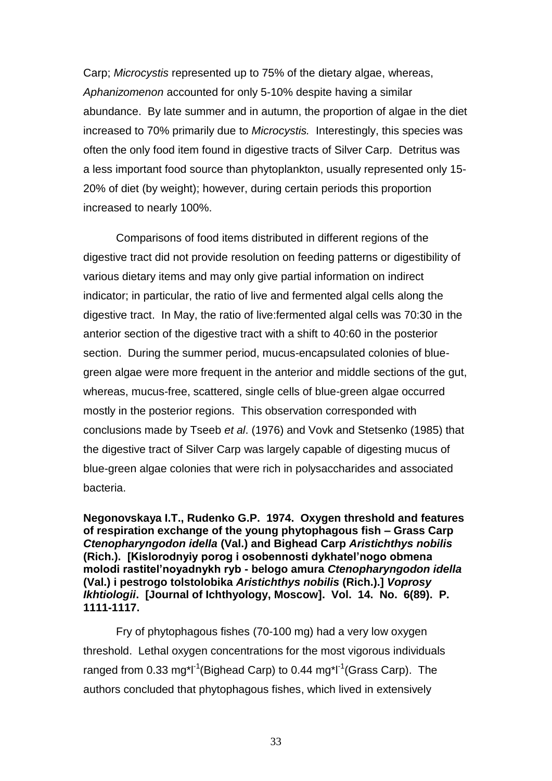Carp; *Microcystis* represented up to 75% of the dietary algae, whereas, *Aphanizomenon* accounted for only 5-10% despite having a similar abundance. By late summer and in autumn, the proportion of algae in the diet increased to 70% primarily due to *Microcystis.* Interestingly, this species was often the only food item found in digestive tracts of Silver Carp. Detritus was a less important food source than phytoplankton, usually represented only 15- 20% of diet (by weight); however, during certain periods this proportion increased to nearly 100%.

Comparisons of food items distributed in different regions of the digestive tract did not provide resolution on feeding patterns or digestibility of various dietary items and may only give partial information on indirect indicator; in particular, the ratio of live and fermented algal cells along the digestive tract. In May, the ratio of live:fermented algal cells was 70:30 in the anterior section of the digestive tract with a shift to 40:60 in the posterior section. During the summer period, mucus-encapsulated colonies of bluegreen algae were more frequent in the anterior and middle sections of the gut, whereas, mucus-free, scattered, single cells of blue-green algae occurred mostly in the posterior regions. This observation corresponded with conclusions made by Tseeb *et al*. (1976) and Vovk and Stetsenko (1985) that the digestive tract of Silver Carp was largely capable of digesting mucus of blue-green algae colonies that were rich in polysaccharides and associated bacteria.

**Negonovskaya I.T., Rudenko G.P. 1974. Oxygen threshold and features of respiration exchange of the young phytophagous fish – Grass Carp**  *Ctenopharyngodon idella* **(Val.) and Bighead Carp** *Aristichthys nobilis*  **(Rich.). [Kislorodnyiy porog i osobennosti dykhatel'nogo obmena molodi rastitel'noyadnykh ryb - belogo amura** *Ctenopharyngodon idella* **(Val.) i pestrogo tolstolobika** *Aristichthys nobilis* **(Rich.).]** *Voprosy Ikhtiologii***. [Journal of Ichthyology, Moscow]. Vol. 14. No. 6(89). P. 1111-1117.** 

Fry of phytophagous fishes (70-100 mg) had a very low oxygen threshold. Lethal oxygen concentrations for the most vigorous individuals ranged from 0.33 mg\*l<sup>-1</sup>(Bighead Carp) to 0.44 mg\*l<sup>-1</sup>(Grass Carp). The authors concluded that phytophagous fishes, which lived in extensively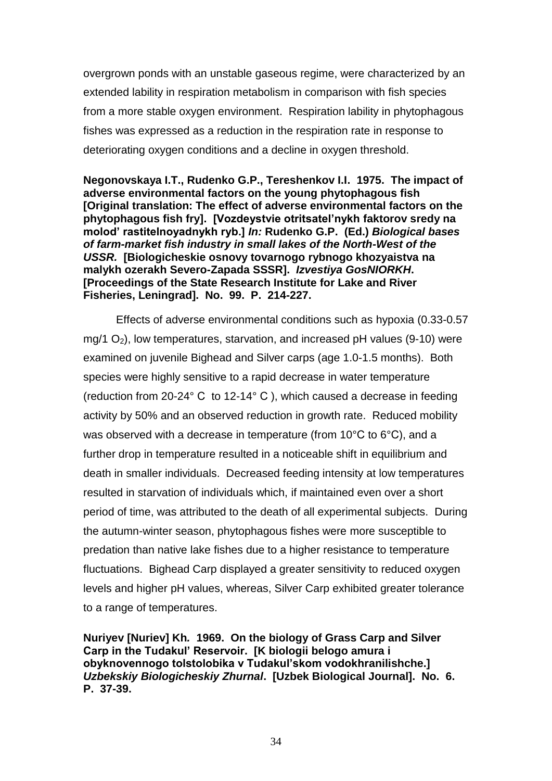overgrown ponds with an unstable gaseous regime, were characterized by an extended lability in respiration metabolism in comparison with fish species from a more stable oxygen environment. Respiration lability in phytophagous fishes was expressed as a reduction in the respiration rate in response to deteriorating oxygen conditions and a decline in oxygen threshold.

**Negonovskaya I.T., Rudenko G.P., Tereshenkov I.I. 1975. The impact of adverse environmental factors on the young phytophagous fish [Original translation: The effect of adverse environmental factors on the phytophagous fish fry]. [Vozdeystvie otritsatel'nykh faktorov sredy na molod' rastitelnoyadnykh ryb.]** *In:* **Rudenko G.P. (Ed.)** *Biological bases of farm-market fish industry in small lakes of the North-West of the USSR.* **[Biologicheskie osnovy tovarnogo rybnogo khozyaistva na malykh ozerakh Severo-Zapada SSSR].** *Izvestiya GosNIORKH***. [Proceedings of the State Research Institute for Lake and River Fisheries, Leningrad]. No. 99. P. 214-227.** 

Effects of adverse environmental conditions such as hypoxia (0.33-0.57 mg/1  $O_2$ ), low temperatures, starvation, and increased pH values (9-10) were examined on juvenile Bighead and Silver carps (age 1.0-1.5 months). Both species were highly sensitive to a rapid decrease in water temperature (reduction from 20-24° С to 12-14° С ), which caused a decrease in feeding activity by 50% and an observed reduction in growth rate. Reduced mobility was observed with a decrease in temperature (from 10°С to 6°С), and a further drop in temperature resulted in a noticeable shift in equilibrium and death in smaller individuals. Decreased feeding intensity at low temperatures resulted in starvation of individuals which, if maintained even over a short period of time, was attributed to the death of all experimental subjects. During the autumn-winter season, phytophagous fishes were more susceptible to predation than native lake fishes due to a higher resistance to temperature fluctuations. Bighead Carp displayed a greater sensitivity to reduced oxygen levels and higher pH values, whereas, Silver Carp exhibited greater tolerance to a range of temperatures.

**Nuriyev [Nuriev] Kh***.* **1969. On the biology of Grass Carp and Silver Carp in the Tudakul' Reservoir. [K biologii belogo amura i obyknovennogo tolstolobika v Tudakul'skom vodokhranilishche.]**  *Uzbekskiy Biologicheskiy Zhurnal***. [Uzbek Biological Journal]. No. 6. P. 37-39.**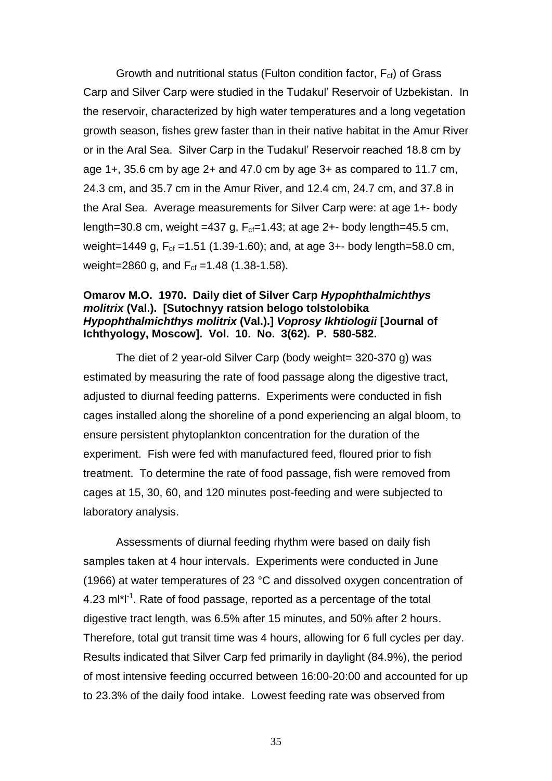Growth and nutritional status (Fulton condition factor,  $F_{cf}$ ) of Grass Carp and Silver Carp were studied in the Tudakul' Reservoir of Uzbekistan. In the reservoir, characterized by high water temperatures and a long vegetation growth season, fishes grew faster than in their native habitat in the Amur River or in the Aral Sea. Silver Carp in the Tudakul' Reservoir reached 18.8 cm by age  $1+$ , 35.6 cm by age  $2+$  and 47.0 cm by age  $3+$  as compared to 11.7 cm, 24.3 cm, and 35.7 cm in the Amur River, and 12.4 cm, 24.7 cm, and 37.8 in the Aral Sea. Average measurements for Silver Carp were: at age 1+- body length=30.8 cm, weight =437 g,  $F_{cf}=1.43$ ; at age 2+- body length=45.5 cm, weight=1449 g,  $F_{cf}$  =1.51 (1.39-1.60); and, at age 3+- body length=58.0 cm, weight=2860 g, and  $F_{cf}$  =1.48 (1.38-1.58).

### **Omarov M.O. 1970. Daily diet of Silver Carp** *Hypophthalmichthys molitrix* **(Val.). [Sutochnyy ratsion belogo tolstolobika** *Hypophthalmichthys molitrix* **(Val.).]** *Voprosy Ikhtiologii* **[Journal of Ichthyology, Moscow]. Vol. 10. No. 3(62). P. 580-582.**

The diet of 2 year-old Silver Carp (body weight= 320-370 g) was estimated by measuring the rate of food passage along the digestive tract, adjusted to diurnal feeding patterns. Experiments were conducted in fish cages installed along the shoreline of a pond experiencing an algal bloom, to ensure persistent phytoplankton concentration for the duration of the experiment. Fish were fed with manufactured feed, floured prior to fish treatment. To determine the rate of food passage, fish were removed from cages at 15, 30, 60, and 120 minutes post-feeding and were subjected to laboratory analysis.

Assessments of diurnal feeding rhythm were based on daily fish samples taken at 4 hour intervals. Experiments were conducted in June (1966) at water temperatures of 23 °C and dissolved oxygen concentration of  $4.23$  m $I^*I^1$ . Rate of food passage, reported as a percentage of the total digestive tract length, was 6.5% after 15 minutes, and 50% after 2 hours. Therefore, total gut transit time was 4 hours, allowing for 6 full cycles per day. Results indicated that Silver Carp fed primarily in daylight (84.9%), the period of most intensive feeding occurred between 16:00-20:00 and accounted for up to 23.3% of the daily food intake. Lowest feeding rate was observed from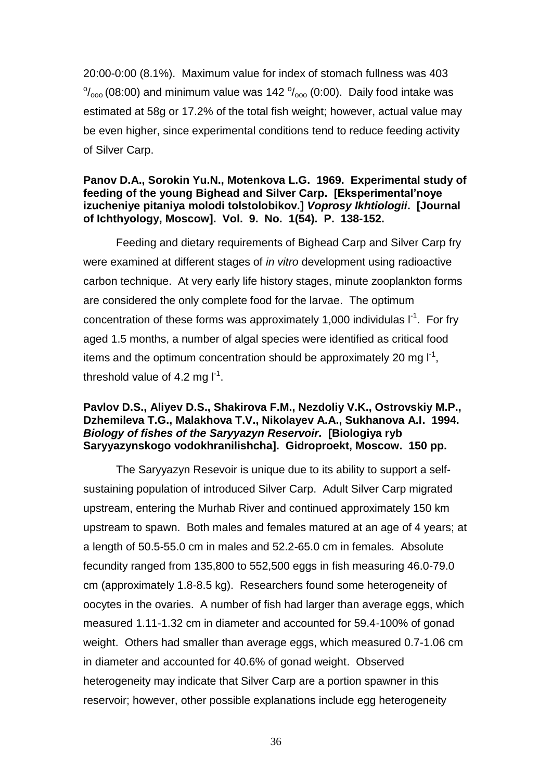20:00-0:00 (8.1%). Maximum value for index of stomach fullness was 403  $\frac{10}{1000}$  (08:00) and minimum value was 142  $\frac{10}{1000}$  (0:00). Daily food intake was estimated at 58g or 17.2% of the total fish weight; however, actual value may be even higher, since experimental conditions tend to reduce feeding activity of Silver Carp.

### **Panov D.A., Sorokin Yu.N., Motenkova L.G. 1969. Experimental study of feeding of the young Bighead and Silver Carp. [Eksperimental'noye izucheniye pitaniya molodi tolstolobikov.]** *Voprosy Ikhtiologii***. [Journal of Ichthyology, Moscow]. Vol. 9. No. 1(54). P. 138-152.**

Feeding and dietary requirements of Bighead Carp and Silver Carp fry were examined at different stages of *in vitro* development using radioactive carbon technique. At very early life history stages, minute zooplankton forms are considered the only complete food for the larvae. The optimum concentration of these forms was approximately 1,000 individulas  $I<sup>-1</sup>$ . For fry aged 1.5 months, a number of algal species were identified as critical food items and the optimum concentration should be approximately 20 mg  $I^1$ , threshold value of 4.2 mg  $I^{-1}$ .

## **Pavlov D.S., Aliyev D.S., Shakirova F.M., Nezdoliy V.K., Ostrovskiy M.P., Dzhemileva T.G., Malakhova T.V., Nikolayev A.A., Sukhanova A.I. 1994.**  *Biology of fishes of the Saryyazyn Reservoir.* **[Biologiya ryb Saryyazynskogo vodokhranilishcha]. Gidroproekt, Moscow. 150 pp.**

The Saryyazyn Resevoir is unique due to its ability to support a selfsustaining population of introduced Silver Carp. Adult Silver Carp migrated upstream, entering the Murhab River and continued approximately 150 km upstream to spawn. Both males and females matured at an age of 4 years; at a length of 50.5-55.0 cm in males and 52.2-65.0 cm in females. Absolute fecundity ranged from 135,800 to 552,500 eggs in fish measuring 46.0-79.0 cm (approximately 1.8-8.5 kg). Researchers found some heterogeneity of oocytes in the ovaries. A number of fish had larger than average eggs, which measured 1.11-1.32 cm in diameter and accounted for 59.4-100% of gonad weight. Others had smaller than average eggs, which measured 0.7-1.06 cm in diameter and accounted for 40.6% of gonad weight. Observed heterogeneity may indicate that Silver Carp are a portion spawner in this reservoir; however, other possible explanations include egg heterogeneity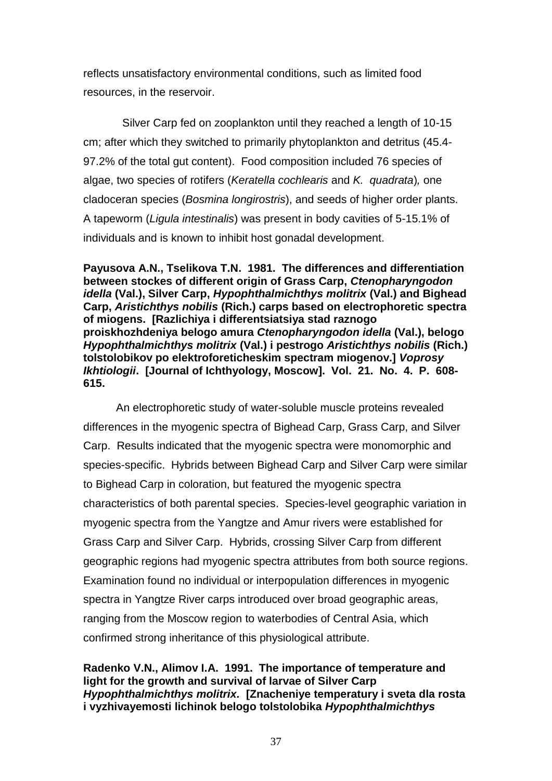reflects unsatisfactory environmental conditions, such as limited food resources, in the reservoir.

 Silver Carp fed on zooplankton until they reached a length of 10-15 cm; after which they switched to primarily phytoplankton and detritus (45.4- 97.2% of the total gut content). Food composition included 76 species of algae, two species of rotifers (*Keratella cochlearis* and *K. quadrata*)*,* one cladoceran species (*Bosmina longirostris*), and seeds of higher order plants. A tapeworm (*Ligula intestinalis*) was present in body cavities of 5-15.1% of individuals and is known to inhibit host gonadal development.

**Payusova A.N., Tselikova T.N. 1981. The differences and differentiation between stockes of different origin of Grass Carp,** *Ctenopharyngodon idella* **(Val.), Silver Carp,** *Hypophthalmichthys molitrix* **(Val.) and Bighead Carp,** *Aristichthys nobilis* **(Rich.) carps based on electrophoretic spectra of miogens. [Razlichiya i differentsiatsiya stad raznogo proiskhozhdeniya belogo amura** *Ctenopharyngodon idella* **(Val.), belogo**  *Hypophthalmichthys molitrix* **(Val.) i pestrogo** *Aristichthys nobilis* **(Rich.) tolstolobikov po elektroforeticheskim spectram miogenov.]** *Voprosy Ikhtiologii***. [Journal of Ichthyology, Moscow]. Vol. 21. No. 4. P. 608- 615.** 

An electrophoretic study of water-soluble muscle proteins revealed differences in the myogenic spectra of Bighead Carp, Grass Carp, and Silver Carp. Results indicated that the myogenic spectra were monomorphic and species-specific. Hybrids between Bighead Carp and Silver Carp were similar to Bighead Carp in coloration, but featured the myogenic spectra characteristics of both parental species. Species-level geographic variation in myogenic spectra from the Yangtze and Amur rivers were established for Grass Carp and Silver Carp. Hybrids, crossing Silver Carp from different geographic regions had myogenic spectra attributes from both source regions. Examination found no individual or interpopulation differences in myogenic spectra in Yangtze River carps introduced over broad geographic areas, ranging from the Moscow region to waterbodies of Central Asia, which confirmed strong inheritance of this physiological attribute.

**Radenko V.N., Alimov I.A. 1991. The importance of temperature and light for the growth and survival of larvae of Silver Carp**  *Hypophthalmichthys molitrix.* **[Znacheniye temperatury i sveta dla rosta i vyzhivayemosti lichinok belogo tolstolobika** *Hypophthalmichthys*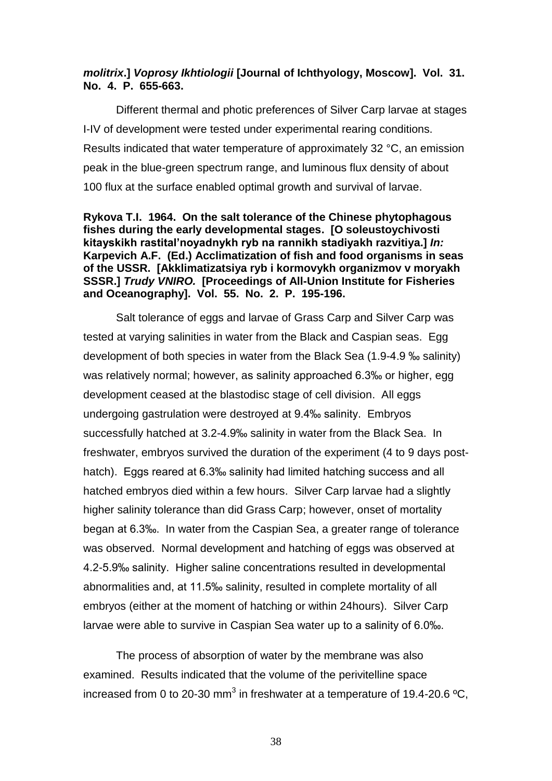## *molitrix***.]** *Voprosy Ikhtiologii* **[Journal of Ichthyology, Moscow]. Vol. 31. No. 4. P. 655-663.**

Different thermal and photic preferences of Silver Carp larvae at stages I-IV of development were tested under experimental rearing conditions. Results indicated that water temperature of approximately 32 °C, an emission peak in the blue-green spectrum range, and luminous flux density of about 100 flux at the surface enabled optimal growth and survival of larvae.

## **Rykova T.I. 1964. On the salt tolerance of the Chinese phytophagous fishes during the early developmental stages. [O soleustoychivosti kitayskikh rastital'noyadnykh ryb na rannikh stadiyakh razvitiya.]** *In:*  **Karpevich A.F. (Ed.) Acclimatization of fish and food organisms in seas of the USSR. [Akklimatizatsiya ryb i kormovykh organizmov v moryakh SSSR.]** *Trudy VNIRO.* **[Proceedings of All-Union Institute for Fisheries and Oceanography]. Vol. 55. No. 2. P. 195-196.**

Salt tolerance of eggs and larvae of Grass Carp and Silver Carp was tested at varying salinities in water from the Black and Caspian seas. Egg development of both species in water from the Black Sea (1.9-4.9 ‰ salinity) was relatively normal; however, as salinity approached 6.3‰ or higher, egg development ceased at the blastodisc stage of cell division. All eggs undergoing gastrulation were destroyed at 9.4‰ salinity. Embryos successfully hatched at 3.2-4.9‰ salinity in water from the Black Sea. In freshwater, embryos survived the duration of the experiment (4 to 9 days posthatch). Eggs reared at 6.3‰ salinity had limited hatching success and all hatched embryos died within a few hours. Silver Carp larvae had a slightly higher salinity tolerance than did Grass Carp; however, onset of mortality began at 6.3‰. In water from the Caspian Sea, a greater range of tolerance was observed. Normal development and hatching of eggs was observed at 4.2-5.9‰ salinity. Higher saline concentrations resulted in developmental abnormalities and, at 11.5‰ salinity, resulted in complete mortality of all embryos (either at the moment of hatching or within 24hours). Silver Carp larvae were able to survive in Caspian Sea water up to a salinity of 6.0‰.

The process of absorption of water by the membrane was also examined. Results indicated that the volume of the perivitelline space increased from 0 to 20-30 mm<sup>3</sup> in freshwater at a temperature of 19.4-20.6 °C,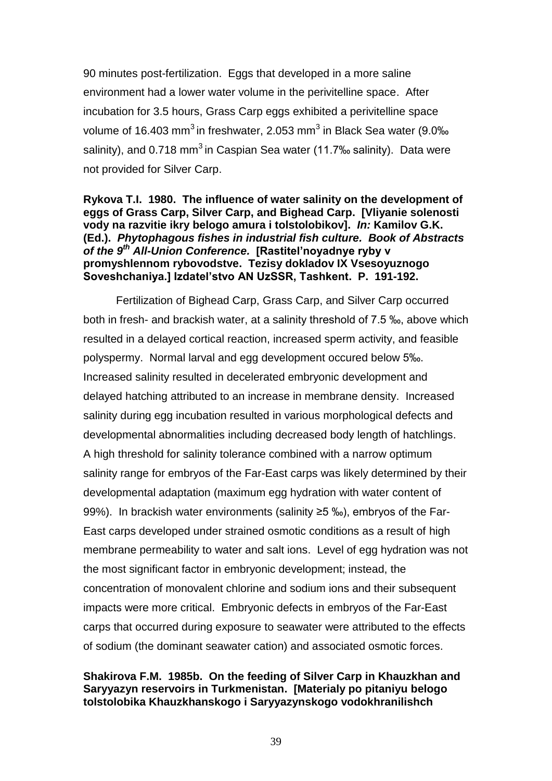90 minutes post-fertilization. Eggs that developed in a more saline environment had a lower water volume in the perivitelline space. After incubation for 3.5 hours, Grass Carp eggs exhibited a perivitelline space volume of 16.403 mm<sup>3</sup> in freshwater, 2.053 mm<sup>3</sup> in Black Sea water (9.0‰ salinity), and 0.718 mm<sup>3</sup> in Caspian Sea water (11.7‰ salinity). Data were not provided for Silver Carp.

## **Rykova T.I. 1980. The influence of water salinity on the development of eggs of Grass Carp, Silver Carp, and Bighead Carp. [Vliyanie solenosti vody na razvitie ikry belogo amura i tolstolobikov].** *In:* **Kamilov G.K. (Ed.).** *Phytophagous fishes in industrial fish culture. Book of Abstracts of the 9th All-Union Conference.* **[Rastitel'noyadnye ryby v promyshlennom rybovodstve. Tezisy dokladov IX Vsesoyuznogo Soveshchaniya.] Izdatel'stvo AN UzSSR, Tashkent. P. 191-192.**

Fertilization of Bighead Carp, Grass Carp, and Silver Carp occurred both in fresh- and brackish water, at a salinity threshold of 7.5 ‰, above which resulted in a delayed cortical reaction, increased sperm activity, and feasible polyspermy. Normal larval and egg development occured below 5‰. Increased salinity resulted in decelerated embryonic development and delayed hatching attributed to an increase in membrane density. Increased salinity during egg incubation resulted in various morphological defects and developmental abnormalities including decreased body length of hatchlings. A high threshold for salinity tolerance combined with a narrow optimum salinity range for embryos of the Far-East carps was likely determined by their developmental adaptation (maximum egg hydration with water content of 99%). In brackish water environments (salinity ≥5 ‰), embryos of the Far-East carps developed under strained osmotic conditions as a result of high membrane permeability to water and salt ions. Level of egg hydration was not the most significant factor in embryonic development; instead, the concentration of monovalent chlorine and sodium ions and their subsequent impacts were more critical. Embryonic defects in embryos of the Far-East carps that occurred during exposure to seawater were attributed to the effects of sodium (the dominant seawater cation) and associated osmotic forces.

# **Shakirova F.M. 1985b. On the feeding of Silver Carp in Khauzkhan and Saryyazyn reservoirs in Turkmenistan. [Materialy po pitaniyu belogo tolstolobika Khauzkhanskogo i Saryyazynskogo vodokhranilishch**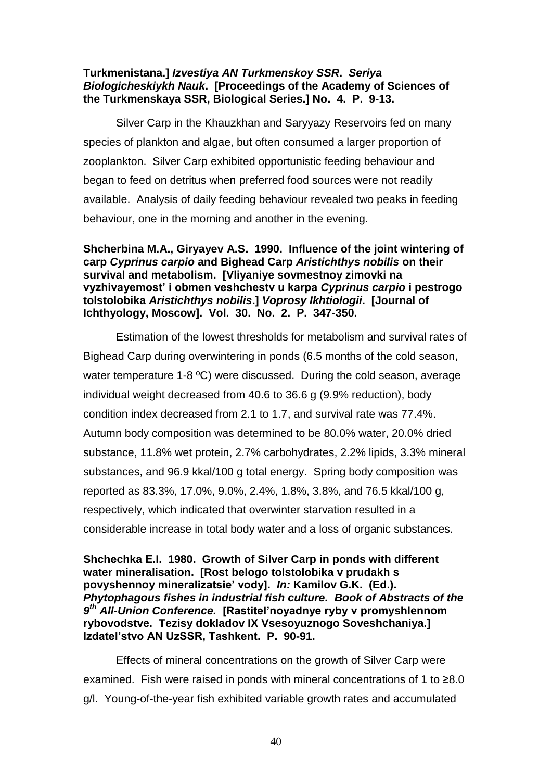## **Turkmenistana.]** *Izvestiya AN Turkmenskoy SSR***.** *Seriya Biologicheskiykh Nauk***. [Proceedings of the Academy of Sciences of the Turkmenskaya SSR, Biological Series.] No. 4. P. 9-13.**

Silver Carp in the Khauzkhan and Saryyazy Reservoirs fed on many species of plankton and algae, but often consumed a larger proportion of zooplankton. Silver Carp exhibited opportunistic feeding behaviour and began to feed on detritus when preferred food sources were not readily available. Analysis of daily feeding behaviour revealed two peaks in feeding behaviour, one in the morning and another in the evening.

**Shcherbina M.A., Giryayev A.S. 1990. Influence of the joint wintering of carp** *Cyprinus carpio* **and Bighead Carp** *Aristichthys nobilis* **on their survival and metabolism. [Vliyaniye sovmestnoy zimovki na vyzhivayemost' i obmen veshchestv u karpa** *Cyprinus carpio* **i pestrogo tolstolobika** *Aristichthys nobilis***.]** *Voprosy Ikhtiologii***. [Journal of Ichthyology, Moscow]. Vol. 30. No. 2. P. 347-350.** 

Estimation of the lowest thresholds for metabolism and survival rates of Bighead Carp during overwintering in ponds (6.5 months of the cold season, water temperature 1-8 °C) were discussed. During the cold season, average individual weight decreased from 40.6 to 36.6 g (9.9% reduction), body condition index decreased from 2.1 to 1.7, and survival rate was 77.4%. Autumn body composition was determined to be 80.0% water, 20.0% dried substance, 11.8% wet protein, 2.7% carbohydrates, 2.2% lipids, 3.3% mineral substances, and 96.9 kkal/100 g total energy. Spring body composition was reported as 83.3%, 17.0%, 9.0%, 2.4%, 1.8%, 3.8%, and 76.5 kkal/100 g, respectively, which indicated that overwinter starvation resulted in a considerable increase in total body water and a loss of organic substances.

**Shchеchka Е.I. 1980. Growth of Silver Carp in ponds with different water mineralisation. [Rost bеlogo tolstolobika v prudakh s povyshеnnoy minеralizatsie' vody].** *In:* **Kamilov G.K. (Ed.).**  *Phytophagous fishes in industrial fish culture. Book of Abstracts of the 9 th All-Union Conference.* **[Rastitel'noyadnye ryby v promyshlennom rybovodstve. Tezisy dokladov IX Vsesoyuznogo Soveshchaniya.] Izdatel'stvo AN UzSSR, Tashkent. P. 90-91.** 

Effects of mineral concentrations on the growth of Silver Carp were examined. Fish were raised in ponds with mineral concentrations of 1 to ≥8.0 g/l. Young-of-the-year fish exhibited variable growth rates and accumulated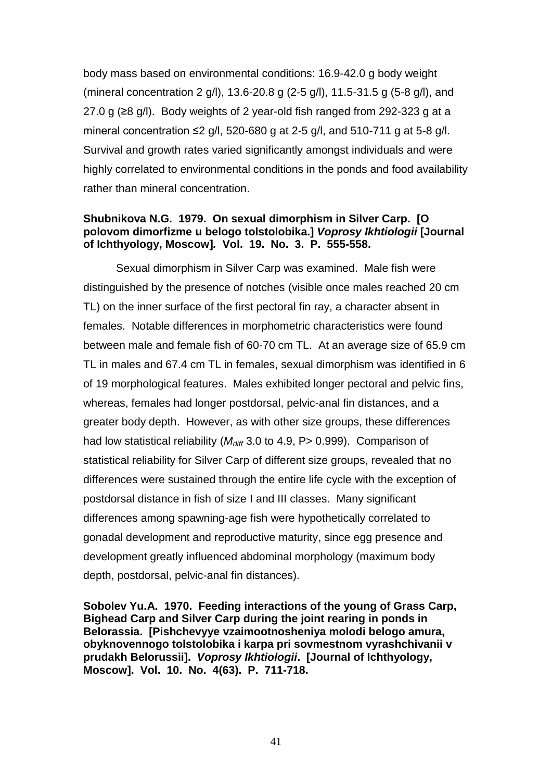body mass based on environmental conditions: 16.9-42.0 g body weight (mineral concentration 2 g/l), 13.6-20.8 g (2-5 g/l), 11.5-31.5 g (5-8 g/l), and 27.0 g (≥8 g/l). Body weights of 2 year-old fish ranged from 292-323 g at a mineral concentration  $\leq$  g/l, 520-680 g at 2-5 g/l, and 510-711 g at 5-8 g/l. Survival and growth rates varied significantly amongst individuals and were highly correlated to environmental conditions in the ponds and food availability rather than mineral concentration.

## **Shubnikova N.G. 1979. On sexual dimorphism in Silver Carp. [O polovom dimorfizme u belogo tolstolobika.]** *Voprosy Ikhtiologii* **[Journal of Ichthyology, Moscow]***.* **Vol. 19. No. 3. P. 555-558.**

Sexual dimorphism in Silver Carp was examined. Male fish were distinguished by the presence of notches (visible once males reached 20 cm TL) on the inner surface of the first pectoral fin ray, a character absent in females. Notable differences in morphometric characteristics were found between male and female fish of 60-70 cm TL. At an average size of 65.9 cm TL in males and 67.4 cm TL in females, sexual dimorphism was identified in 6 of 19 morphological features. Males exhibited longer pectoral and pelvic fins, whereas, females had longer postdorsal, pelvic-anal fin distances, and a greater body depth. However, as with other size groups, these differences had low statistical reliability ( $M_{diff}$  3.0 to 4.9, P > 0.999). Comparison of statistical reliability for Silver Carp of different size groups, revealed that no differences were sustained through the entire life cycle with the exception of postdorsal distance in fish of size I and III classes. Many significant differences among spawning-age fish were hypothetically correlated to gonadal development and reproductive maturity, since egg presence and development greatly influenced abdominal morphology (maximum body depth, postdorsal, pelvic-anal fin distances).

**Sobolev Yu.A. 1970. Feeding interactions of the young of Grass Carp, Bighead Carp and Silver Carp during the joint rearing in ponds in Belorassia. [Pishchevyye vzaimootnosheniya molodi belogo amura, obyknovennogo tolstolobika i karpa pri sovmestnom vyrashchivanii v prudakh Belorussii].** *Voprosy Ikhtiologii***. [Journal of Ichthyology, Moscow]. Vol. 10. No. 4(63). P. 711-718.**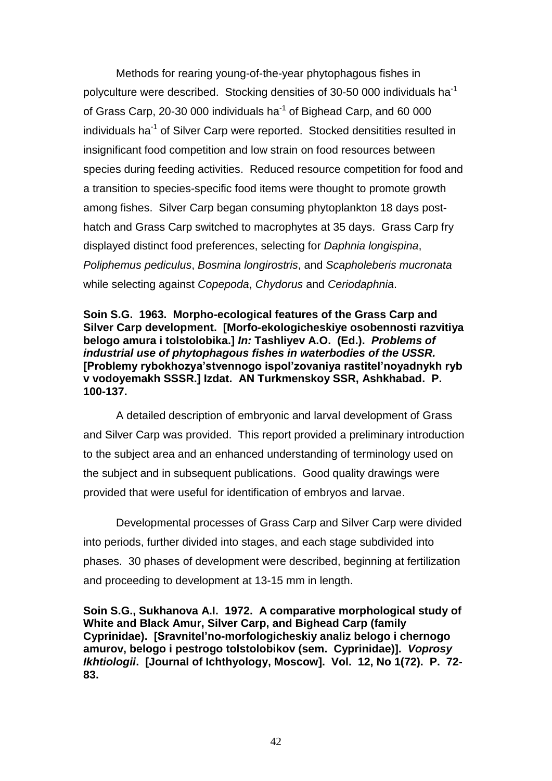Methods for rearing young-of-the-year phytophagous fishes in polyculture were described. Stocking densities of 30-50 000 individuals ha<sup>-1</sup> of Grass Carp, 20-30 000 individuals ha $^{-1}$  of Bighead Carp, and 60 000 individuals ha<sup>-1</sup> of Silver Carp were reported. Stocked densitities resulted in insignificant food competition and low strain on food resources between species during feeding activities. Reduced resource competition for food and a transition to species-specific food items were thought to promote growth among fishes. Silver Carp began consuming phytoplankton 18 days posthatch and Grass Carp switched to macrophytes at 35 days. Grass Carp fry displayed distinct food preferences, selecting for *Daphnia longispina*, *Poliphemus pediculus*, *Bosmina longirostris*, and *Scapholeberis mucronata* while selecting against *Copepoda*, *Chydorus* and *Ceriodaphnia*.

**Soin S.G. 1963. Morpho-ecological features of the Grass Carp and Silver Carp development. [Morfo-ekologicheskiye osobennosti razvitiya belogo amura i tolstolobika.]** *In:* **Tashliyev A.O. (Ed.).** *Problems of industrial use of phytophagous fishes in waterbodies of the USSR.*  **[Problemy rybokhozya'stvennogo ispol'zovaniya rastitel'noyadnykh ryb v vodoyemakh SSSR.] Izdat. AN Turkmenskoy SSR, Ashkhabad. P. 100-137.** 

A detailed description of embryonic and larval development of Grass and Silver Carp was provided. This report provided a preliminary introduction to the subject area and an enhanced understanding of terminology used on the subject and in subsequent publications. Good quality drawings were provided that were useful for identification of embryos and larvae.

Developmental processes of Grass Carp and Silver Carp were divided into periods, further divided into stages, and each stage subdivided into phases. 30 phases of development were described, beginning at fertilization and proceeding to development at 13-15 mm in length.

**Soin S.G., Sukhanova A.I. 1972. A comparative morphological study of White and Black Amur, Silver Carp, and Bighead Carp (family Cyprinidae). [Sravnitel'no-morfologicheskiy analiz belogo i chernogo amurov, belogo i pestrogo tolstolobikov (sem. Cyprinidae)].** *Voprosy Ikhtiologii***. [Journal of Ichthyology, Moscow]. Vol. 12, No 1(72). P. 72- 83.**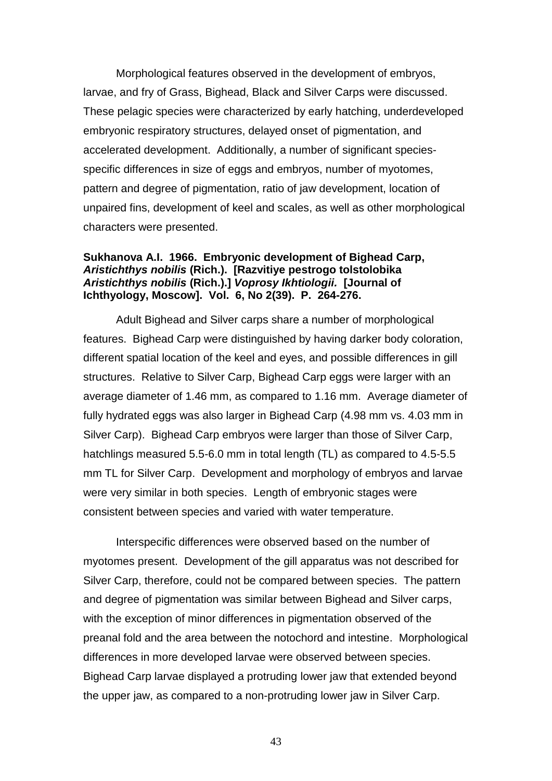Morphological features observed in the development of embryos, larvae, and fry of Grass, Bighead, Black and Silver Carps were discussed. These pelagic species were characterized by early hatching, underdeveloped embryonic respiratory structures, delayed onset of pigmentation, and accelerated development. Additionally, a number of significant speciesspecific differences in size of eggs and embryos, number of myotomes, pattern and degree of pigmentation, ratio of jaw development, location of unpaired fins, development of keel and scales, as well as other morphological characters were presented.

### **Sukhanova A.I. 1966. Embryonic development of Bighead Carp,**  *Aristichthys nobilis* **(Rich.). [Razvitiye pestrogo tolstolobika**  *Aristichthys nobilis* **(Rich.).]** *Voprosy Ikhtiologii.* **[Journal of Ichthyology, Moscow]. Vol. 6, No 2(39). P. 264-276.**

Adult Bighead and Silver carps share a number of morphological features. Bighead Carp were distinguished by having darker body coloration, different spatial location of the keel and eyes, and possible differences in gill structures. Relative to Silver Carp, Bighead Carp eggs were larger with an average diameter of 1.46 mm, as compared to 1.16 mm. Average diameter of fully hydrated eggs was also larger in Bighead Carp (4.98 mm vs. 4.03 mm in Silver Carp). Bighead Carp embryos were larger than those of Silver Carp, hatchlings measured 5.5-6.0 mm in total length (TL) as compared to 4.5-5.5 mm TL for Silver Carp. Development and morphology of embryos and larvae were very similar in both species. Length of embryonic stages were consistent between species and varied with water temperature.

Interspecific differences were observed based on the number of myotomes present. Development of the gill apparatus was not described for Silver Carp, therefore, could not be compared between species. The pattern and degree of pigmentation was similar between Bighead and Silver carps, with the exception of minor differences in pigmentation observed of the preanal fold and the area between the notochord and intestine. Morphological differences in more developed larvae were observed between species. Bighead Carp larvae displayed a protruding lower jaw that extended beyond the upper jaw, as compared to a non-protruding lower jaw in Silver Carp.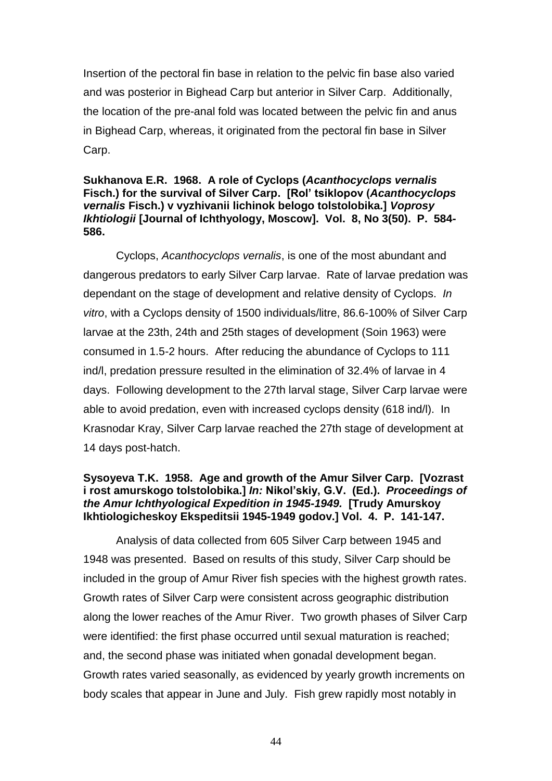Insertion of the pectoral fin base in relation to the pelvic fin base also varied and was posterior in Bighead Carp but anterior in Silver Carp. Additionally, the location of the pre-anal fold was located between the pelvic fin and anus in Bighead Carp, whereas, it originated from the pectoral fin base in Silver Carp.

### **Sukhanova E.R. 1968. A role of Cyclops (***Acanthocyclops vernalis* **Fisch.) for the survival of Silver Carp. [Rol' tsiklopov (***Acanthocyclops vernalis* **Fisch.) v vyzhivanii lichinok belogo tolstolobika.]** *Voprosy Ikhtiologii* **[Journal of Ichthyology, Moscow]. Vol. 8, No 3(50). P. 584- 586.**

Cyclops, *Acanthocyclops vernalis*, is one of the most abundant and dangerous predators to early Silver Carp larvae. Rate of larvae predation was dependant on the stage of development and relative density of Cyclops. *In vitro*, with a Cyclops density of 1500 individuals/litre, 86.6-100% of Silver Carp larvae at the 23th, 24th and 25th stages of development (Soin 1963) were consumed in 1.5-2 hours. After reducing the abundance of Cyclops to 111 ind/l, predation pressure resulted in the elimination of 32.4% of larvae in 4 days. Following development to the 27th larval stage, Silver Carp larvae were able to avoid predation, even with increased cyclops density (618 ind/l). In Krasnodar Kray, Silver Carp larvae reached the 27th stage of development at 14 days post-hatch.

## **Sysoyeva T.K. 1958. Age and growth of the Amur Silver Carp. [Vozrast i rost amurskogo tolstolobika.]** *In:* **Nikol'skiy, G.V. (Ed.).** *Proceedings of the Amur Ichthyological Expedition in 1945-1949.* **[Trudy Amurskoy Ikhtiologicheskoy Ekspeditsii 1945-1949 godov.] Vol. 4. P. 141-147.**

Analysis of data collected from 605 Silver Carp between 1945 and 1948 was presented. Based on results of this study, Silver Carp should be included in the group of Amur River fish species with the highest growth rates. Growth rates of Silver Carp were consistent across geographic distribution along the lower reaches of the Amur River. Two growth phases of Silver Carp were identified: the first phase occurred until sexual maturation is reached; and, the second phase was initiated when gonadal development began. Growth rates varied seasonally, as evidenced by yearly growth increments on body scales that appear in June and July. Fish grew rapidly most notably in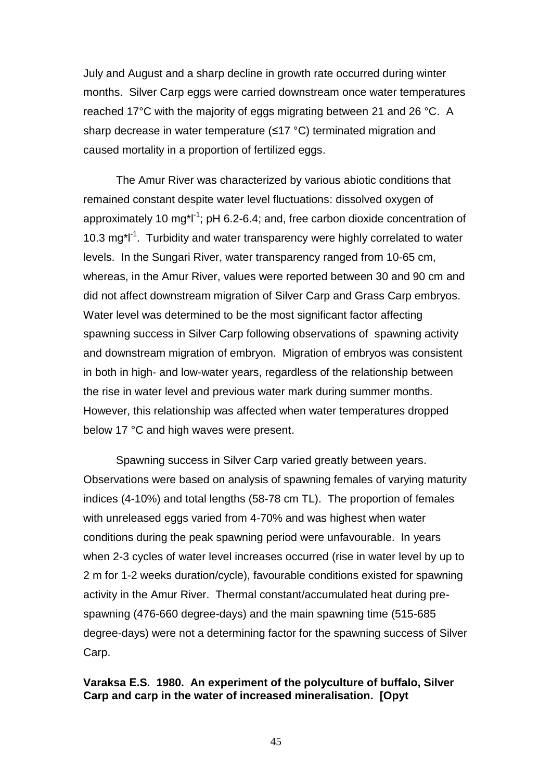July and August and a sharp decline in growth rate occurred during winter months. Silver Carp eggs were carried downstream once water temperatures reached 17°C with the majority of eggs migrating between 21 and 26 °C. A sharp decrease in water temperature (≤17 °C) terminated migration and caused mortality in a proportion of fertilized eggs.

The Amur River was characterized by various abiotic conditions that remained constant despite water level fluctuations: dissolved oxygen of approximately 10 mg<sup>\*</sup>l<sup>-1</sup>; pH 6.2-6.4; and, free carbon dioxide concentration of 10.3 mg\*l<sup>-1</sup>. Turbidity and water transparency were highly correlated to water levels. In the Sungari River, water transparency ranged from 10-65 cm, whereas, in the Amur River, values were reported between 30 and 90 cm and did not affect downstream migration of Silver Carp and Grass Carp embryos. Water level was determined to be the most significant factor affecting spawning success in Silver Carp following observations of spawning activity and downstream migration of embryon. Migration of embryos was consistent in both in high- and low-water years, regardless of the relationship between the rise in water level and previous water mark during summer months. However, this relationship was affected when water temperatures dropped below 17 °C and high waves were present.

Spawning success in Silver Carp varied greatly between years. Observations were based on analysis of spawning females of varying maturity indices (4-10%) and total lengths (58-78 cm TL). The proportion of females with unreleased eggs varied from 4-70% and was highest when water conditions during the peak spawning period were unfavourable. In years when 2-3 cycles of water level increases occurred (rise in water level by up to 2 m for 1-2 weeks duration/cycle), favourable conditions existed for spawning activity in the Amur River. Thermal constant/accumulated heat during prespawning (476-660 degree-days) and the main spawning time (515-685 degree-days) were not a determining factor for the spawning success of Silver Carp.

## **Varaksa Е.S. 1980. An experiment of the polyculture of buffalo, Silver Carp and carp in the water of increased mineralisation. [Opyt**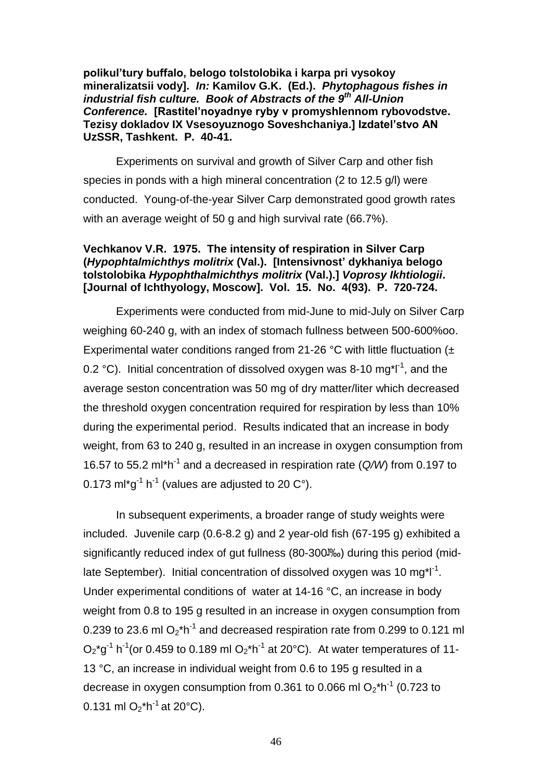**polikul'tury buffalo, bеlogo tolstolobika i karpa pri vysokoy minеralizatsii vody].** *In:* **Kamilov G.K. (Ed.).** *Phytophagous fishes in industrial fish culture. Book of Abstracts of the 9th All-Union Conference.* **[Rastitel'noyadnye ryby v promyshlennom rybovodstve. Tezisy dokladov IX Vsesoyuznogo Soveshchaniya.] Izdatel'stvo AN UzSSR, Tashkent. P. 40-41.** 

Experiments on survival and growth of Silver Carp and other fish species in ponds with a high mineral concentration (2 to 12.5 g/l) were conducted. Young-of-the-year Silver Carp demonstrated good growth rates with an average weight of 50 g and high survival rate (66.7%).

## **Vechkanov V.R. 1975. The intensity of respiration in Silver Carp (***Hypophtalmichthys molitrix* **(Val.). [Intensivnost' dykhaniya belogo tolstolobika** *Hypophthalmichthys molitrix* **(Val.).]** *Voprosy Ikhtiologii***. [Journal of Ichthyology, Moscow]. Vol. 15. No. 4(93). P. 720-724.**

Experiments were conducted from mid-June to mid-July on Silver Carp weighing 60-240 g, with an index of stomach fullness between 500-600%oo. Experimental water conditions ranged from 21-26 °C with little fluctuation (± 0.2 °C). Initial concentration of dissolved oxygen was 8-10 mg\*l<sup>-1</sup>, and the average seston concentration was 50 mg of dry matter/liter which decreased the threshold oxygen concentration required for respiration by less than 10% during the experimental period. Results indicated that an increase in body weight, from 63 to 240 g, resulted in an increase in oxygen consumption from 16.57 to 55.2 ml<sup>\*h-1</sup> and a decreased in respiration rate (Q/W) from 0.197 to 0.173 ml\*g<sup>-1</sup> h<sup>-1</sup> (values are adjusted to 20 C°).

In subsequent experiments, a broader range of study weights were included. Juvenile carp (0.6-8.2 g) and 2 year-old fish (67-195 g) exhibited a significantly reduced index of gut fullness (80-300<sup>1</sup>%) during this period (midlate September). Initial concentration of dissolved oxygen was 10 mg\*l<sup>-1</sup>. Under experimental conditions of water at 14-16 °C, an increase in body weight from 0.8 to 195 g resulted in an increase in oxygen consumption from 0.239 to 23.6 ml  $O_2$ <sup>\*h-1</sup> and decreased respiration rate from 0.299 to 0.121 ml  $O_2$ \*g<sup>-1</sup> h<sup>-1</sup> (or 0.459 to 0.189 ml  $O_2$ \*h<sup>-1</sup> at 20°C). At water temperatures of 11-13 °C, an increase in individual weight from 0.6 to 195 g resulted in a decrease in oxygen consumption from 0.361 to 0.066 ml  $O_2$ \*h<sup>-1</sup> (0.723 to 0.131 ml O<sub>2</sub>\*h<sup>-1</sup> at 20°C).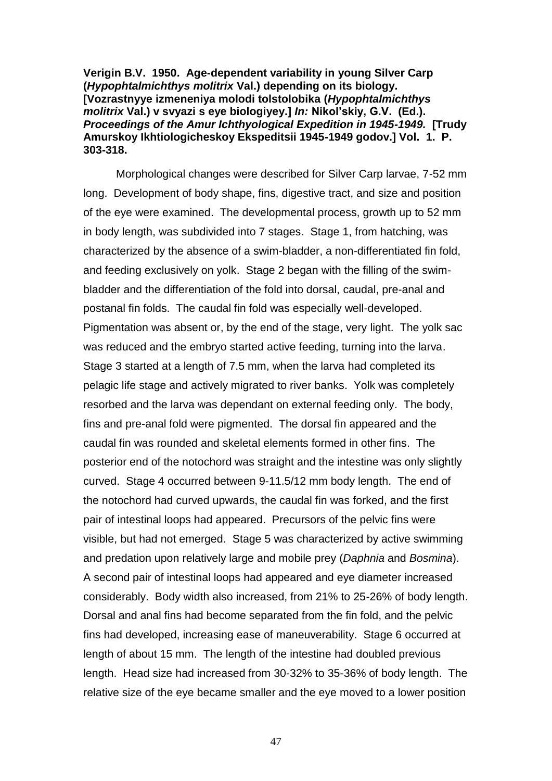**Verigin B.V. 1950. Age-dependent variability in young Silver Carp (***Hypophtalmichthys molitrix* **Val.) depending on its biology. [Vozrastnyye izmeneniya molodi tolstolobika (***Hypophtalmichthys molitrix* **Val.) v svyazi s eye biologiyey.]** *In:* **Nikol'skiy, G.V. (Ed.).**  *Proceedings of the Amur Ichthyological Expedition in 1945-1949.* **[Trudy Amurskoy Ikhtiologicheskoy Ekspeditsii 1945-1949 godov.] Vol. 1. P. 303-318.** 

Morphological changes were described for Silver Carp larvae, 7-52 mm long. Development of body shape, fins, digestive tract, and size and position of the eye were examined. The developmental process, growth up to 52 mm in body length, was subdivided into 7 stages. Stage 1, from hatching, was characterized by the absence of a swim-bladder, a non-differentiated fin fold, and feeding exclusively on yolk. Stage 2 began with the filling of the swimbladder and the differentiation of the fold into dorsal, caudal, pre-anal and postanal fin folds. The caudal fin fold was especially well-developed. Pigmentation was absent or, by the end of the stage, very light. The yolk sac was reduced and the embryo started active feeding, turning into the larva. Stage 3 started at a length of 7.5 mm, when the larva had completed its pelagic life stage and actively migrated to river banks. Yolk was completely resorbed and the larva was dependant on external feeding only. The body, fins and pre-anal fold were pigmented. The dorsal fin appeared and the caudal fin was rounded and skeletal elements formed in other fins. The posterior end of the notochord was straight and the intestine was only slightly curved. Stage 4 occurred between 9-11.5/12 mm body length. The end of the notochord had curved upwards, the caudal fin was forked, and the first pair of intestinal loops had appeared. Precursors of the pelvic fins were visible, but had not emerged. Stage 5 was characterized by active swimming and predation upon relatively large and mobile prey (*Daphnia* and *Bosmina*). A second pair of intestinal loops had appeared and eye diameter increased considerably. Body width also increased, from 21% to 25-26% of body length. Dorsal and anal fins had become separated from the fin fold, and the pelvic fins had developed, increasing ease of maneuverability. Stage 6 occurred at length of about 15 mm. The length of the intestine had doubled previous length. Head size had increased from 30-32% to 35-36% of body length. The relative size of the eye became smaller and the eye moved to a lower position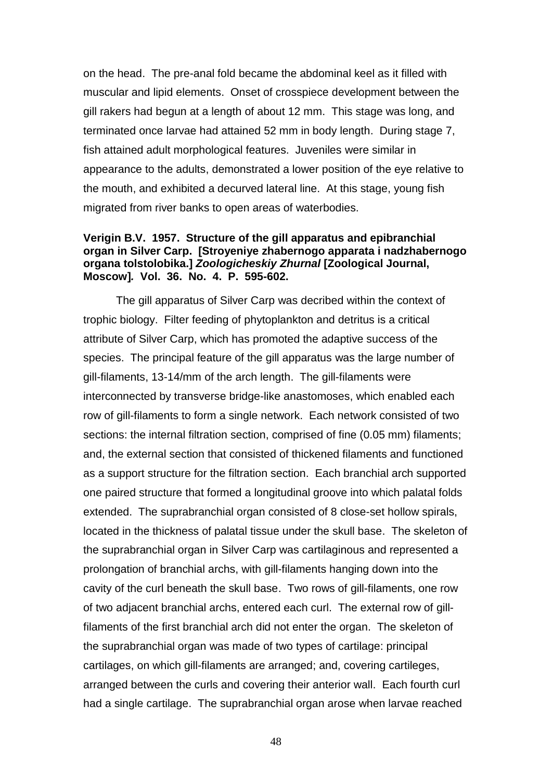on the head. The pre-anal fold became the abdominal keel as it filled with muscular and lipid elements. Onset of crosspiece development between the gill rakers had begun at a length of about 12 mm. This stage was long, and terminated once larvae had attained 52 mm in body length. During stage 7, fish attained adult morphological features. Juveniles were similar in appearance to the adults, demonstrated a lower position of the eye relative to the mouth, and exhibited a decurved lateral line. At this stage, young fish migrated from river banks to open areas of waterbodies.

### **Verigin B.V. 1957. Structure of the gill apparatus and epibranchial organ in Silver Carp. [Stroyeniye zhabernogo apparata i nadzhabernogo organa tolstolobika.]** *Zoologicheskiy Zhurnal* **[Zoological Journal, Moscow]***.* **Vol. 36. No. 4. P. 595-602.**

The gill apparatus of Silver Carp was decribed within the context of trophic biology. Filter feeding of phytoplankton and detritus is a critical attribute of Silver Carp, which has promoted the adaptive success of the species. The principal feature of the gill apparatus was the large number of gill-filaments, 13-14/mm of the arch length. The gill-filaments were interconnected by transverse bridge-like anastomoses, which enabled each row of gill-filaments to form a single network. Each network consisted of two sections: the internal filtration section, comprised of fine (0.05 mm) filaments; and, the external section that consisted of thickened filaments and functioned as a support structure for the filtration section. Each branchial arch supported one paired structure that formed a longitudinal groove into which palatal folds extended. The suprabranchial organ consisted of 8 close-set hollow spirals, located in the thickness of palatal tissue under the skull base. The skeleton of the suprabranchial organ in Silver Carp was cartilaginous and represented a prolongation of branchial archs, with gill-filaments hanging down into the cavity of the curl beneath the skull base. Two rows of gill-filaments, one row of two adjacent branchial archs, entered each curl. The external row of gillfilaments of the first branchial arch did not enter the organ. The skeleton of the suprabranchial organ was made of two types of cartilage: principal cartilages, on which gill-filaments are arranged; and, covering cartileges, arranged between the curls and covering their anterior wall. Each fourth curl had a single cartilage. The suprabranchial organ arose when larvae reached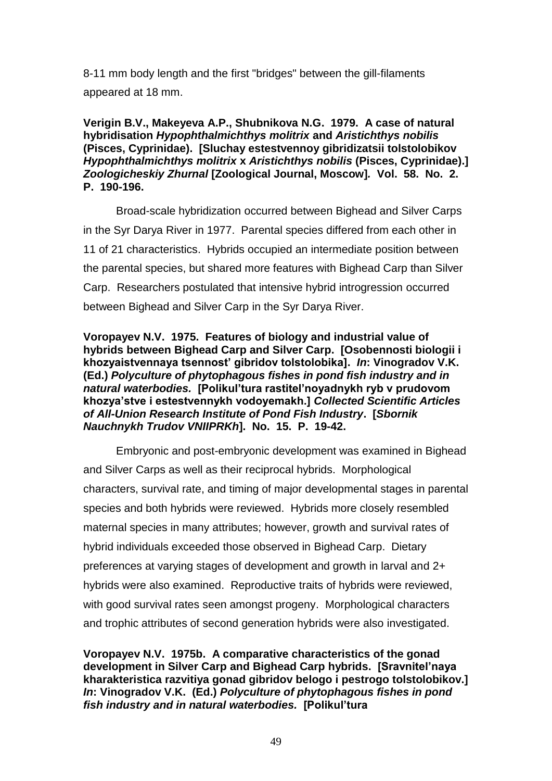8-11 mm body length and the first "bridges" between the gill-filaments appeared at 18 mm.

**Verigin B.V., Makeyeva A.P., Shubnikova N.G. 1979. A case of natural hybridisation** *Hypophthalmichthys molitrix* **and** *Aristichthys nobilis* **(Pisces, Cyprinidae). [Sluchay estestvennoy gibridizatsii tolstolobikov**  *Hypophthalmichthys molitrix* **x** *Aristichthys nobilis* **(Pisces, Cyprinidae).]**  *Zoologicheskiy Zhurnal* **[Zoological Journal, Moscow]***.* **Vol. 58. No. 2. P. 190-196.** 

Broad-scale hybridization occurred between Bighead and Silver Carps in the Syr Darya River in 1977. Parental species differed from each other in 11 of 21 characteristics. Hybrids occupied an intermediate position between the parental species, but shared more features with Bighead Carp than Silver Carp. Researchers postulated that intensive hybrid introgression occurred between Bighead and Silver Carp in the Syr Darya River.

## **Voropayev N.V. 1975. Features of biology and industrial value of hybrids between Bighead Carp and Silver Carp. [Osobennosti biologii i khozyaistvennaya tsennost' gibridov tolstolobika].** *In***: Vinogradov V.K. (Ed.)** *Polyculture of phytophagous fishes in pond fish industry and in natural waterbodies.* **[Polikul'tura rastitel'noyadnykh ryb v prudovom khozya'stve i estestvennykh vodoyemakh.]** *Collected Scientific Articles of All-Union Research Institute of Pond Fish Industry***. [***Sbornik Nauchnykh Trudov VNIIPRKh***]. No. 15. P. 19-42.**

Embryonic and post-embryonic development was examined in Bighead and Silver Carps as well as their reciprocal hybrids. Morphological characters, survival rate, and timing of major developmental stages in parental species and both hybrids were reviewed. Hybrids more closely resembled maternal species in many attributes; however, growth and survival rates of hybrid individuals exceeded those observed in Bighead Carp. Dietary preferences at varying stages of development and growth in larval and 2+ hybrids were also examined. Reproductive traits of hybrids were reviewed, with good survival rates seen amongst progeny. Morphological characters and trophic attributes of second generation hybrids were also investigated.

**Voropayev N.V. 1975b. A comparative characteristics of the gonad development in Silver Carp and Bighead Carp hybrids. [Sravnitel'naya kharakteristica razvitiya gonad gibridov belogo i pestrogo tolstolobikov.]**  *In***: Vinogradov V.K. (Ed.)** *Polyculture of phytophagous fishes in pond fish industry and in natural waterbodies.* **[Polikul'tura**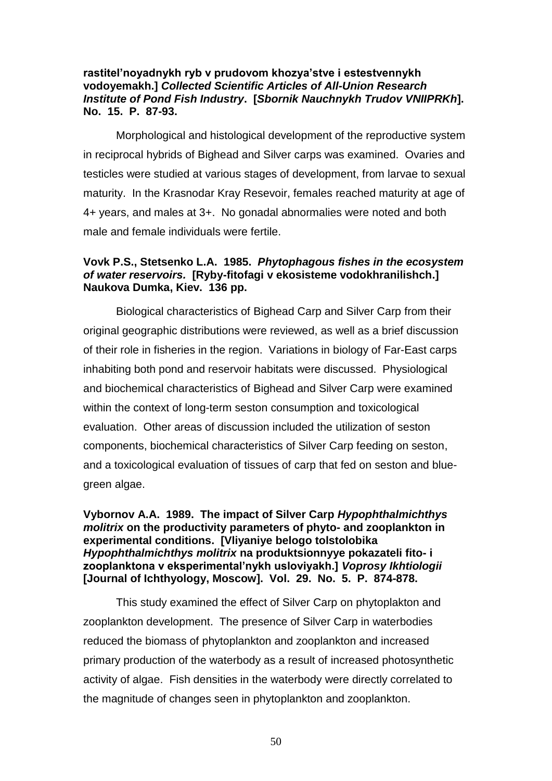## **rastitel'noyadnykh ryb v prudovom khozya'stve i estestvennykh vodoyemakh.]** *Collected Scientific Articles of All-Union Research Institute of Pond Fish Industry***. [***Sbornik Nauchnykh Trudov VNIIPRKh***]. No. 15. P. 87-93.**

Morphological and histological development of the reproductive system in reciprocal hybrids of Bighead and Silver carps was examined. Ovaries and testicles were studied at various stages of development, from larvae to sexual maturity. In the Krasnodar Kray Resevoir, females reached maturity at age of 4+ years, and males at 3+. No gonadal abnormalies were noted and both male and female individuals were fertile.

# **Vovk P.S., Stetsenko L.A. 1985.** *Phytophagous fishes in the ecosystem of water reservoirs.* **[Ryby-fitofagi v ekosisteme vodokhranilishch.] Naukova Dumka, Kiev. 136 pp.**

Biological characteristics of Bighead Carp and Silver Carp from their original geographic distributions were reviewed, as well as a brief discussion of their role in fisheries in the region. Variations in biology of Far-East carps inhabiting both pond and reservoir habitats were discussed. Physiological and biochemical characteristics of Bighead and Silver Carp were examined within the context of long-term seston consumption and toxicological evaluation. Other areas of discussion included the utilization of seston components, biochemical characteristics of Silver Carp feeding on seston, and a toxicological evaluation of tissues of carp that fed on seston and bluegreen algae.

**Vybornov A.A. 1989. The impact of Silver Carp** *Hypophthalmichthys molitrix* **on the productivity parameters of phyto- and zooplankton in experimental conditions. [Vliyaniye belogo tolstolobika**  *Hypophthalmichthys molitrix* **na produktsionnyye pokazateli fito- i zooplanktona v eksperimental'nykh usloviyakh.]** *Voprosy Ikhtiologii* **[Journal of Ichthyology, Moscow]. Vol. 29. No. 5. P. 874-878.** 

This study examined the effect of Silver Carp on phytoplakton and zooplankton development. The presence of Silver Carp in waterbodies reduced the biomass of phytoplankton and zooplankton and increased primary production of the waterbody as a result of increased photosynthetic activity of algae. Fish densities in the waterbody were directly correlated to the magnitude of changes seen in phytoplankton and zooplankton.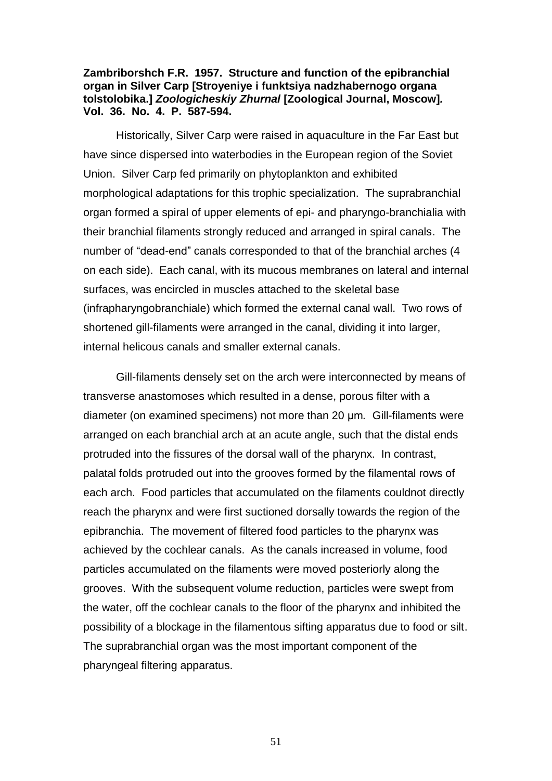#### **Zambriborshch F.R. 1957. Structure and function of the epibranchial organ in Silver Carp [Stroyeniye i funktsiya nadzhabernogo organa tolstolobika.]** *Zoologicheskiy Zhurnal* **[Zoological Journal, Moscow]***.*  **Vol. 36. No. 4. P. 587-594.**

Historically, Silver Carp were raised in aquaculture in the Far East but have since dispersed into waterbodies in the European region of the Soviet Union. Silver Carp fed primarily on phytoplankton and exhibited morphological adaptations for this trophic specialization. The suprabranchial organ formed a spiral of upper elements of epi- and pharyngo-branchialia with their branchial filaments strongly reduced and arranged in spiral canals. The number of "dead-end" canals corresponded to that of the branchial arches (4 on each side). Each canal, with its mucous membranes on lateral and internal surfaces, was encircled in muscles attached to the skeletal base (infrapharyngobranchiale) which formed the external canal wall. Two rows of shortened gill-filaments were arranged in the canal, dividing it into larger, internal helicous canals and smaller external canals.

Gill-filaments densely set on the arch were interconnected by means of transverse anastomoses which resulted in a dense, porous filter with a diameter (on examined specimens) not more than 20 μm*.* Gill-filaments were arranged on each branchial arch at an acute angle, such that the distal ends protruded into the fissures of the dorsal wall of the pharynx. In contrast, palatal folds protruded out into the grooves formed by the filamental rows of each arch. Food particles that accumulated on the filaments couldnot directly reach the pharynx and were first suctioned dorsally towards the region of the epibranchia. The movement of filtered food particles to the pharynx was achieved by the cochlear canals. As the canals increased in volume, food particles accumulated on the filaments were moved posteriorly along the grooves. With the subsequent volume reduction, particles were swept from the water, off the cochlear canals to the floor of the pharynx and inhibited the possibility of a blockage in the filamentous sifting apparatus due to food or silt. The suprabranchial organ was the most important component of the pharyngeal filtering apparatus.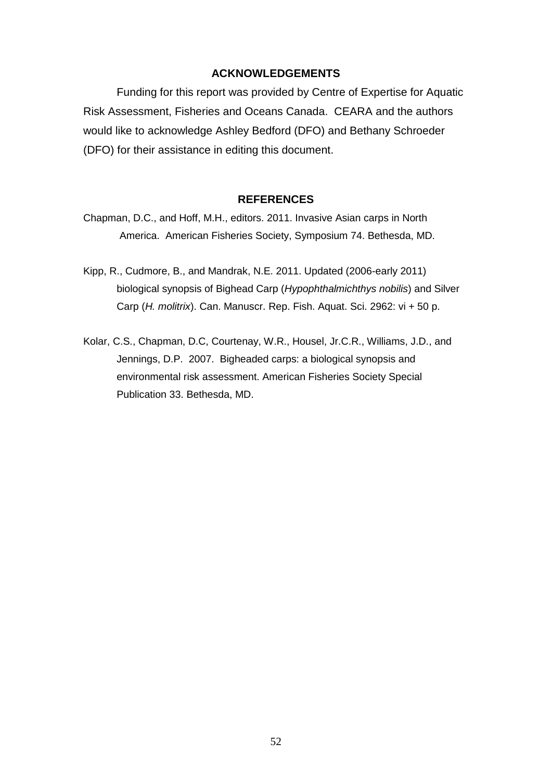#### **ACKNOWLEDGEMENTS**

Funding for this report was provided by Centre of Expertise for Aquatic Risk Assessment, Fisheries and Oceans Canada. CEARA and the authors would like to acknowledge Ashley Bedford (DFO) and Bethany Schroeder (DFO) for their assistance in editing this document.

#### **REFERENCES**

- Chapman, D.C., and Hoff, M.H., editors. 2011. Invasive Asian carps in North America. American Fisheries Society, Symposium 74. Bethesda, MD.
- Kipp, R., Cudmore, B., and Mandrak, N.E. 2011. Updated (2006-early 2011) biological synopsis of Bighead Carp (*Hypophthalmichthys nobilis*) and Silver Carp (*H. molitrix*). Can. Manuscr. Rep. Fish. Aquat. Sci. 2962: vi + 50 p.
- Kolar, C.S., Chapman, D.C, Courtenay, W.R., Housel, Jr.C.R., Williams, J.D., and Jennings, D.P. 2007. Bigheaded carps: a biological synopsis and environmental risk assessment. American Fisheries Society Special Publication 33. Bethesda, MD.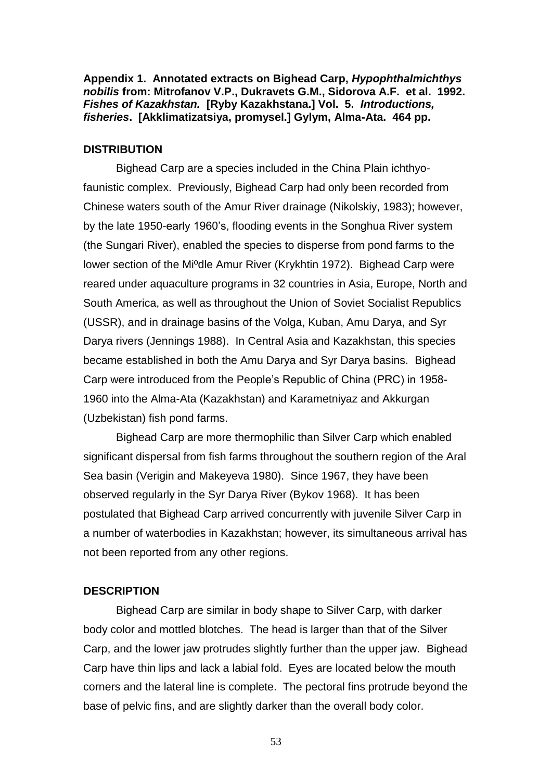**Appendix 1. Annotated extracts on Bighead Carp,** *Hypophthalmichthys nobilis* **from: Mitrofanov V.P., Dukravets G.M., Sidorova A.F. et al. 1992.**  *Fishes of Kazakhstan.* **[Ryby Kazakhstana.] Vol. 5.** *Introductions, fisheries***. [Akklimatizatsiya, promysel.] Gylym, Alma-Ata. 464 pp.**

#### **DISTRIBUTION**

Bighead Carp are a species included in the China Plain ichthyofaunistic complex. Previously, Bighead Carp had only been recorded from Chinese waters south of the Amur River drainage (Nikolskiy, 1983); however, by the late 1950-early 1960's, flooding events in the Songhua River system (the Sungari River), enabled the species to disperse from pond farms to the lower section of the Miºdle Amur River (Krykhtin 1972). Bighead Carp were reared under aquaculture programs in 32 countries in Asia, Europe, North and South America, as well as throughout the Union of Soviet Socialist Republics (USSR), and in drainage basins of the Volga, Kuban, Amu Darya, and Syr Darya rivers (Jennings 1988). In Central Asia and Kazakhstan, this species became established in both the Amu Darya and Syr Darya basins. Bighead Carp were introduced from the People's Republic of China (PRC) in 1958- 1960 into the Alma-Ata (Kazakhstan) and Karametniyaz and Akkurgan (Uzbekistan) fish pond farms.

Bighead Carp are more thermophilic than Silver Carp which enabled significant dispersal from fish farms throughout the southern region of the Aral Sea basin (Verigin and Makeyeva 1980). Since 1967, they have been observed regularly in the Syr Darya River (Bykov 1968). It has been postulated that Bighead Carp arrived concurrently with juvenile Silver Carp in a number of waterbodies in Kazakhstan; however, its simultaneous arrival has not been reported from any other regions.

### **DESCRIPTION**

Bighead Carp are similar in body shape to Silver Carp, with darker body color and mottled blotches. The head is larger than that of the Silver Carp, and the lower jaw protrudes slightly further than the upper jaw. Bighead Carp have thin lips and lack a labial fold. Eyes are located below the mouth corners and the lateral line is complete. The pectoral fins protrude beyond the base of pelvic fins, and are slightly darker than the overall body color.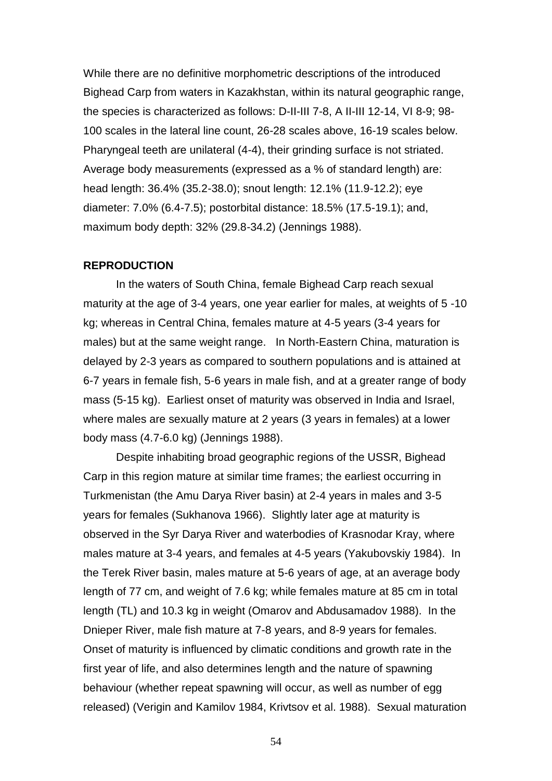While there are no definitive morphometric descriptions of the introduced Bighead Carp from waters in Kazakhstan, within its natural geographic range, the species is characterized as follows: D-II-III 7-8, A II-III 12-14, VI 8-9; 98- 100 scales in the lateral line count, 26-28 scales above, 16-19 scales below. Pharyngeal teeth are unilateral (4-4), their grinding surface is not striated. Average body measurements (expressed as a % of standard length) are: head length: 36.4% (35.2-38.0); snout length: 12.1% (11.9-12.2); eye diameter: 7.0% (6.4-7.5); postorbital distance: 18.5% (17.5-19.1); and, maximum body depth: 32% (29.8-34.2) (Jennings 1988).

#### **REPRODUCTION**

In the waters of South China, female Bighead Carp reach sexual maturity at the age of 3-4 years, one year earlier for males, at weights of 5 -10 kg; whereas in Central China, females mature at 4-5 years (3-4 years for males) but at the same weight range. In North-Eastern China, maturation is delayed by 2-3 years as compared to southern populations and is attained at 6-7 years in female fish, 5-6 years in male fish, and at a greater range of body mass (5-15 kg). Earliest onset of maturity was observed in India and Israel, where males are sexually mature at 2 years (3 years in females) at a lower body mass (4.7-6.0 kg) (Jennings 1988).

Despite inhabiting broad geographic regions of the USSR, Bighead Carp in this region mature at similar time frames; the earliest occurring in Turkmenistan (the Amu Darya River basin) at 2-4 years in males and 3-5 years for females (Sukhanova 1966). Slightly later age at maturity is observed in the Syr Darya River and waterbodies of Krasnodar Kray, where males mature at 3-4 years, and females at 4-5 years (Yakubovskiy 1984). In the Terek River basin, males mature at 5-6 years of age, at an average body length of 77 cm, and weight of 7.6 kg; while females mature at 85 cm in total length (TL) and 10.3 kg in weight (Omarov and Abdusamadov 1988). In the Dnieper River, male fish mature at 7-8 years, and 8-9 years for females. Onset of maturity is influenced by climatic conditions and growth rate in the first year of life, and also determines length and the nature of spawning behaviour (whether repeat spawning will occur, as well as number of egg released) (Verigin and Kamilov 1984, Krivtsov et al. 1988). Sexual maturation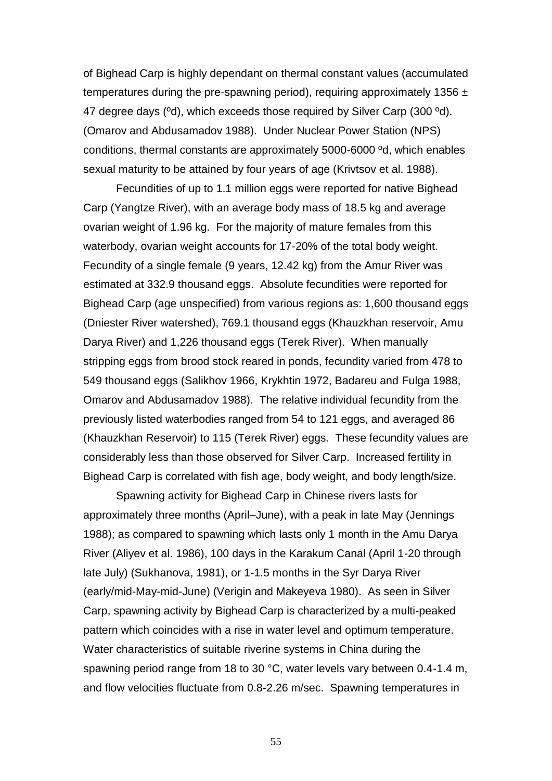of Bighead Carp is highly dependant on thermal constant values (accumulated temperatures during the pre-spawning period), requiring approximately 1356  $\pm$ 47 degree days (ºd), which exceeds those required by Silver Carp (300 ºd). (Omarov and Abdusamadov 1988). Under Nuclear Power Station (NPS) conditions, thermal constants are approximately 5000-6000 ºd, which enables sexual maturity to be attained by four years of age (Krivtsov et al. 1988).

Fecundities of up to 1.1 million eggs were reported for native Bighead Carp (Yangtze River), with an average body mass of 18.5 kg and average ovarian weight of 1.96 kg. For the majority of mature females from this waterbody, ovarian weight accounts for 17-20% of the total body weight. Fecundity of a single female (9 years, 12.42 kg) from the Amur River was estimated at 332.9 thousand eggs. Absolute fecundities were reported for Bighead Carp (age unspecified) from various regions as: 1,600 thousand eggs (Dniester River watershed), 769.1 thousand eggs (Khauzkhan reservoir, Amu Darya River) and 1,226 thousand eggs (Terek River). When manually stripping eggs from brood stock reared in ponds, fecundity varied from 478 to 549 thousand eggs (Salikhov 1966, Krykhtin 1972, Badareu and Fulga 1988, Omarov and Abdusamadov 1988). The relative individual fecundity from the previously listed waterbodies ranged from 54 to 121 eggs, and averaged 86 (Khauzkhan Reservoir) to 115 (Terek River) eggs. These fecundity values are considerably less than those observed for Silver Carp. Increased fertility in Bighead Carp is correlated with fish age, body weight, and body length/size.

Spawning activity for Bighead Carp in Chinese rivers lasts for approximately three months (April–June), with a peak in late May (Jennings 1988); as compared to spawning which lasts only 1 month in the Amu Darya River (Aliyev et al. 1986), 100 days in the Karakum Canal (April 1-20 through late July) (Sukhanova, 1981), or 1-1.5 months in the Syr Darya River (early/mid-May-mid-June) (Verigin and Makeyeva 1980). As seen in Silver Carp, spawning activity by Bighead Carp is characterized by a multi-peaked pattern which coincides with a rise in water level and optimum temperature. Water characteristics of suitable riverine systems in China during the spawning period range from 18 to 30 °C, water levels vary between 0.4-1.4 m, and flow velocities fluctuate from 0.8-2.26 m/sec. Spawning temperatures in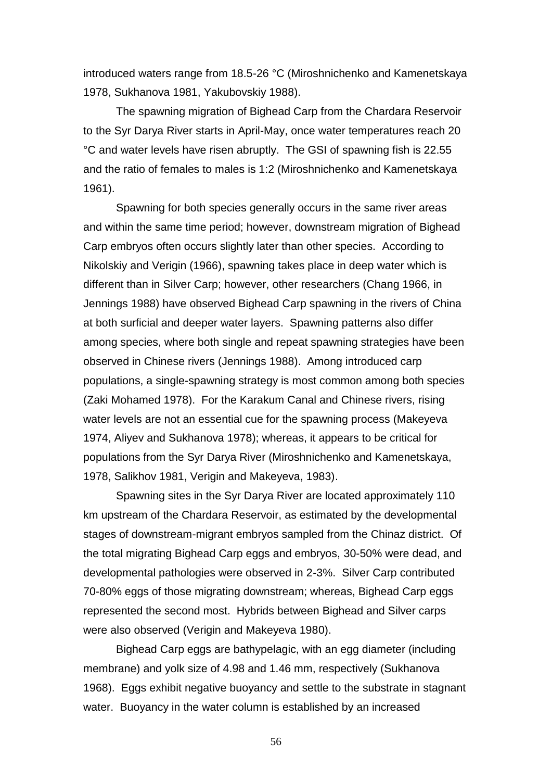introduced waters range from 18.5-26 °C (Miroshnichenko and Kamenetskaya 1978, Sukhanova 1981, Yakubovskiy 1988).

The spawning migration of Bighead Carp from the Chardara Reservoir to the Syr Darya River starts in April-May, once water temperatures reach 20 °C and water levels have risen abruptly. The GSI of spawning fish is 22.55 and the ratio of females to males is 1:2 (Miroshnichenko and Kamenetskaya 1961).

Spawning for both species generally occurs in the same river areas and within the same time period; however, downstream migration of Bighead Carp embryos often occurs slightly later than other species. According to Nikolskiy and Verigin (1966), spawning takes place in deep water which is different than in Silver Carp; however, other researchers (Chang 1966, in Jennings 1988) have observed Bighead Carp spawning in the rivers of China at both surficial and deeper water layers. Spawning patterns also differ among species, where both single and repeat spawning strategies have been observed in Chinese rivers (Jennings 1988). Among introduced carp populations, a single-spawning strategy is most common among both species (Zaki Mohamed 1978). For the Karakum Canal and Chinese rivers, rising water levels are not an essential cue for the spawning process (Makeyeva 1974, Aliyev and Sukhanova 1978); whereas, it appears to be critical for populations from the Syr Darya River (Miroshnichenko and Kamenetskaya, 1978, Salikhov 1981, Verigin and Makeyeva, 1983).

Spawning sites in the Syr Darya River are located approximately 110 km upstream of the Chardara Reservoir, as estimated by the developmental stages of downstream-migrant embryos sampled from the Chinaz district. Of the total migrating Bighead Carp eggs and embryos, 30-50% were dead, and developmental pathologies were observed in 2-3%. Silver Carp contributed 70-80% eggs of those migrating downstream; whereas, Bighead Carp eggs represented the second most. Hybrids between Bighead and Silver carps were also observed (Verigin and Makeyeva 1980).

Bighead Carp eggs are bathypelagic, with an egg diameter (including membrane) and yolk size of 4.98 and 1.46 mm, respectively (Sukhanova 1968). Eggs exhibit negative buoyancy and settle to the substrate in stagnant water. Buoyancy in the water column is established by an increased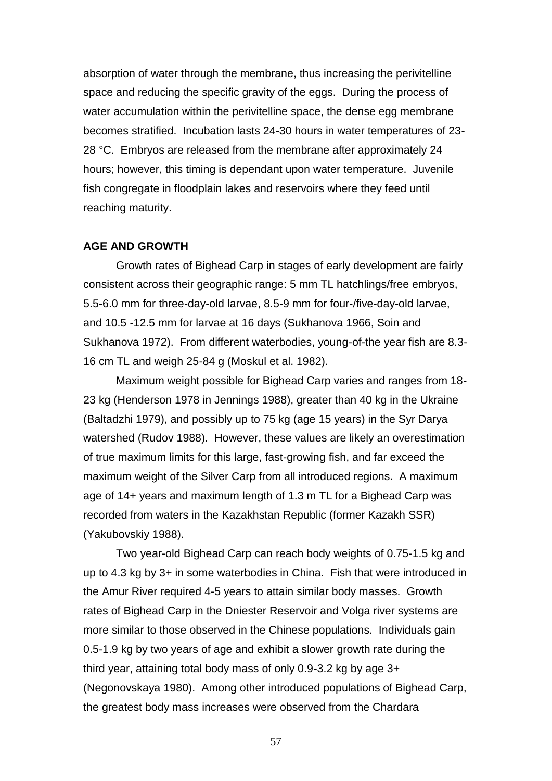absorption of water through the membrane, thus increasing the perivitelline space and reducing the specific gravity of the eggs. During the process of water accumulation within the perivitelline space, the dense egg membrane becomes stratified. Incubation lasts 24-30 hours in water temperatures of 23- 28 °C. Embryos are released from the membrane after approximately 24 hours; however, this timing is dependant upon water temperature. Juvenile fish congregate in floodplain lakes and reservoirs where they feed until reaching maturity.

## **AGE AND GROWTH**

Growth rates of Bighead Carp in stages of early development are fairly consistent across their geographic range: 5 mm TL hatchlings/free embryos, 5.5-6.0 mm for three-day-old larvae, 8.5-9 mm for four-/five-day-old larvae, and 10.5 -12.5 mm for larvae at 16 days (Sukhanova 1966, Soin and Sukhanova 1972). From different waterbodies, young-of-the year fish are 8.3- 16 cm TL and weigh 25-84 g (Moskul et al. 1982).

Maximum weight possible for Bighead Carp varies and ranges from 18- 23 kg (Henderson 1978 in Jennings 1988), greater than 40 kg in the Ukraine (Baltadzhi 1979), and possibly up to 75 kg (age 15 years) in the Syr Darya watershed (Rudov 1988). However, these values are likely an overestimation of true maximum limits for this large, fast-growing fish, and far exceed the maximum weight of the Silver Carp from all introduced regions. A maximum age of 14+ years and maximum length of 1.3 m TL for a Bighead Carp was recorded from waters in the Kazakhstan Republic (former Kazakh SSR) (Yakubovskiy 1988).

Two year-old Bighead Carp can reach body weights of 0.75-1.5 kg and up to 4.3 kg by 3+ in some waterbodies in China. Fish that were introduced in the Amur River required 4-5 years to attain similar body masses. Growth rates of Bighead Carp in the Dniester Reservoir and Volga river systems are more similar to those observed in the Chinese populations. Individuals gain 0.5-1.9 kg by two years of age and exhibit a slower growth rate during the third year, attaining total body mass of only 0.9-3.2 kg by age 3+ (Negonovskaya 1980). Among other introduced populations of Bighead Carp, the greatest body mass increases were observed from the Chardara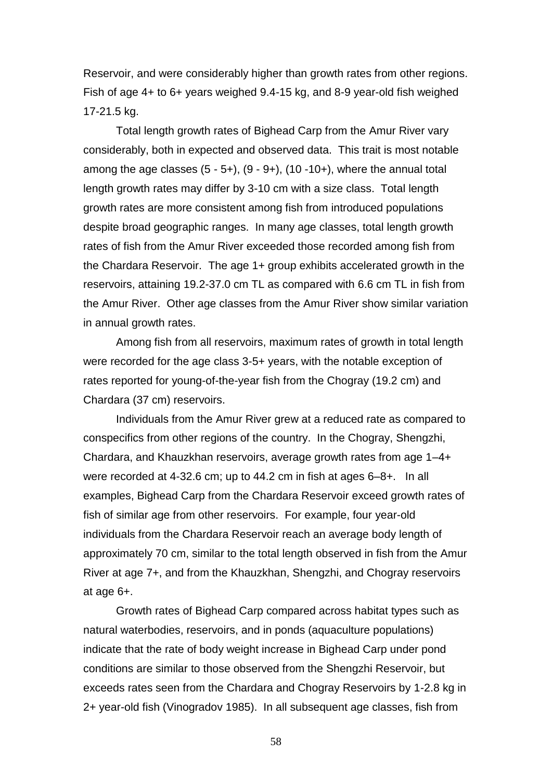Reservoir, and were considerably higher than growth rates from other regions. Fish of age 4+ to 6+ years weighed 9.4-15 kg, and 8-9 year-old fish weighed 17-21.5 kg.

Total length growth rates of Bighead Carp from the Amur River vary considerably, both in expected and observed data. This trait is most notable among the age classes  $(5 - 5 +)$ ,  $(9 - 9 +)$ ,  $(10 - 10 +)$ , where the annual total length growth rates may differ by 3-10 cm with a size class. Total length growth rates are more consistent among fish from introduced populations despite broad geographic ranges. In many age classes, total length growth rates of fish from the Amur River exceeded those recorded among fish from the Chardara Reservoir. The age 1+ group exhibits accelerated growth in the reservoirs, attaining 19.2-37.0 cm TL as compared with 6.6 cm TL in fish from the Amur River. Other age classes from the Amur River show similar variation in annual growth rates.

Among fish from all reservoirs, maximum rates of growth in total length were recorded for the age class 3-5+ years, with the notable exception of rates reported for young-of-the-year fish from the Chogray (19.2 cm) and Chardara (37 cm) reservoirs.

Individuals from the Amur River grew at a reduced rate as compared to conspecifics from other regions of the country. In the Chogray, Shengzhi, Chardara, and Khauzkhan reservoirs, average growth rates from age 1–4+ were recorded at 4-32.6 cm; up to 44.2 cm in fish at ages 6–8+. In all examples, Bighead Carp from the Chardara Reservoir exceed growth rates of fish of similar age from other reservoirs. For example, four year-old individuals from the Chardara Reservoir reach an average body length of approximately 70 cm, similar to the total length observed in fish from the Amur River at age 7+, and from the Khauzkhan, Shengzhi, and Chogray reservoirs at age 6+.

Growth rates of Bighead Carp compared across habitat types such as natural waterbodies, reservoirs, and in ponds (aquaculture populations) indicate that the rate of body weight increase in Bighead Carp under pond conditions are similar to those observed from the Shengzhi Reservoir, but exceeds rates seen from the Chardara and Chogray Reservoirs by 1-2.8 kg in 2+ year-old fish (Vinogradov 1985). In all subsequent age classes, fish from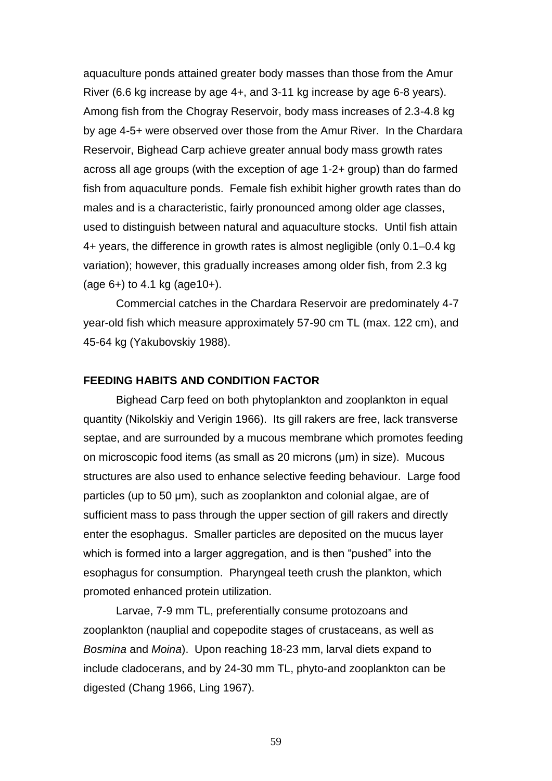aquaculture ponds attained greater body masses than those from the Amur River (6.6 kg increase by age 4+, and 3-11 kg increase by age 6-8 years). Among fish from the Chogray Reservoir, body mass increases of 2.3-4.8 kg by age 4-5+ were observed over those from the Amur River. In the Chardara Reservoir, Bighead Carp achieve greater annual body mass growth rates across all age groups (with the exception of age 1-2+ group) than do farmed fish from aquaculture ponds. Female fish exhibit higher growth rates than do males and is a characteristic, fairly pronounced among older age classes, used to distinguish between natural and aquaculture stocks. Until fish attain 4+ years, the difference in growth rates is almost negligible (only 0.1–0.4 kg variation); however, this gradually increases among older fish, from 2.3 kg (age 6+) to 4.1 kg (age10+).

Commercial catches in the Chardara Reservoir are predominately 4-7 year-old fish which measure approximately 57-90 cm TL (max. 122 cm), and 45-64 kg (Yakubovskiy 1988).

#### **FEEDING HABITS AND CONDITION FACTOR**

Bighead Carp feed on both phytoplankton and zooplankton in equal quantity (Nikolskiy and Verigin 1966). Its gill rakers are free, lack transverse septae, and are surrounded by a mucous membrane which promotes feeding on microscopic food items (as small as 20 microns (μm) in size). Mucous structures are also used to enhance selective feeding behaviour. Large food particles (up to 50 μm), such as zooplankton and colonial algae, are of sufficient mass to pass through the upper section of gill rakers and directly enter the esophagus. Smaller particles are deposited on the mucus layer which is formed into a larger aggregation, and is then "pushed" into the esophagus for consumption. Pharyngeal teeth crush the plankton, which promoted enhanced protein utilization.

Larvae, 7-9 mm TL, preferentially consume protozoans and zooplankton (nauplial and copepodite stages of crustaceans, as well as *Bosmina* and *Moina*). Upon reaching 18-23 mm, larval diets expand to include cladocerans, and by 24-30 mm TL, phyto-and zooplankton can be digested (Chang 1966, Ling 1967).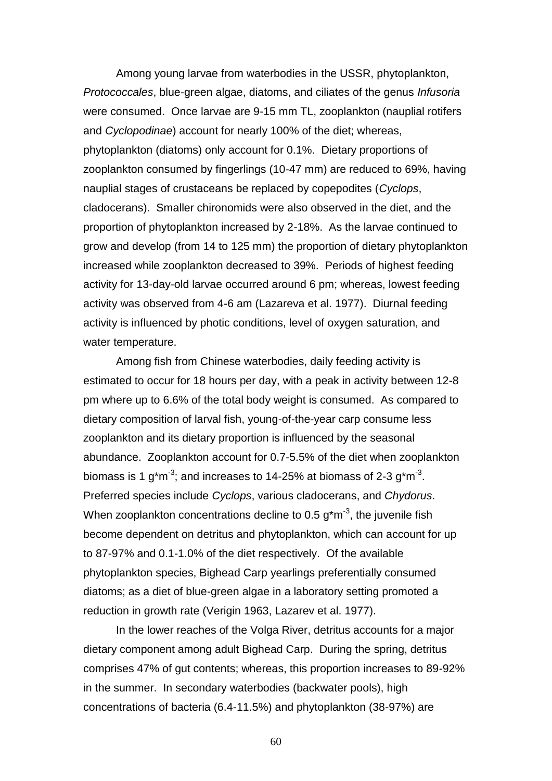Among young larvae from waterbodies in the USSR, phytoplankton, *Protococcales*, blue-green algae, diatoms, and ciliates of the genus *Infusoria* were consumed. Once larvae are 9-15 mm TL, zooplankton (nauplial rotifers and *Cyclopodinae*) account for nearly 100% of the diet; whereas, phytoplankton (diatoms) only account for 0.1%. Dietary proportions of zooplankton consumed by fingerlings (10-47 mm) are reduced to 69%, having nauplial stages of crustaceans be replaced by copepodites (*Cyclops*, cladocerans). Smaller chironomids were also observed in the diet, and the proportion of phytoplankton increased by 2-18%. As the larvae continued to grow and develop (from 14 to 125 mm) the proportion of dietary phytoplankton increased while zooplankton decreased to 39%. Periods of highest feeding activity for 13-day-old larvae occurred around 6 pm; whereas, lowest feeding activity was observed from 4-6 am (Lazareva et al. 1977). Diurnal feeding activity is influenced by photic conditions, level of oxygen saturation, and water temperature.

Among fish from Chinese waterbodies, daily feeding activity is estimated to occur for 18 hours per day, with a peak in activity between 12-8 pm where up to 6.6% of the total body weight is consumed. As compared to dietary composition of larval fish, young-of-the-year carp consume less zooplankton and its dietary proportion is influenced by the seasonal abundance. Zooplankton account for 0.7-5.5% of the diet when zooplankton biomass is 1 g<sup>\*</sup>m<sup>-3</sup>; and increases to 14-25% at biomass of 2-3 g<sup>\*</sup>m<sup>-3</sup>. Preferred species include *Cyclops*, various cladocerans, and *Chydorus*. When zooplankton concentrations decline to 0.5  $g<sup>*</sup>m<sup>-3</sup>$ , the juvenile fish become dependent on detritus and phytoplankton, which can account for up to 87-97% and 0.1-1.0% of the diet respectively. Of the available phytoplankton species, Bighead Carp yearlings preferentially consumed diatoms; as a diet of blue-green algae in a laboratory setting promoted a reduction in growth rate (Verigin 1963, Lazarev et al. 1977).

In the lower reaches of the Volga River, detritus accounts for a major dietary component among adult Bighead Carp. During the spring, detritus comprises 47% of gut contents; whereas, this proportion increases to 89-92% in the summer. In secondary waterbodies (backwater pools), high concentrations of bacteria (6.4-11.5%) and phytoplankton (38-97%) are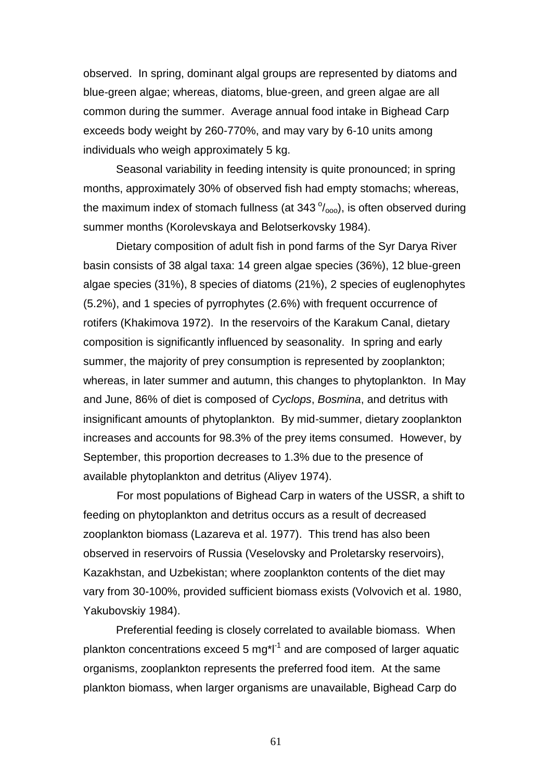observed. In spring, dominant algal groups are represented by diatoms and blue-green algae; whereas, diatoms, blue-green, and green algae are all common during the summer. Average annual food intake in Bighead Carp exceeds body weight by 260-770%, and may vary by 6-10 units among individuals who weigh approximately 5 kg.

Seasonal variability in feeding intensity is quite pronounced; in spring months, approximately 30% of observed fish had empty stomachs; whereas, the maximum index of stomach fullness (at 343 $\degree$ <sub>000</sub>), is often observed during summer months (Korolevskaya and Belotserkovsky 1984).

Dietary composition of adult fish in pond farms of the Syr Darya River basin consists of 38 algal taxa: 14 green algae species (36%), 12 blue-green algae species (31%), 8 species of diatoms (21%), 2 species of euglenophytes (5.2%), and 1 species of pyrrophytes (2.6%) with frequent occurrence of rotifers (Khakimova 1972). In the reservoirs of the Karakum Canal, dietary composition is significantly influenced by seasonality. In spring and early summer, the majority of prey consumption is represented by zooplankton; whereas, in later summer and autumn, this changes to phytoplankton. In May and June, 86% of diet is composed of *Cyclops*, *Bosmina*, and detritus with insignificant amounts of phytoplankton. By mid-summer, dietary zooplankton increases and accounts for 98.3% of the prey items consumed. However, by September, this proportion decreases to 1.3% due to the presence of available phytoplankton and detritus (Aliyev 1974).

For most populations of Bighead Carp in waters of the USSR, a shift to feeding on phytoplankton and detritus occurs as a result of decreased zooplankton biomass (Lazareva et al. 1977). This trend has also been observed in reservoirs of Russia (Veselovsky and Proletarsky reservoirs), Kazakhstan, and Uzbekistan; where zooplankton contents of the diet may vary from 30-100%, provided sufficient biomass exists (Volvovich et al. 1980, Yakubovskiy 1984).

Preferential feeding is closely correlated to available biomass. When plankton concentrations exceed 5 mg<sup>\*|-1</sup> and are composed of larger aquatic organisms, zooplankton represents the preferred food item. At the same plankton biomass, when larger organisms are unavailable, Bighead Carp do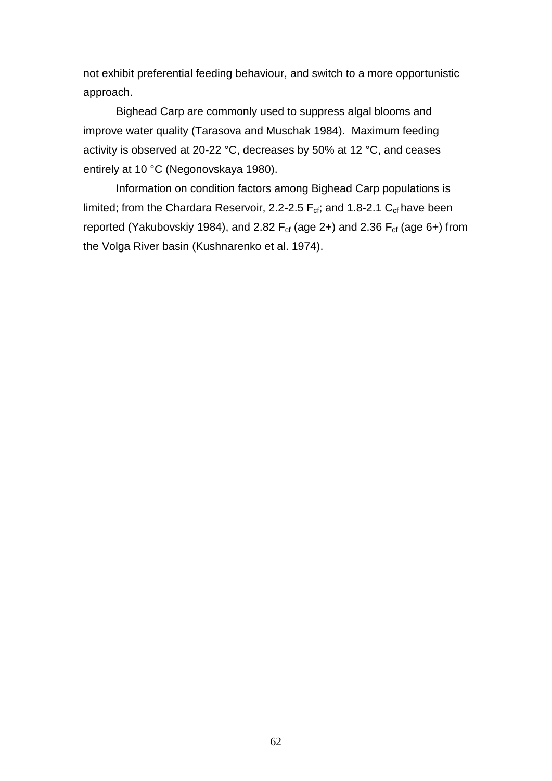not exhibit preferential feeding behaviour, and switch to a more opportunistic approach.

Bighead Carp are commonly used to suppress algal blooms and improve water quality (Tarasova and Muschak 1984). Maximum feeding activity is observed at 20-22 °C, decreases by 50% at 12 °C, and ceases entirely at 10 °C (Negonovskaya 1980).

Information on condition factors among Bighead Carp populations is limited; from the Chardara Reservoir, 2.2-2.5  $F_{cf}$ ; and 1.8-2.1  $C_{cf}$  have been reported (Yakubovskiy 1984), and 2.82  $F_{cf}$  (age 2+) and 2.36  $F_{cf}$  (age 6+) from the Volga River basin (Kushnarenko et al. 1974).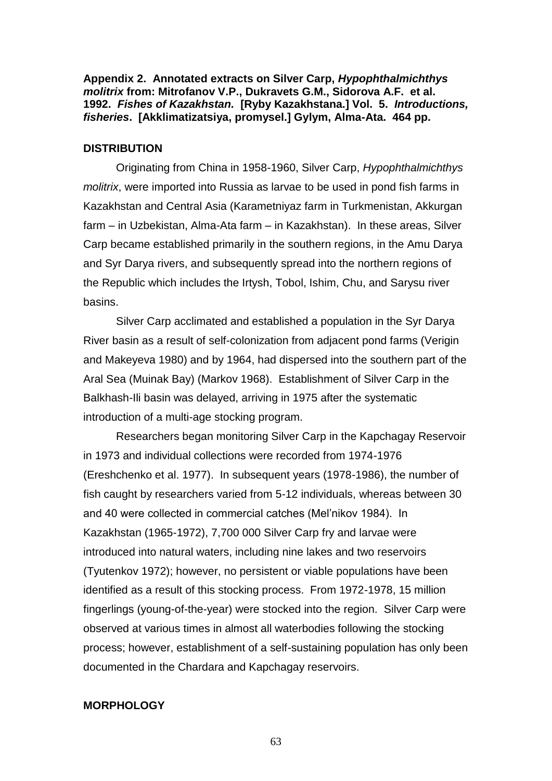**Appendix 2. Annotated extracts on Silver Carp,** *Hypophthalmichthys molitrix* **from: Mitrofanov V.P., Dukravets G.M., Sidorova A.F. et al. 1992.** *Fishes of Kazakhstan.* **[Ryby Kazakhstana.] Vol. 5.** *Introductions, fisheries***. [Akklimatizatsiya, promysel.] Gylym, Alma-Ata. 464 pp.**

#### **DISTRIBUTION**

Originating from China in 1958-1960, Silver Carp, *Hypophthalmichthys molitrix*, were imported into Russia as larvae to be used in pond fish farms in Kazakhstan and Central Asia (Karametniyaz farm in Turkmenistan, Akkurgan farm – in Uzbekistan, Alma-Ata farm – in Kazakhstan). In these areas, Silver Carp became established primarily in the southern regions, in the Amu Darya and Syr Darya rivers, and subsequently spread into the northern regions of the Republic which includes the Irtysh, Tobol, Ishim, Chu, and Sarysu river basins.

Silver Carp acclimated and established a population in the Syr Darya River basin as a result of self-colonization from adjacent pond farms (Verigin and Makeyeva 1980) and by 1964, had dispersed into the southern part of the Aral Sea (Muinak Bay) (Markov 1968). Establishment of Silver Carp in the Balkhash-Ili basin was delayed, arriving in 1975 after the systematic introduction of a multi-age stocking program.

Researchers began monitoring Silver Carp in the Kapchagay Reservoir in 1973 and individual collections were recorded from 1974-1976 (Ereshchenko et al. 1977). In subsequent years (1978-1986), the number of fish caught by researchers varied from 5-12 individuals, whereas between 30 and 40 were collected in commercial catches (Mel'nikov 1984). In Kazakhstan (1965-1972), 7,700 000 Silver Carp fry and larvae were introduced into natural waters, including nine lakes and two reservoirs (Tyutenkov 1972); however, no persistent or viable populations have been identified as a result of this stocking process. From 1972-1978, 15 million fingerlings (young-of-the-year) were stocked into the region. Silver Carp were observed at various times in almost all waterbodies following the stocking process; however, establishment of a self-sustaining population has only been documented in the Chardara and Kapchagay reservoirs.

#### **MORPHOLOGY**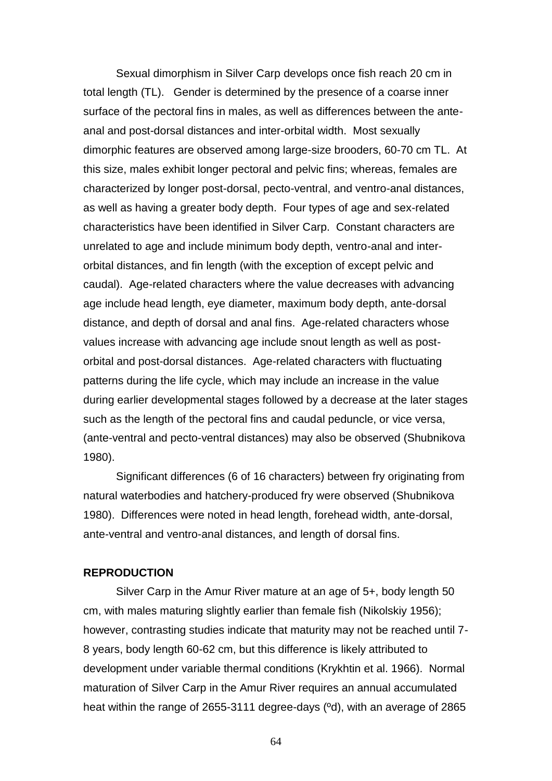Sexual dimorphism in Silver Carp develops once fish reach 20 cm in total length (TL). Gender is determined by the presence of a coarse inner surface of the pectoral fins in males, as well as differences between the anteanal and post-dorsal distances and inter-orbital width. Most sexually dimorphic features are observed among large-size brooders, 60-70 cm TL. At this size, males exhibit longer pectoral and pelvic fins; whereas, females are characterized by longer post-dorsal, pecto-ventral, and ventro-anal distances, as well as having a greater body depth. Four types of age and sex-related characteristics have been identified in Silver Carp. Constant characters are unrelated to age and include minimum body depth, ventro-anal and interorbital distances, and fin length (with the exception of except pelvic and caudal). Age-related characters where the value decreases with advancing age include head length, eye diameter, maximum body depth, ante-dorsal distance, and depth of dorsal and anal fins. Age-related characters whose values increase with advancing age include snout length as well as postorbital and post-dorsal distances. Age-related characters with fluctuating patterns during the life cycle, which may include an increase in the value during earlier developmental stages followed by a decrease at the later stages such as the length of the pectoral fins and caudal peduncle, or vice versa, (ante-ventral and pecto-ventral distances) may also be observed (Shubnikova 1980).

Significant differences (6 of 16 characters) between fry originating from natural waterbodies and hatchery-produced fry were observed (Shubnikova 1980). Differences were noted in head length, forehead width, ante-dorsal, ante-ventral and ventro-anal distances, and length of dorsal fins.

#### **REPRODUCTION**

Silver Carp in the Amur River mature at an age of 5+, body length 50 cm, with males maturing slightly earlier than female fish (Nikolskiy 1956); however, contrasting studies indicate that maturity may not be reached until 7- 8 years, body length 60-62 cm, but this difference is likely attributed to development under variable thermal conditions (Krykhtin et al. 1966). Normal maturation of Silver Carp in the Amur River requires an annual accumulated heat within the range of 2655-3111 degree-days (ºd), with an average of 2865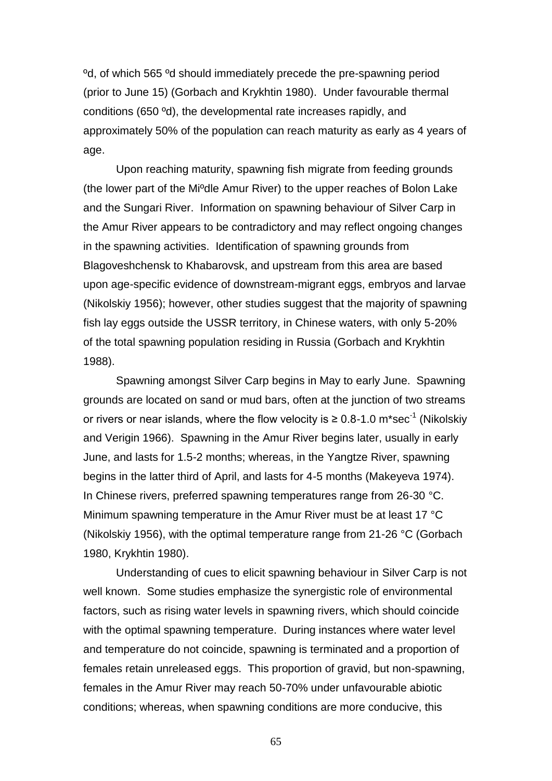ºd, of which 565 ºd should immediately precede the pre-spawning period (prior to June 15) (Gorbach and Krykhtin 1980). Under favourable thermal conditions (650 ºd), the developmental rate increases rapidly, and approximately 50% of the population can reach maturity as early as 4 years of age.

Upon reaching maturity, spawning fish migrate from feeding grounds (the lower part of the Miºdle Amur River) to the upper reaches of Bolon Lake and the Sungari River. Information on spawning behaviour of Silver Carp in the Amur River appears to be contradictory and may reflect ongoing changes in the spawning activities. Identification of spawning grounds from Blagoveshchensk to Khabarovsk, and upstream from this area are based upon age-specific evidence of downstream-migrant eggs, embryos and larvae (Nikolskiy 1956); however, other studies suggest that the majority of spawning fish lay eggs outside the USSR territory, in Chinese waters, with only 5-20% of the total spawning population residing in Russia (Gorbach and Krykhtin 1988).

Spawning amongst Silver Carp begins in May to early June. Spawning grounds are located on sand or mud bars, often at the junction of two streams or rivers or near islands, where the flow velocity is  $\geq 0.8$ -1.0 m\*sec<sup>-1</sup> (Nikolskiy and Verigin 1966). Spawning in the Amur River begins later, usually in early June, and lasts for 1.5-2 months; whereas, in the Yangtze River, spawning begins in the latter third of April, and lasts for 4-5 months (Makeyeva 1974). In Chinese rivers, preferred spawning temperatures range from 26-30 °C. Minimum spawning temperature in the Amur River must be at least 17 °C (Nikolskiy 1956), with the optimal temperature range from 21-26 °C (Gorbach 1980, Krykhtin 1980).

Understanding of cues to elicit spawning behaviour in Silver Carp is not well known. Some studies emphasize the synergistic role of environmental factors, such as rising water levels in spawning rivers, which should coincide with the optimal spawning temperature. During instances where water level and temperature do not coincide, spawning is terminated and a proportion of females retain unreleased eggs. This proportion of gravid, but non-spawning, females in the Amur River may reach 50-70% under unfavourable abiotic conditions; whereas, when spawning conditions are more conducive, this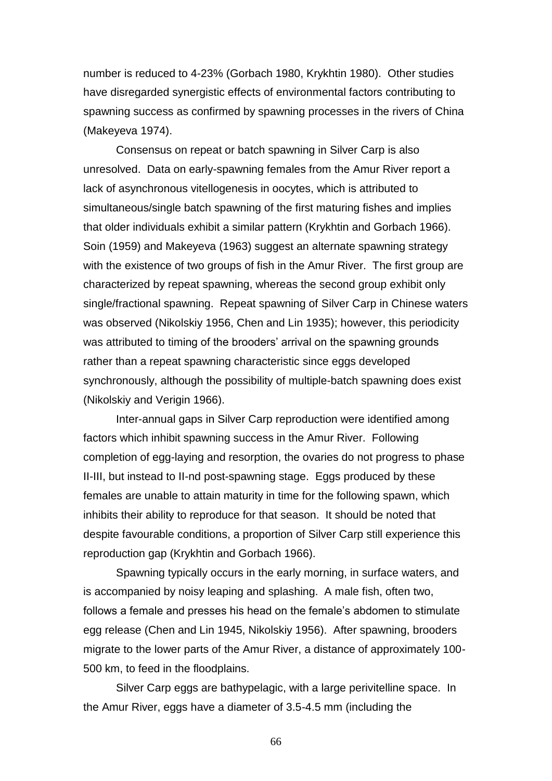number is reduced to 4-23% (Gorbach 1980, Krykhtin 1980). Other studies have disregarded synergistic effects of environmental factors contributing to spawning success as confirmed by spawning processes in the rivers of China (Makeyeva 1974).

Consensus on repeat or batch spawning in Silver Carp is also unresolved. Data on early-spawning females from the Amur River report a lack of asynchronous vitellogenesis in oocytes, which is attributed to simultaneous/single batch spawning of the first maturing fishes and implies that older individuals exhibit a similar pattern (Krykhtin and Gorbach 1966). Soin (1959) and Makeyeva (1963) suggest an alternate spawning strategy with the existence of two groups of fish in the Amur River. The first group are characterized by repeat spawning, whereas the second group exhibit only single/fractional spawning. Repeat spawning of Silver Carp in Chinese waters was observed (Nikolskiy 1956, Chen and Lin 1935); however, this periodicity was attributed to timing of the brooders' arrival on the spawning grounds rather than a repeat spawning characteristic since eggs developed synchronously, although the possibility of multiple-batch spawning does exist (Nikolskiy and Verigin 1966).

Inter-annual gaps in Silver Carp reproduction were identified among factors which inhibit spawning success in the Amur River. Following completion of egg-laying and resorption, the ovaries do not progress to phase II-III, but instead to II-nd post-spawning stage. Eggs produced by these females are unable to attain maturity in time for the following spawn, which inhibits their ability to reproduce for that season. It should be noted that despite favourable conditions, a proportion of Silver Carp still experience this reproduction gap (Krykhtin and Gorbach 1966).

Spawning typically occurs in the early morning, in surface waters, and is accompanied by noisy leaping and splashing. A male fish, often two, follows a female and presses his head on the female's abdomen to stimulate egg release (Chen and Lin 1945, Nikolskiy 1956). After spawning, brooders migrate to the lower parts of the Amur River, a distance of approximately 100- 500 km, to feed in the floodplains.

Silver Carp eggs are bathypelagic, with a large perivitelline space. In the Amur River, eggs have a diameter of 3.5-4.5 mm (including the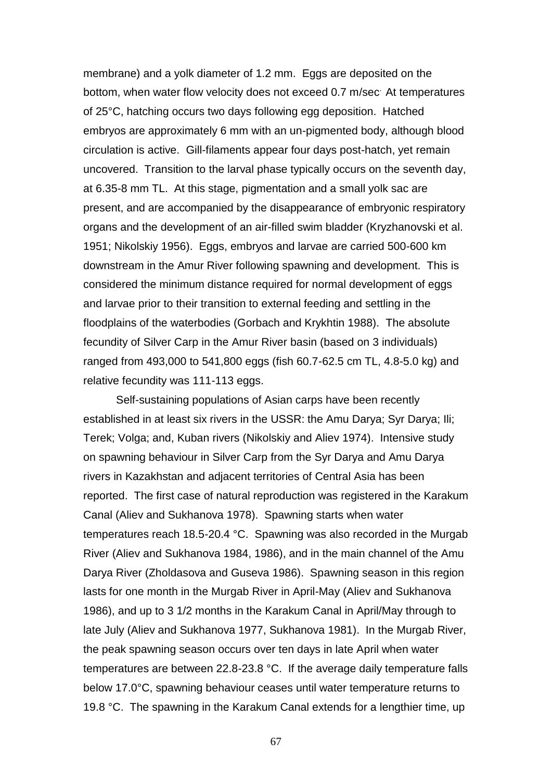membrane) and a yolk diameter of 1.2 mm. Eggs are deposited on the bottom, when water flow velocity does not exceed 0.7 m/sec. At temperatures of 25°C, hatching occurs two days following egg deposition. Hatched embryos are approximately 6 mm with an un-pigmented body, although blood circulation is active. Gill-filaments appear four days post-hatch, yet remain uncovered. Transition to the larval phase typically occurs on the seventh day, at 6.35-8 mm TL. At this stage, pigmentation and a small yolk sac are present, and are accompanied by the disappearance of embryonic respiratory organs and the development of an air-filled swim bladder (Kryzhanovski et al. 1951; Nikolskiy 1956). Eggs, embryos and larvae are carried 500-600 km downstream in the Amur River following spawning and development. This is considered the minimum distance required for normal development of eggs and larvae prior to their transition to external feeding and settling in the floodplains of the waterbodies (Gorbach and Krykhtin 1988). The absolute fecundity of Silver Carp in the Amur River basin (based on 3 individuals) ranged from 493,000 to 541,800 eggs (fish 60.7-62.5 cm TL, 4.8-5.0 kg) and relative fecundity was 111-113 eggs.

Self-sustaining populations of Asian carps have been recently established in at least six rivers in the USSR: the Amu Darya; Syr Darya; Ili; Terek; Volga; and, Kuban rivers (Nikolskiy and Aliev 1974). Intensive study on spawning behaviour in Silver Carp from the Syr Darya and Amu Darya rivers in Kazakhstan and adjacent territories of Central Asia has been reported. The first case of natural reproduction was registered in the Karakum Canal (Aliev and Sukhanova 1978). Spawning starts when water temperatures reach 18.5-20.4 °C. Spawning was also recorded in the Murgab River (Aliev and Sukhanova 1984, 1986), and in the main channel of the Amu Darya River (Zholdasova and Guseva 1986). Spawning season in this region lasts for one month in the Murgab River in April-May (Aliev and Sukhanova 1986), and up to 3 1/2 months in the Karakum Canal in April/May through to late July (Aliev and Sukhanova 1977, Sukhanova 1981). In the Murgab River, the peak spawning season occurs over ten days in late April when water temperatures are between 22.8-23.8 °C. If the average daily temperature falls below 17.0°C, spawning behaviour ceases until water temperature returns to 19.8 °C. The spawning in the Karakum Canal extends for a lengthier time, up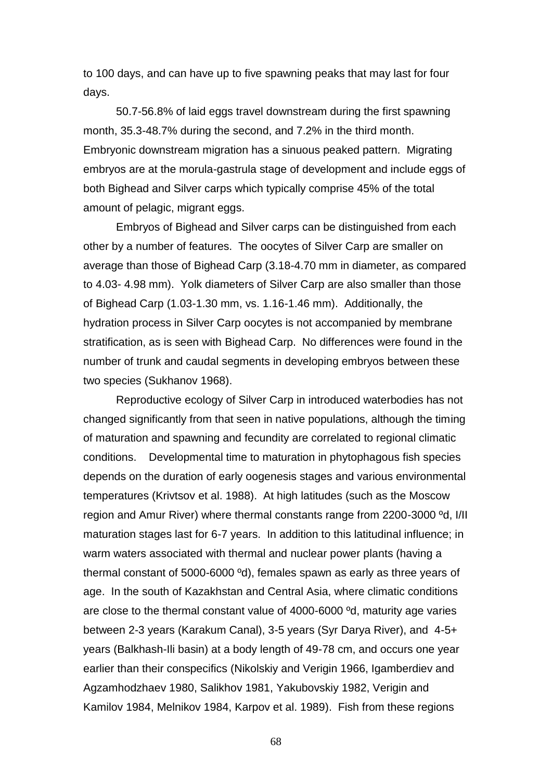to 100 days, and can have up to five spawning peaks that may last for four days.

50.7-56.8% of laid eggs travel downstream during the first spawning month, 35.3-48.7% during the second, and 7.2% in the third month. Embryonic downstream migration has a sinuous peaked pattern. Migrating embryos are at the morula-gastrula stage of development and include eggs of both Bighead and Silver carps which typically comprise 45% of the total amount of pelagic, migrant eggs.

Embryos of Bighead and Silver carps can be distinguished from each other by a number of features. The oocytes of Silver Carp are smaller on average than those of Bighead Carp (3.18-4.70 mm in diameter, as compared to 4.03- 4.98 mm). Yolk diameters of Silver Carp are also smaller than those of Bighead Carp (1.03-1.30 mm, vs. 1.16-1.46 mm). Additionally, the hydration process in Silver Carp oocytes is not accompanied by membrane stratification, as is seen with Bighead Carp. No differences were found in the number of trunk and caudal segments in developing embryos between these two species (Sukhanov 1968).

Reproductive ecology of Silver Carp in introduced waterbodies has not changed significantly from that seen in native populations, although the timing of maturation and spawning and fecundity are correlated to regional climatic conditions. Developmental time to maturation in phytophagous fish species depends on the duration of early oogenesis stages and various environmental temperatures (Krivtsov et al. 1988). At high latitudes (such as the Moscow region and Amur River) where thermal constants range from 2200-3000 ºd, I/II maturation stages last for 6-7 years. In addition to this latitudinal influence; in warm waters associated with thermal and nuclear power plants (having a thermal constant of 5000-6000 ºd), females spawn as early as three years of age. In the south of Kazakhstan and Central Asia, where climatic conditions are close to the thermal constant value of 4000-6000 ºd, maturity age varies between 2-3 years (Karakum Canal), 3-5 years (Syr Darya River), and 4-5+ years (Balkhash-Ili basin) at a body length of 49-78 cm, and occurs one year earlier than their conspecifics (Nikolskiy and Verigin 1966, Igamberdiev and Agzamhodzhaev 1980, Salikhov 1981, Yakubovskiy 1982, Verigin and Kamilov 1984, Melnikov 1984, Karpov et al. 1989). Fish from these regions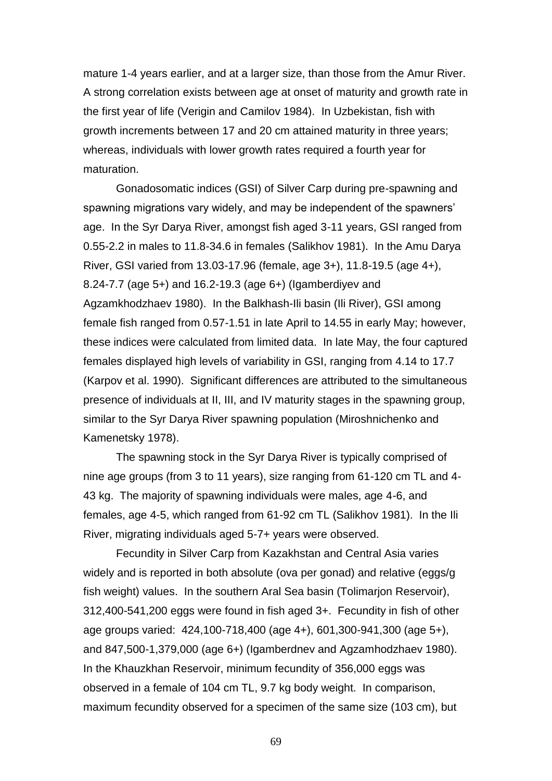mature 1-4 years earlier, and at a larger size, than those from the Amur River. A strong correlation exists between age at onset of maturity and growth rate in the first year of life (Verigin and Camilov 1984). In Uzbekistan, fish with growth increments between 17 and 20 cm attained maturity in three years; whereas, individuals with lower growth rates required a fourth year for maturation.

Gonadosomatic indices (GSI) of Silver Carp during pre-spawning and spawning migrations vary widely, and may be independent of the spawners' age. In the Syr Darya River, amongst fish aged 3-11 years, GSI ranged from 0.55-2.2 in males to 11.8-34.6 in females (Salikhov 1981). In the Amu Darya River, GSI varied from 13.03-17.96 (female, age 3+), 11.8-19.5 (age 4+), 8.24-7.7 (age 5+) and 16.2-19.3 (age 6+) (Igamberdiyev and Agzamkhodzhaev 1980). In the Balkhash-Ili basin (Ili River), GSI among female fish ranged from 0.57-1.51 in late April to 14.55 in early May; however, these indices were calculated from limited data. In late May, the four captured females displayed high levels of variability in GSI, ranging from 4.14 to 17.7 (Karpov et al. 1990). Significant differences are attributed to the simultaneous presence of individuals at II, III, and IV maturity stages in the spawning group, similar to the Syr Darya River spawning population (Miroshnichenko and Kamenetsky 1978).

The spawning stock in the Syr Darya River is typically comprised of nine age groups (from 3 to 11 years), size ranging from 61-120 cm TL and 4- 43 kg. The majority of spawning individuals were males, age 4-6, and females, age 4-5, which ranged from 61-92 cm TL (Salikhov 1981). In the Ili River, migrating individuals aged 5-7+ years were observed.

Fecundity in Silver Carp from Kazakhstan and Central Asia varies widely and is reported in both absolute (ova per gonad) and relative (eggs/g fish weight) values. In the southern Aral Sea basin (Tolimarjon Reservoir), 312,400-541,200 eggs were found in fish aged 3+. Fecundity in fish of other age groups varied: 424,100-718,400 (age 4+), 601,300-941,300 (age 5+), and 847,500-1,379,000 (age 6+) (Igamberdnev and Agzamhodzhaev 1980). In the Khauzkhan Reservoir, minimum fecundity of 356,000 eggs was observed in a female of 104 cm TL, 9.7 kg body weight. In comparison, maximum fecundity observed for a specimen of the same size (103 cm), but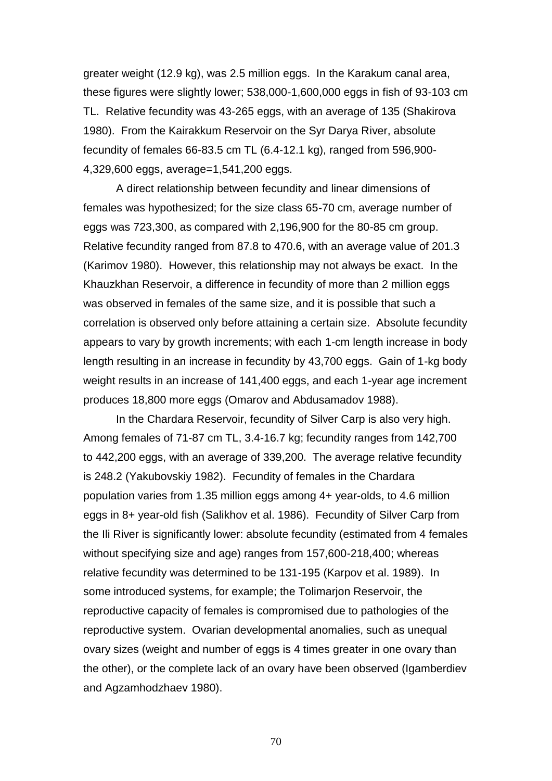greater weight (12.9 kg), was 2.5 million eggs. In the Karakum canal area, these figures were slightly lower; 538,000-1,600,000 eggs in fish of 93-103 cm TL. Relative fecundity was 43-265 eggs, with an average of 135 (Shakirova 1980). From the Kairakkum Reservoir on the Syr Darya River, absolute fecundity of females 66-83.5 cm TL (6.4-12.1 kg), ranged from 596,900- 4,329,600 eggs, average=1,541,200 eggs.

A direct relationship between fecundity and linear dimensions of females was hypothesized; for the size class 65-70 cm, average number of eggs was 723,300, as compared with 2,196,900 for the 80-85 cm group. Relative fecundity ranged from 87.8 to 470.6, with an average value of 201.3 (Karimov 1980). However, this relationship may not always be exact. In the Khauzkhan Reservoir, a difference in fecundity of more than 2 million eggs was observed in females of the same size, and it is possible that such a correlation is observed only before attaining a certain size. Absolute fecundity appears to vary by growth increments; with each 1-cm length increase in body length resulting in an increase in fecundity by 43,700 eggs. Gain of 1-kg body weight results in an increase of 141,400 eggs, and each 1-year age increment produces 18,800 more eggs (Omarov and Abdusamadov 1988).

In the Chardara Reservoir, fecundity of Silver Carp is also very high. Among females of 71-87 cm TL, 3.4-16.7 kg; fecundity ranges from 142,700 to 442,200 eggs, with an average of 339,200. The average relative fecundity is 248.2 (Yakubovskiy 1982). Fecundity of females in the Chardara population varies from 1.35 million eggs among 4+ year-olds, to 4.6 million eggs in 8+ year-old fish (Salikhov et al. 1986). Fecundity of Silver Carp from the Ili River is significantly lower: absolute fecundity (estimated from 4 females without specifying size and age) ranges from 157,600-218,400; whereas relative fecundity was determined to be 131-195 (Karpov et al. 1989). In some introduced systems, for example; the Tolimarjon Reservoir, the reproductive capacity of females is compromised due to pathologies of the reproductive system. Ovarian developmental anomalies, such as unequal ovary sizes (weight and number of eggs is 4 times greater in one ovary than the other), or the complete lack of an ovary have been observed (Igamberdiev and Agzamhodzhaev 1980).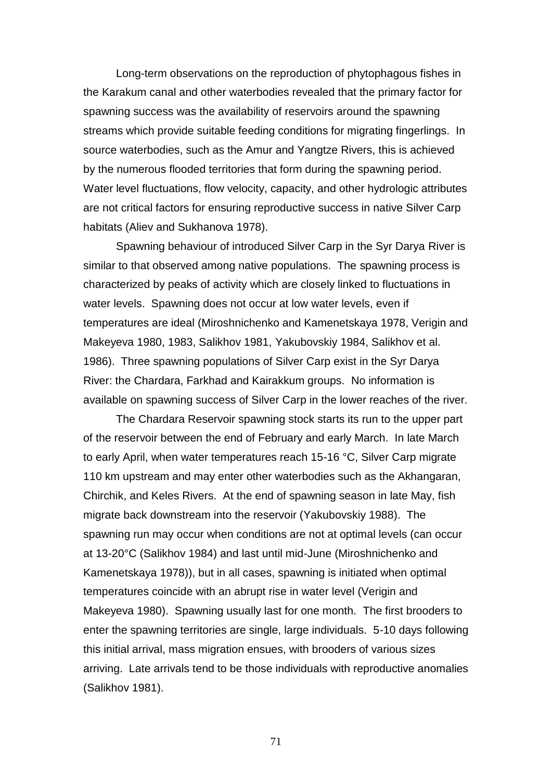Long-term observations on the reproduction of phytophagous fishes in the Karakum canal and other waterbodies revealed that the primary factor for spawning success was the availability of reservoirs around the spawning streams which provide suitable feeding conditions for migrating fingerlings. In source waterbodies, such as the Amur and Yangtze Rivers, this is achieved by the numerous flooded territories that form during the spawning period. Water level fluctuations, flow velocity, capacity, and other hydrologic attributes are not critical factors for ensuring reproductive success in native Silver Carp habitats (Aliev and Sukhanova 1978).

Spawning behaviour of introduced Silver Carp in the Syr Darya River is similar to that observed among native populations. The spawning process is characterized by peaks of activity which are closely linked to fluctuations in water levels. Spawning does not occur at low water levels, even if temperatures are ideal (Miroshnichenko and Kamenetskaya 1978, Verigin and Makeyeva 1980, 1983, Salikhov 1981, Yakubovskiy 1984, Salikhov et al. 1986). Three spawning populations of Silver Carp exist in the Syr Darya River: the Chardara, Farkhad and Kairakkum groups. No information is available on spawning success of Silver Carp in the lower reaches of the river.

The Chardara Reservoir spawning stock starts its run to the upper part of the reservoir between the end of February and early March. In late March to early April, when water temperatures reach 15-16 °C, Silver Carp migrate 110 km upstream and may enter other waterbodies such as the Akhangaran, Chirchik, and Keles Rivers. At the end of spawning season in late May, fish migrate back downstream into the reservoir (Yakubovskiy 1988). The spawning run may occur when conditions are not at optimal levels (can occur at 13-20°C (Salikhov 1984) and last until mid-June (Miroshnichenko and Kamenetskaya 1978)), but in all cases, spawning is initiated when optimal temperatures coincide with an abrupt rise in water level (Verigin and Makeyeva 1980). Spawning usually last for one month. The first brooders to enter the spawning territories are single, large individuals. 5-10 days following this initial arrival, mass migration ensues, with brooders of various sizes arriving. Late arrivals tend to be those individuals with reproductive anomalies (Salikhov 1981).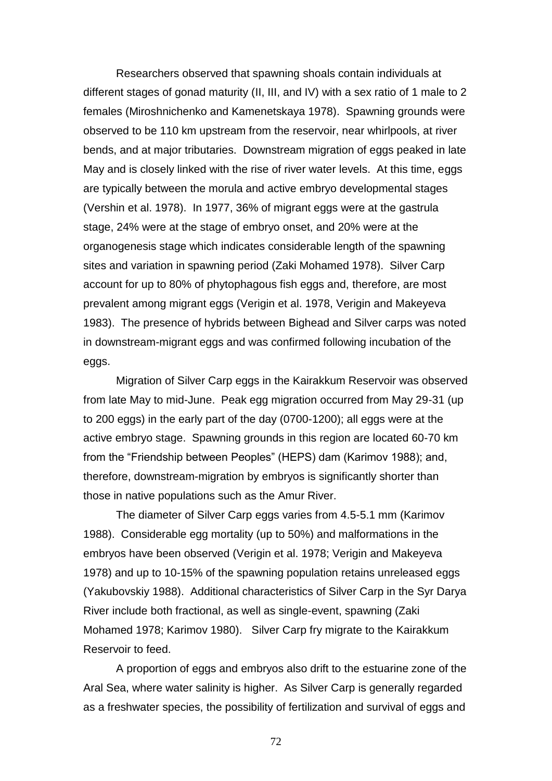Researchers observed that spawning shoals contain individuals at different stages of gonad maturity (II, III, and IV) with a sex ratio of 1 male to 2 females (Miroshnichenko and Kamenetskaya 1978). Spawning grounds were observed to be 110 km upstream from the reservoir, near whirlpools, at river bends, and at major tributaries. Downstream migration of eggs peaked in late May and is closely linked with the rise of river water levels. At this time, eggs are typically between the morula and active embryo developmental stages (Vershin et al. 1978). In 1977, 36% of migrant eggs were at the gastrula stage, 24% were at the stage of embryo onset, and 20% were at the organogenesis stage which indicates considerable length of the spawning sites and variation in spawning period (Zaki Mohamed 1978). Silver Carp account for up to 80% of phytophagous fish eggs and, therefore, are most prevalent among migrant eggs (Verigin et al. 1978, Verigin and Makeyeva 1983). The presence of hybrids between Bighead and Silver carps was noted in downstream-migrant eggs and was confirmed following incubation of the eggs.

Migration of Silver Carp eggs in the Kairakkum Reservoir was observed from late May to mid-June. Peak egg migration occurred from May 29-31 (up to 200 eggs) in the early part of the day (0700-1200); all eggs were at the active embryo stage. Spawning grounds in this region are located 60-70 km from the "Friendship between Peoples" (HEPS) dam (Karimov 1988); and, therefore, downstream-migration by embryos is significantly shorter than those in native populations such as the Amur River.

The diameter of Silver Carp eggs varies from 4.5-5.1 mm (Karimov 1988). Considerable egg mortality (up to 50%) and malformations in the embryos have been observed (Verigin et al. 1978; Verigin and Makeyeva 1978) and up to 10-15% of the spawning population retains unreleased eggs (Yakubovskiy 1988). Additional characteristics of Silver Carp in the Syr Darya River include both fractional, as well as single-event, spawning (Zaki Mohamed 1978; Karimov 1980). Silver Carp fry migrate to the Kairakkum Reservoir to feed.

A proportion of eggs and embryos also drift to the estuarine zone of the Aral Sea, where water salinity is higher. As Silver Carp is generally regarded as a freshwater species, the possibility of fertilization and survival of eggs and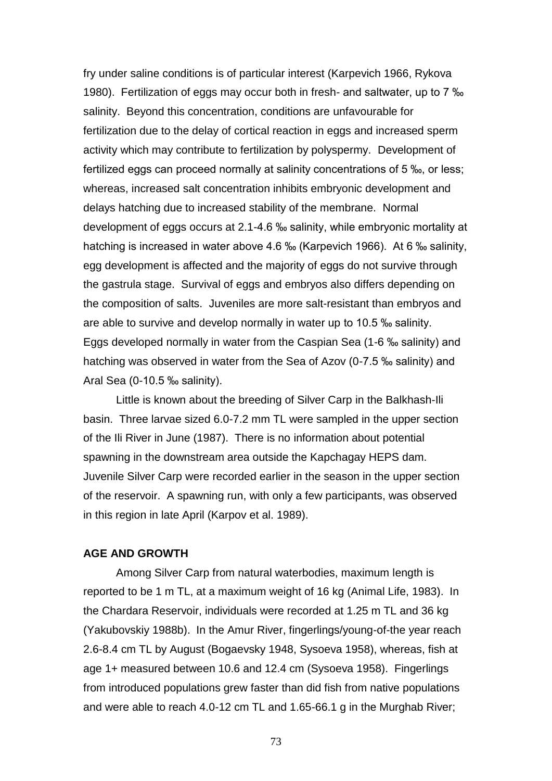fry under saline conditions is of particular interest (Karpevich 1966, Rykova 1980). Fertilization of eggs may occur both in fresh- and saltwater, up to 7 ‰ salinity. Beyond this concentration, conditions are unfavourable for fertilization due to the delay of cortical reaction in eggs and increased sperm activity which may contribute to fertilization by polyspermy. Development of fertilized eggs can proceed normally at salinity concentrations of 5 ‰, or less; whereas, increased salt concentration inhibits embryonic development and delays hatching due to increased stability of the membrane. Normal development of eggs occurs at 2.1-4.6 ‰ salinity, while embryonic mortality at hatching is increased in water above 4.6 ‰ (Karpevich 1966). At 6 ‰ salinity, egg development is affected and the majority of eggs do not survive through the gastrula stage. Survival of eggs and embryos also differs depending on the composition of salts. Juveniles are more salt-resistant than embryos and are able to survive and develop normally in water up to 10.5 ‰ salinity. Eggs developed normally in water from the Caspian Sea (1-6 ‰ salinity) and hatching was observed in water from the Sea of Azov (0-7.5 ‰ salinity) and Aral Sea (0-10.5 ‰ salinity).

Little is known about the breeding of Silver Carp in the Balkhash-Ili basin. Three larvae sized 6.0-7.2 mm TL were sampled in the upper section of the Ili River in June (1987). There is no information about potential spawning in the downstream area outside the Kapchagay HEPS dam. Juvenile Silver Carp were recorded earlier in the season in the upper section of the reservoir. A spawning run, with only a few participants, was observed in this region in late April (Karpov et al. 1989).

## **AGE AND GROWTH**

Among Silver Carp from natural waterbodies, maximum length is reported to be 1 m TL, at a maximum weight of 16 kg (Animal Life, 1983). In the Chardara Reservoir, individuals were recorded at 1.25 m TL and 36 kg (Yakubovskiy 1988b). In the Amur River, fingerlings/young-of-the year reach 2.6-8.4 cm TL by August (Bogaevsky 1948, Sysoeva 1958), whereas, fish at age 1+ measured between 10.6 and 12.4 cm (Sysoeva 1958). Fingerlings from introduced populations grew faster than did fish from native populations and were able to reach 4.0-12 cm TL and 1.65-66.1 g in the Murghab River;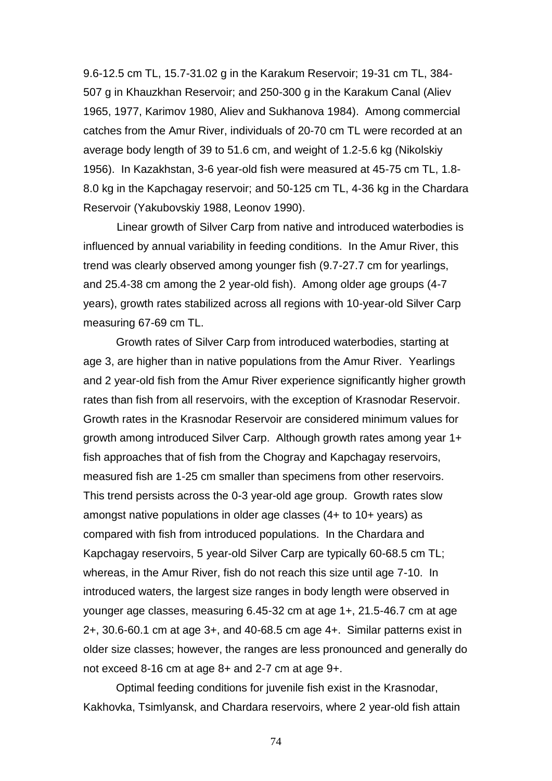9.6-12.5 cm TL, 15.7-31.02 g in the Karakum Reservoir; 19-31 cm TL, 384- 507 g in Khauzkhan Reservoir; and 250-300 g in the Karakum Canal (Aliev 1965, 1977, Karimov 1980, Aliev and Sukhanova 1984). Among commercial catches from the Amur River, individuals of 20-70 cm TL were recorded at an average body length of 39 to 51.6 cm, and weight of 1.2-5.6 kg (Nikolskiy 1956). In Kazakhstan, 3-6 year-old fish were measured at 45-75 cm TL, 1.8- 8.0 kg in the Kapchagay reservoir; and 50-125 cm TL, 4-36 kg in the Chardara Reservoir (Yakubovskiy 1988, Leonov 1990).

Linear growth of Silver Carp from native and introduced waterbodies is influenced by annual variability in feeding conditions. In the Amur River, this trend was clearly observed among younger fish (9.7-27.7 cm for yearlings, and 25.4-38 cm among the 2 year-old fish). Among older age groups (4-7 years), growth rates stabilized across all regions with 10-year-old Silver Carp measuring 67-69 cm TL.

Growth rates of Silver Carp from introduced waterbodies, starting at age 3, are higher than in native populations from the Amur River. Yearlings and 2 year-old fish from the Amur River experience significantly higher growth rates than fish from all reservoirs, with the exception of Krasnodar Reservoir. Growth rates in the Krasnodar Reservoir are considered minimum values for growth among introduced Silver Carp. Although growth rates among year 1+ fish approaches that of fish from the Chogray and Kapchagay reservoirs, measured fish are 1-25 cm smaller than specimens from other reservoirs. This trend persists across the 0-3 year-old age group. Growth rates slow amongst native populations in older age classes (4+ to 10+ years) as compared with fish from introduced populations. In the Chardara and Kapchagay reservoirs, 5 year-old Silver Carp are typically 60-68.5 cm TL; whereas, in the Amur River, fish do not reach this size until age 7-10. In introduced waters, the largest size ranges in body length were observed in younger age classes, measuring 6.45-32 cm at age 1+, 21.5-46.7 cm at age 2+, 30.6-60.1 cm at age 3+, and 40-68.5 cm age 4+. Similar patterns exist in older size classes; however, the ranges are less pronounced and generally do not exceed 8-16 cm at age 8+ and 2-7 cm at age 9+.

Optimal feeding conditions for juvenile fish exist in the Krasnodar, Kakhovka, Tsimlyansk, and Chardara reservoirs, where 2 year-old fish attain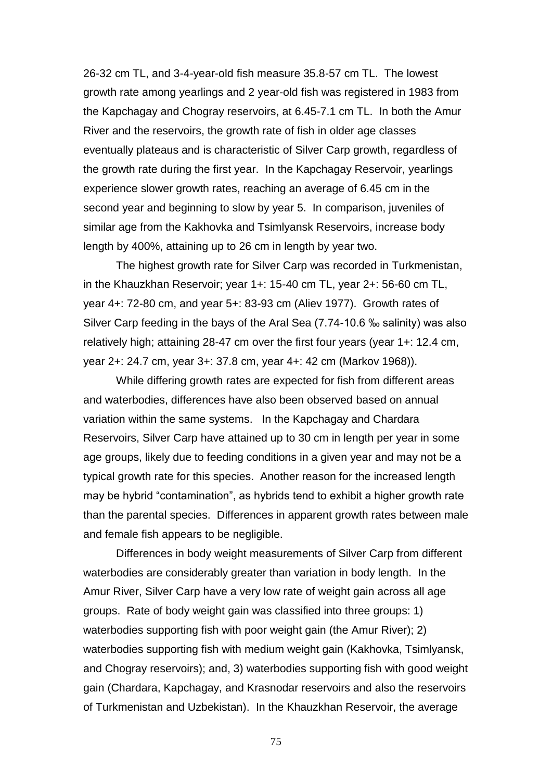26-32 cm TL, and 3-4-year-old fish measure 35.8-57 cm TL. The lowest growth rate among yearlings and 2 year-old fish was registered in 1983 from the Kapchagay and Chogray reservoirs, at 6.45-7.1 cm TL. In both the Amur River and the reservoirs, the growth rate of fish in older age classes eventually plateaus and is characteristic of Silver Carp growth, regardless of the growth rate during the first year. In the Kapchagay Reservoir, yearlings experience slower growth rates, reaching an average of 6.45 cm in the second year and beginning to slow by year 5. In comparison, juveniles of similar age from the Kakhovka and Tsimlyansk Reservoirs, increase body length by 400%, attaining up to 26 cm in length by year two.

The highest growth rate for Silver Carp was recorded in Turkmenistan, in the Khauzkhan Reservoir; year 1+: 15-40 cm TL, year 2+: 56-60 cm TL, year 4+: 72-80 cm, and year 5+: 83-93 cm (Aliev 1977). Growth rates of Silver Carp feeding in the bays of the Aral Sea (7.74-10.6 ‰ salinity) was also relatively high; attaining 28-47 cm over the first four years (year 1+: 12.4 cm, year 2+: 24.7 cm, year 3+: 37.8 cm, year 4+: 42 cm (Markov 1968)).

While differing growth rates are expected for fish from different areas and waterbodies, differences have also been observed based on annual variation within the same systems. In the Kapchagay and Chardara Reservoirs, Silver Carp have attained up to 30 cm in length per year in some age groups, likely due to feeding conditions in a given year and may not be a typical growth rate for this species. Another reason for the increased length may be hybrid "contamination", as hybrids tend to exhibit a higher growth rate than the parental species. Differences in apparent growth rates between male and female fish appears to be negligible.

Differences in body weight measurements of Silver Carp from different waterbodies are considerably greater than variation in body length. In the Amur River, Silver Carp have a very low rate of weight gain across all age groups. Rate of body weight gain was classified into three groups: 1) waterbodies supporting fish with poor weight gain (the Amur River); 2) waterbodies supporting fish with medium weight gain (Kakhovka, Tsimlyansk, and Chogray reservoirs); and, 3) waterbodies supporting fish with good weight gain (Chardara, Kapchagay, and Krasnodar reservoirs and also the reservoirs of Turkmenistan and Uzbekistan). In the Khauzkhan Reservoir, the average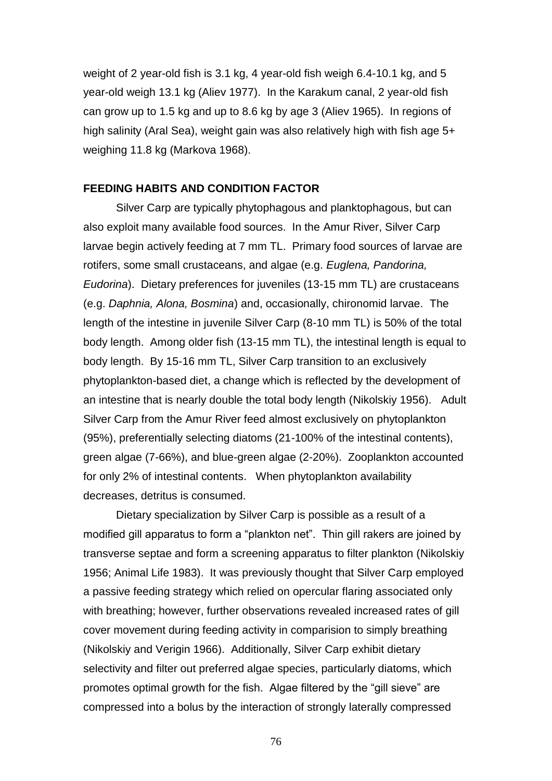weight of 2 year-old fish is 3.1 kg, 4 year-old fish weigh 6.4-10.1 kg, and 5 year-old weigh 13.1 kg (Aliev 1977). In the Karakum canal, 2 year-old fish can grow up to 1.5 kg and up to 8.6 kg by age 3 (Aliev 1965). In regions of high salinity (Aral Sea), weight gain was also relatively high with fish age 5+ weighing 11.8 kg (Markova 1968).

## **FEEDING HABITS AND CONDITION FACTOR**

Silver Carp are typically phytophagous and planktophagous, but can also exploit many available food sources. In the Amur River, Silver Carp larvae begin actively feeding at 7 mm TL. Primary food sources of larvae are rotifers, some small crustaceans, and algae (e.g. *Euglena, Pandorina, Eudorina*). Dietary preferences for juveniles (13-15 mm TL) are crustaceans (e.g. *Daphnia, Alona, Bosmina*) and, occasionally, chironomid larvae. The length of the intestine in juvenile Silver Carp (8-10 mm TL) is 50% of the total body length. Among older fish (13-15 mm TL), the intestinal length is equal to body length. By 15-16 mm TL, Silver Carp transition to an exclusively phytoplankton-based diet, a change which is reflected by the development of an intestine that is nearly double the total body length (Nikolskiy 1956). Adult Silver Carp from the Amur River feed almost exclusively on phytoplankton (95%), preferentially selecting diatoms (21-100% of the intestinal contents), green algae (7-66%), and blue-green algae (2-20%). Zooplankton accounted for only 2% of intestinal contents. When phytoplankton availability decreases, detritus is consumed.

Dietary specialization by Silver Carp is possible as a result of a modified gill apparatus to form a "plankton net". Thin gill rakers are joined by transverse septae and form a screening apparatus to filter plankton (Nikolskiy 1956; Animal Life 1983). It was previously thought that Silver Carp employed a passive feeding strategy which relied on opercular flaring associated only with breathing; however, further observations revealed increased rates of gill cover movement during feeding activity in comparision to simply breathing (Nikolskiy and Verigin 1966). Additionally, Silver Carp exhibit dietary selectivity and filter out preferred algae species, particularly diatoms, which promotes optimal growth for the fish. Algae filtered by the "gill sieve" are compressed into a bolus by the interaction of strongly laterally compressed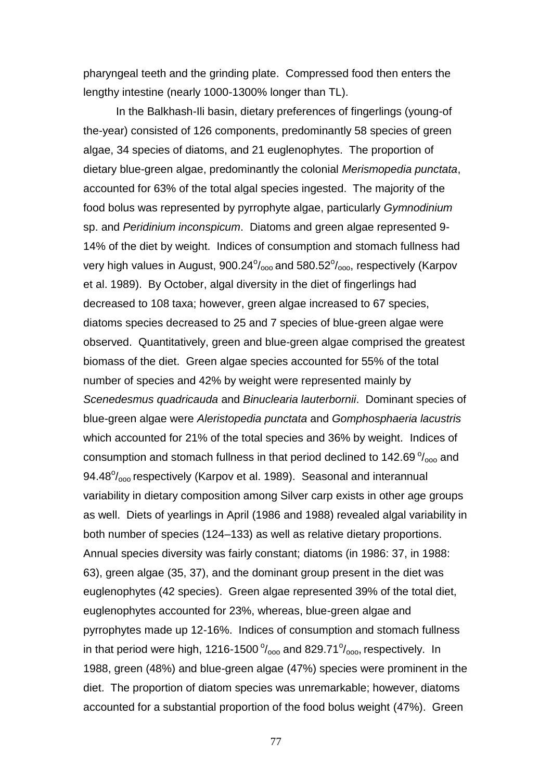pharyngeal teeth and the grinding plate. Compressed food then enters the lengthy intestine (nearly 1000-1300% longer than TL).

In the Balkhash-Ili basin, dietary preferences of fingerlings (young-of the-year) consisted of 126 components, predominantly 58 species of green algae, 34 species of diatoms, and 21 euglenophytes. The proportion of dietary blue-green algae, predominantly the colonial *Merismopedia punctata*, accounted for 63% of the total algal species ingested. The majority of the food bolus was represented by pyrrophyte algae, particularly *Gymnodinium* sp. and *Peridinium inconspicum*. Diatoms and green algae represented 9- 14% of the diet by weight. Indices of consumption and stomach fullness had very high values in August, 900.24 $\%$ <sub>000</sub> and 580.52 $\%$ <sub>000</sub>, respectively (Karpov et al. 1989). By October, algal diversity in the diet of fingerlings had decreased to 108 taxa; however, green algae increased to 67 species, diatoms species decreased to 25 and 7 species of blue-green algae were observed. Quantitatively, green and blue-green algae comprised the greatest biomass of the diet. Green algae species accounted for 55% of the total number of species and 42% by weight were represented mainly by *Scenedesmus quadricauda* and *Binuclearia lauterbornii*. Dominant species of blue-green algae were *Aleristopedia punctata* and *Gomphosphaeria lacustris* which accounted for 21% of the total species and 36% by weight. Indices of consumption and stomach fullness in that period declined to 142.69 $\%$ <sub>000</sub> and 94.48<sup>o</sup>/<sub>000</sub> respectively (Karpov et al. 1989). Seasonal and interannual variability in dietary composition among Silver carp exists in other age groups as well. Diets of yearlings in April (1986 and 1988) revealed algal variability in both number of species (124–133) as well as relative dietary proportions. Annual species diversity was fairly constant; diatoms (in 1986: 37, in 1988: 63), green algae (35, 37), and the dominant group present in the diet was euglenophytes (42 species). Green algae represented 39% of the total diet, euglenophytes accounted for 23%, whereas, blue-green algae and pyrrophytes made up 12-16%. Indices of consumption and stomach fullness in that period were high, 1216-1500 $\%$ <sub>000</sub> and 829.71 $\%$ <sub>000</sub>, respectively. In 1988, green (48%) and blue-green algae (47%) species were prominent in the diet. The proportion of diatom species was unremarkable; however, diatoms accounted for a substantial proportion of the food bolus weight (47%). Green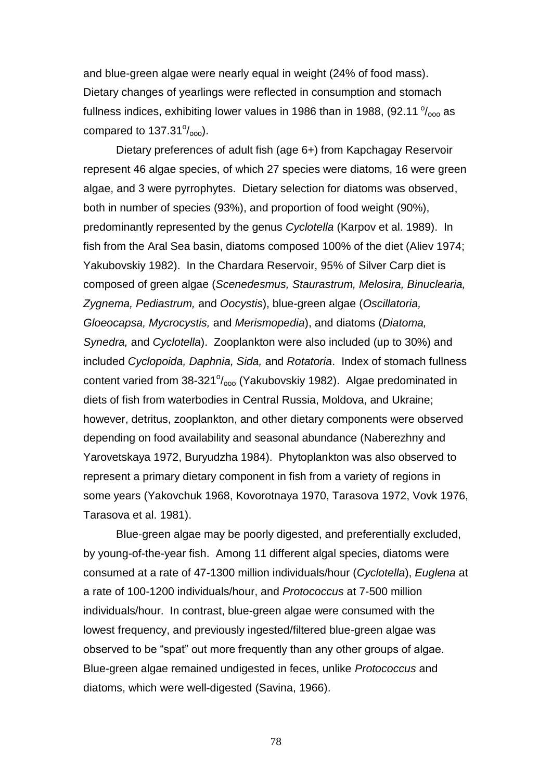and blue-green algae were nearly equal in weight (24% of food mass). Dietary changes of yearlings were reflected in consumption and stomach fullness indices, exhibiting lower values in 1986 than in 1988, (92.11  $\%$ <sub>000</sub> as compared to  $137.31\%$ <sub>000</sub>).

Dietary preferences of adult fish (age 6+) from Kapchagay Reservoir represent 46 algae species, of which 27 species were diatoms, 16 were green algae, and 3 were pyrrophytes. Dietary selection for diatoms was observed, both in number of species (93%), and proportion of food weight (90%), predominantly represented by the genus *Cyclotella* (Karpov et al. 1989). In fish from the Aral Sea basin, diatoms composed 100% of the diet (Aliev 1974; Yakubovskiy 1982). In the Chardara Reservoir, 95% of Silver Carp diet is composed of green algae (*Scenedesmus, Staurastrum, Melosira, Binuclearia, Zygnema, Pediastrum,* and *Oocystis*), blue-green algae (*Oscillatoria, Gloeocapsa, Mycrocystis,* and *Merismopedia*), and diatoms (*Diatoma, Synedra,* and *Cyclotella*). Zooplankton were also included (up to 30%) and included *Cyclopoida, Daphnia, Sida,* and *Rotatoria*. Index of stomach fullness content varied from 38-321% oo (Yakubovskiy 1982). Algae predominated in diets of fish from waterbodies in Central Russia, Moldova, and Ukraine; however, detritus, zooplankton, and other dietary components were observed depending on food availability and seasonal abundance (Naberezhny and Yarovetskaya 1972, Buryudzha 1984). Phytoplankton was also observed to represent a primary dietary component in fish from a variety of regions in some years (Yakovchuk 1968, Kovorotnaya 1970, Tarasova 1972, Vovk 1976, Tarasova et al. 1981).

Blue-green algae may be poorly digested, and preferentially excluded, by young-of-the-year fish. Among 11 different algal species, diatoms were consumed at a rate of 47-1300 million individuals/hour (*Cyclotella*), *Euglena* at a rate of 100-1200 individuals/hour, and *Protococcus* at 7-500 million individuals/hour. In contrast, blue-green algae were consumed with the lowest frequency, and previously ingested/filtered blue-green algae was observed to be "spat" out more frequently than any other groups of algae. Blue-green algae remained undigested in feces, unlike *Protococcus* and diatoms, which were well-digested (Savina, 1966).